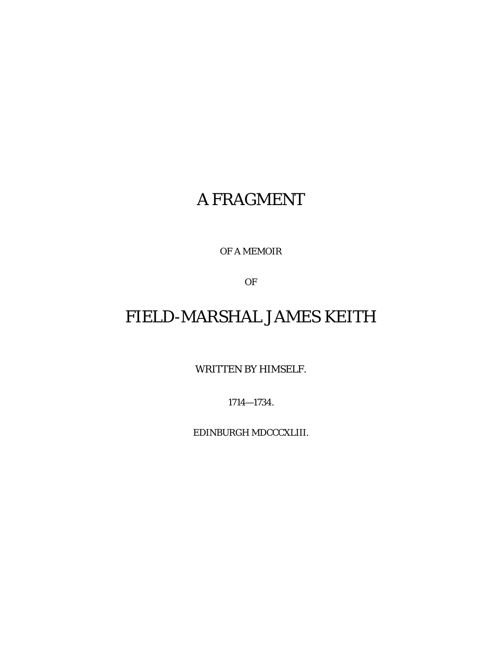# A FRAGMENT

OF A MEMOIR

OF

# FIELD-MARSHAL JAMES KEITH

WRITTEN BY HIMSELF.

1714—1734.

EDINBURGH MDCCCXLIII.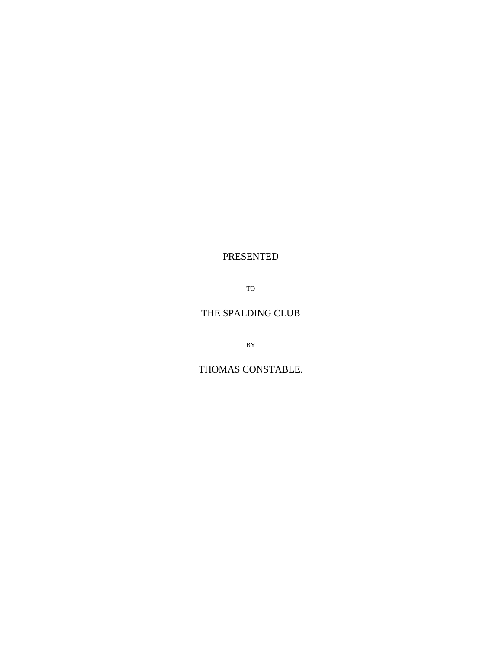# PRESENTED

TO

# THE SPALDING CLUB

BY

# THOMAS CONSTABLE.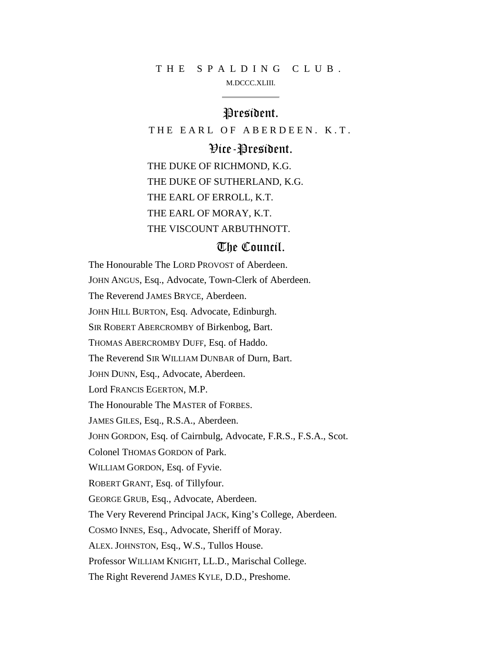# THE SPALDING CLUB. M.DCCC.XLIII.

# President.

THE EARL OF ABERDEEN. K.T.

# Vice-President.

THE DUKE OF RICHMOND, K.G. THE DUKE OF SUTHERLAND, K.G. THE EARL OF ERROLL, K.T. THE EARL OF MORAY, K.T. THE VISCOUNT ARBUTHNOTT.

# The Council.

The Honourable The LORD PROVOST of Aberdeen. JOHN ANGUS, Esq., Advocate, Town-Clerk of Aberdeen. The Reverend JAMES BRYCE, Aberdeen. JOHN HILL BURTON, Esq. Advocate, Edinburgh. SIR ROBERT ABERCROMBY of Birkenbog, Bart. THOMAS ABERCROMBY DUFF, Esq. of Haddo. The Reverend SIR WILLIAM DUNBAR of Durn, Bart. JOHN DUNN, Esq., Advocate, Aberdeen. Lord FRANCIS EGERTON, M.P. The Honourable The MASTER of FORBES. JAMES GILES, Esq., R.S.A., Aberdeen. JOHN GORDON, Esq. of Cairnbulg, Advocate, F.R.S., F.S.A., Scot. Colonel THOMAS GORDON of Park. WILLIAM GORDON, Esq. of Fyvie. ROBERT GRANT, Esq. of Tillyfour. GEORGE GRUB, Esq., Advocate, Aberdeen. The Very Reverend Principal JACK, King's College, Aberdeen. COSMO INNES, Esq., Advocate, Sheriff of Moray. ALEX. JOHNSTON, Esq., W.S., Tullos House. Professor WILLIAM KNIGHT, LL.D., Marischal College. The Right Reverend JAMES KYLE, D.D., Preshome.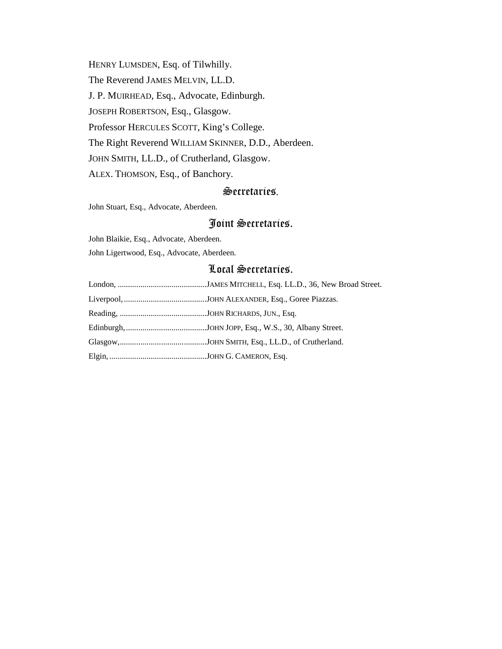HENRY LUMSDEN, Esq. of Tilwhilly. The Reverend JAMES MELVIN, LL.D. J. P. MUIRHEAD, Esq., Advocate, Edinburgh. JOSEPH ROBERTSON, Esq., Glasgow. Professor HERCULES SCOTT, King's College. The Right Reverend WILLIAM SKINNER, D.D., Aberdeen. JOHN SMITH, LL.D., of Crutherland, Glasgow. ALEX. THOMSON, Esq., of Banchory.

## Secretaries.

John Stuart, Esq., Advocate, Aberdeen.

## Joint Secretaries.

John Blaikie, Esq., Advocate, Aberdeen.

John Ligertwood, Esq., Advocate, Aberdeen.

# Local Secretaries.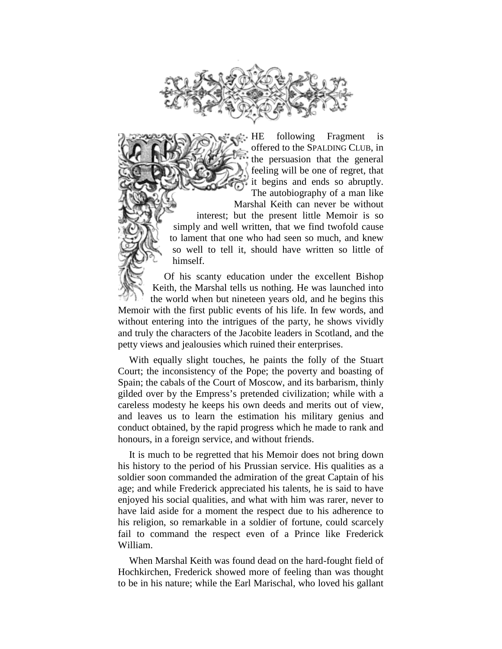

HE following Fragment is offered to the SPALDING CLUB, in the persuasion that the general feeling will be one of regret, that it begins and ends so abruptly. The autobiography of a man like Marshal Keith can never be without interest; but the present little Memoir is so simply and well written, that we find twofold cause to lament that one who had seen so much, and knew so well to tell it, should have written so little of himself.

Of his scanty education under the excellent Bishop Keith, the Marshal tells us nothing. He was launched into the world when but nineteen years old, and he begins this Memoir with the first public events of his life. In few words, and without entering into the intrigues of the party, he shows vividly and truly the characters of the Jacobite leaders in Scotland, and the petty views and jealousies which ruined their enterprises.

With equally slight touches, he paints the folly of the Stuart Court; the inconsistency of the Pope; the poverty and boasting of Spain; the cabals of the Court of Moscow, and its barbarism, thinly gilded over by the Empress's pretended civilization; while with a careless modesty he keeps his own deeds and merits out of view, and leaves us to learn the estimation his military genius and conduct obtained, by the rapid progress which he made to rank and honours, in a foreign service, and without friends.

It is much to be regretted that his Memoir does not bring down his history to the period of his Prussian service. His qualities as a soldier soon commanded the admiration of the great Captain of his age; and while Frederick appreciated his talents, he is said to have enjoyed his social qualities, and what with him was rarer, never to have laid aside for a moment the respect due to his adherence to his religion, so remarkable in a soldier of fortune, could scarcely fail to command the respect even of a Prince like Frederick William.

When Marshal Keith was found dead on the hard-fought field of Hochkirchen, Frederick showed more of feeling than was thought to be in his nature; while the Earl Marischal, who loved his gallant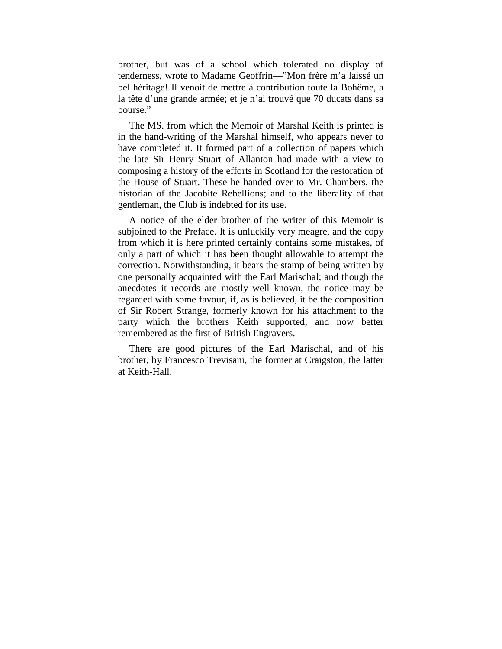brother, but was of a school which tolerated no display of tenderness, wrote to Madame Geoffrin—"Mon frère m'a laissé un bel hèritage! Il venoit de mettre à contribution toute la Bohême, a la tête d'une grande armée; et je n'ai trouvé que 70 ducats dans sa bourse."

The MS. from which the Memoir of Marshal Keith is printed is in the hand-writing of the Marshal himself, who appears never to have completed it. It formed part of a collection of papers which the late Sir Henry Stuart of Allanton had made with a view to composing a history of the efforts in Scotland for the restoration of the House of Stuart. These he handed over to Mr. Chambers, the historian of the Jacobite Rebellions; and to the liberality of that gentleman, the Club is indebted for its use.

A notice of the elder brother of the writer of this Memoir is subjoined to the Preface. It is unluckily very meagre, and the copy from which it is here printed certainly contains some mistakes, of only a part of which it has been thought allowable to attempt the correction. Notwithstanding, it bears the stamp of being written by one personally acquainted with the Earl Marischal; and though the anecdotes it records are mostly well known, the notice may be regarded with some favour, if, as is believed, it be the composition of Sir Robert Strange, formerly known for his attachment to the party which the brothers Keith supported, and now better remembered as the first of British Engravers.

There are good pictures of the Earl Marischal, and of his brother, by Francesco Trevisani, the former at Craigston, the latter at Keith-Hall.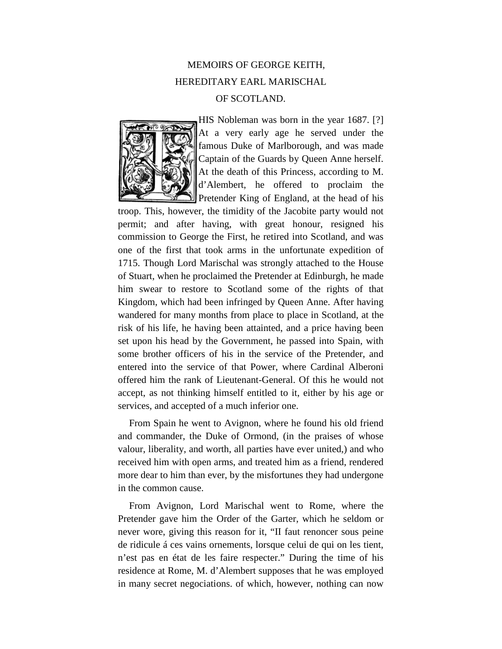# MEMOIRS OF GEORGE KEITH, HEREDITARY EARL MARISCHAL

### OF SCOTLAND.



HIS Nobleman was born in the year 1687. [?] At a very early age he served under the famous Duke of Marlborough, and was made Captain of the Guards by Queen Anne herself. At the death of this Princess, according to M. d'Alembert, he offered to proclaim the Pretender King of England, at the head of his

troop. This, however, the timidity of the Jacobite party would not permit; and after having, with great honour, resigned his commission to George the First, he retired into Scotland, and was one of the first that took arms in the unfortunate expedition of 1715. Though Lord Marischal was strongly attached to the House of Stuart, when he proclaimed the Pretender at Edinburgh, he made him swear to restore to Scotland some of the rights of that Kingdom, which had been infringed by Queen Anne. After having wandered for many months from place to place in Scotland, at the risk of his life, he having been attainted, and a price having been set upon his head by the Government, he passed into Spain, with some brother officers of his in the service of the Pretender, and entered into the service of that Power, where Cardinal Alberoni offered him the rank of Lieutenant-General. Of this he would not accept, as not thinking himself entitled to it, either by his age or services, and accepted of a much inferior one.

From Spain he went to Avignon, where he found his old friend and commander, the Duke of Ormond, (in the praises of whose valour, liberality, and worth, all parties have ever united,) and who received him with open arms, and treated him as a friend, rendered more dear to him than ever, by the misfortunes they had undergone in the common cause.

From Avignon, Lord Marischal went to Rome, where the Pretender gave him the Order of the Garter, which he seldom or never wore, giving this reason for it, "II faut renoncer sous peine de ridicule á ces vains ornements, lorsque celui de qui on les tient, n'est pas en état de les faire respecter." During the time of his residence at Rome, M. d'Alembert supposes that he was employed in many secret negociations. of which, however, nothing can now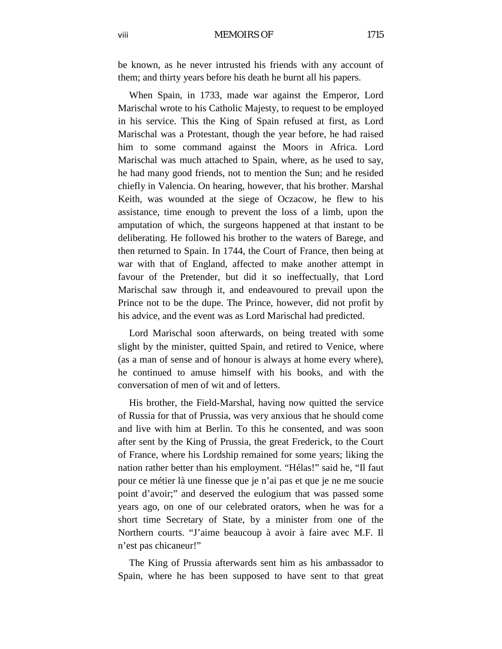be known, as he never intrusted his friends with any account of them; and thirty years before his death he burnt all his papers.

When Spain, in 1733, made war against the Emperor, Lord Marischal wrote to his Catholic Majesty, to request to be employed in his service. This the King of Spain refused at first, as Lord Marischal was a Protestant, though the year before, he had raised him to some command against the Moors in Africa. Lord Marischal was much attached to Spain, where, as he used to say, he had many good friends, not to mention the Sun; and he resided chiefly in Valencia. On hearing, however, that his brother. Marshal Keith, was wounded at the siege of Oczacow, he flew to his assistance, time enough to prevent the loss of a limb, upon the amputation of which, the surgeons happened at that instant to be deliberating. He followed his brother to the waters of Barege, and then returned to Spain. In 1744, the Court of France, then being at war with that of England, affected to make another attempt in favour of the Pretender, but did it so ineffectually, that Lord Marischal saw through it, and endeavoured to prevail upon the Prince not to be the dupe. The Prince, however, did not profit by his advice, and the event was as Lord Marischal had predicted.

Lord Marischal soon afterwards, on being treated with some slight by the minister, quitted Spain, and retired to Venice, where (as a man of sense and of honour is always at home every where), he continued to amuse himself with his books, and with the conversation of men of wit and of letters.

His brother, the Field-Marshal, having now quitted the service of Russia for that of Prussia, was very anxious that he should come and live with him at Berlin. To this he consented, and was soon after sent by the King of Prussia, the great Frederick, to the Court of France, where his Lordship remained for some years; liking the nation rather better than his employment. "Hélas!" said he, "Il faut pour ce métier là une finesse que je n'ai pas et que je ne me soucie point d'avoir;" and deserved the eulogium that was passed some years ago, on one of our celebrated orators, when he was for a short time Secretary of State, by a minister from one of the Northern courts. "J'aime beaucoup à avoir à faire avec M.F. Il n'est pas chicaneur!"

The King of Prussia afterwards sent him as his ambassador to Spain, where he has been supposed to have sent to that great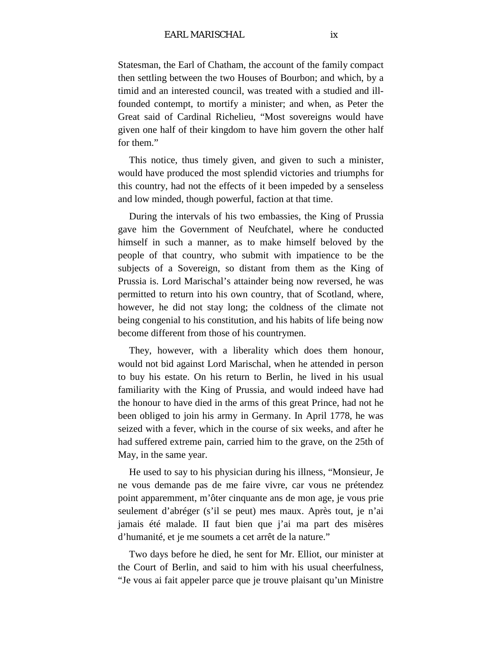Statesman, the Earl of Chatham, the account of the family compact then settling between the two Houses of Bourbon; and which, by a timid and an interested council, was treated with a studied and illfounded contempt, to mortify a minister; and when, as Peter the Great said of Cardinal Richelieu, "Most sovereigns would have given one half of their kingdom to have him govern the other half for them."

This notice, thus timely given, and given to such a minister, would have produced the most splendid victories and triumphs for this country, had not the effects of it been impeded by a senseless and low minded, though powerful, faction at that time.

During the intervals of his two embassies, the King of Prussia gave him the Government of Neufchatel, where he conducted himself in such a manner, as to make himself beloved by the people of that country, who submit with impatience to be the subjects of a Sovereign, so distant from them as the King of Prussia is. Lord Marischal's attainder being now reversed, he was permitted to return into his own country, that of Scotland, where, however, he did not stay long; the coldness of the climate not being congenial to his constitution, and his habits of life being now become different from those of his countrymen.

They, however, with a liberality which does them honour, would not bid against Lord Marischal, when he attended in person to buy his estate. On his return to Berlin, he lived in his usual familiarity with the King of Prussia, and would indeed have had the honour to have died in the arms of this great Prince, had not he been obliged to join his army in Germany. In April 1778, he was seized with a fever, which in the course of six weeks, and after he had suffered extreme pain, carried him to the grave, on the 25th of May, in the same year.

He used to say to his physician during his illness, "Monsieur, Je ne vous demande pas de me faire vivre, car vous ne prétendez point apparemment, m'ôter cinquante ans de mon age, je vous prie seulement d'abréger (s'il se peut) mes maux. Après tout, je n'ai jamais été malade. II faut bien que j'ai ma part des misères d'humanité, et je me soumets a cet arrêt de la nature."

Two days before he died, he sent for Mr. Elliot, our minister at the Court of Berlin, and said to him with his usual cheerfulness, "Je vous ai fait appeler parce que je trouve plaisant qu'un Ministre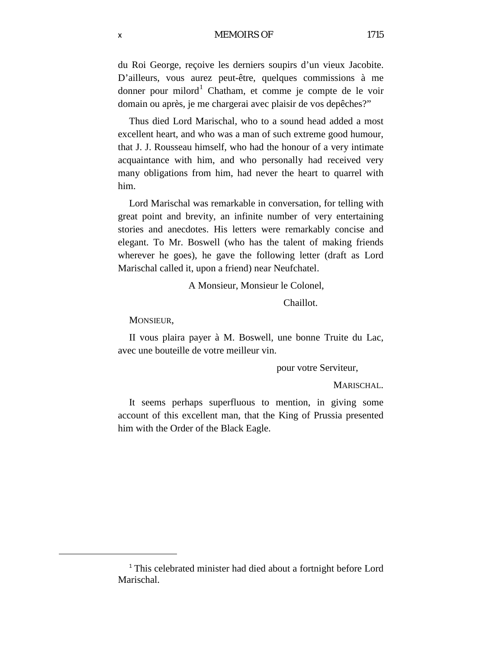du Roi George, reçoive les derniers soupirs d'un vieux Jacobite. D'ailleurs, vous aurez peut-être, quelques commissions à me donner pour milord<sup>[1](#page-9-0)</sup> Chatham, et comme je compte de le voir domain ou après, je me chargerai avec plaisir de vos depêches?"

Thus died Lord Marischal, who to a sound head added a most excellent heart, and who was a man of such extreme good humour, that J. J. Rousseau himself, who had the honour of a very intimate acquaintance with him, and who personally had received very many obligations from him, had never the heart to quarrel with him.

Lord Marischal was remarkable in conversation, for telling with great point and brevity, an infinite number of very entertaining stories and anecdotes. His letters were remarkably concise and elegant. To Mr. Boswell (who has the talent of making friends wherever he goes), he gave the following letter (draft as Lord Marischal called it, upon a friend) near Neufchatel.

A Monsieur, Monsieur le Colonel,

Chaillot.

MONSIEUR,

<span id="page-9-0"></span>l

II vous plaira payer à M. Boswell, une bonne Truite du Lac, avec une bouteille de votre meilleur vin.

pour votre Serviteur,

MARISCHAL.

It seems perhaps superfluous to mention, in giving some account of this excellent man, that the King of Prussia presented him with the Order of the Black Eagle.

<sup>1</sup> This celebrated minister had died about a fortnight before Lord Marischal.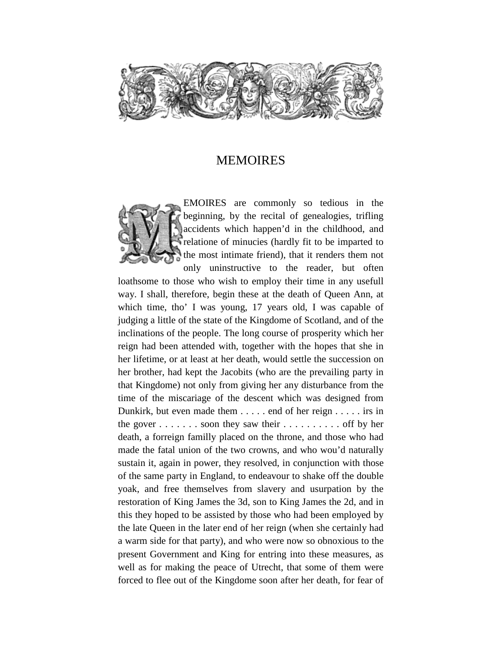

# MEMOIRES



EMOIRES are commonly so tedious in the beginning, by the recital of genealogies, trifling accidents which happen'd in the childhood, and relatione of minucies (hardly fit to be imparted to the most intimate friend), that it renders them not only uninstructive to the reader, but often

loathsome to those who wish to employ their time in any usefull way. I shall, therefore, begin these at the death of Queen Ann, at which time, tho' I was young, 17 years old, I was capable of judging a little of the state of the Kingdome of Scotland, and of the inclinations of the people. The long course of prosperity which her reign had been attended with, together with the hopes that she in her lifetime, or at least at her death, would settle the succession on her brother, had kept the Jacobits (who are the prevailing party in that Kingdome) not only from giving her any disturbance from the time of the miscariage of the descent which was designed from Dunkirk, but even made them . . . . . end of her reign . . . . . irs in the gover . . . . . . . soon they saw their . . . . . . . . . . off by her death, a forreign familly placed on the throne, and those who had made the fatal union of the two crowns, and who wou'd naturally sustain it, again in power, they resolved, in conjunction with those of the same party in England, to endeavour to shake off the double yoak, and free themselves from slavery and usurpation by the restoration of King James the 3d, son to King James the 2d, and in this they hoped to be assisted by those who had been employed by the late Queen in the later end of her reign (when she certainly had a warm side for that party), and who were now so obnoxious to the present Government and King for entring into these measures, as well as for making the peace of Utrecht, that some of them were forced to flee out of the Kingdome soon after her death, for fear of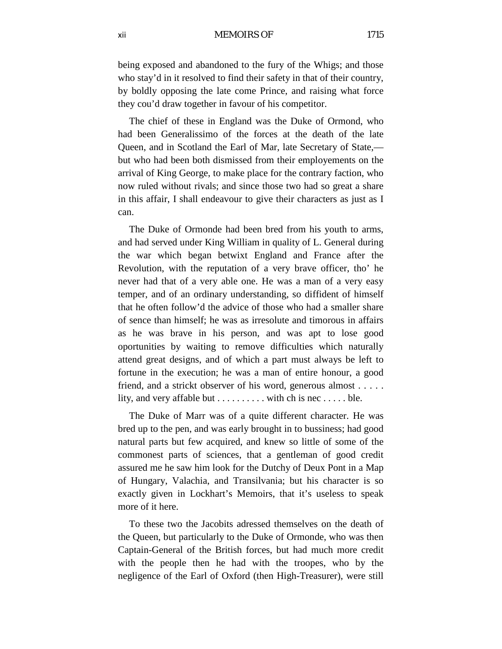#### xii MEMOIRS OF 1715

being exposed and abandoned to the fury of the Whigs; and those who stay'd in it resolved to find their safety in that of their country, by boldly opposing the late come Prince, and raising what force they cou'd draw together in favour of his competitor.

The chief of these in England was the Duke of Ormond, who had been Generalissimo of the forces at the death of the late Queen, and in Scotland the Earl of Mar, late Secretary of State, but who had been both dismissed from their employements on the arrival of King George, to make place for the contrary faction, who now ruled without rivals; and since those two had so great a share in this affair, I shall endeavour to give their characters as just as I can.

The Duke of Ormonde had been bred from his youth to arms, and had served under King William in quality of L. General during the war which began betwixt England and France after the Revolution, with the reputation of a very brave officer, tho' he never had that of a very able one. He was a man of a very easy temper, and of an ordinary understanding, so diffident of himself that he often follow'd the advice of those who had a smaller share of sence than himself; he was as irresolute and timorous in affairs as he was brave in his person, and was apt to lose good oportunities by waiting to remove difficulties which naturally attend great designs, and of which a part must always be left to fortune in the execution; he was a man of entire honour, a good friend, and a strickt observer of his word, generous almost . . . . . lity, and very affable but . . . . . . . . . . with ch is nec . . . . . ble.

The Duke of Marr was of a quite different character. He was bred up to the pen, and was early brought in to bussiness; had good natural parts but few acquired, and knew so little of some of the commonest parts of sciences, that a gentleman of good credit assured me he saw him look for the Dutchy of Deux Pont in a Map of Hungary, Valachia, and Transilvania; but his character is so exactly given in Lockhart's Memoirs, that it's useless to speak more of it here.

To these two the Jacobits adressed themselves on the death of the Queen, but particularly to the Duke of Ormonde, who was then Captain-General of the British forces, but had much more credit with the people then he had with the troopes, who by the negligence of the Earl of Oxford (then High-Treasurer), were still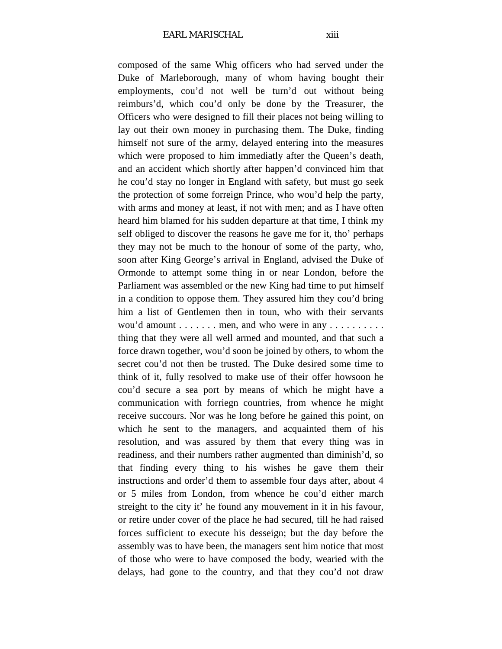composed of the same Whig officers who had served under the Duke of Marleborough, many of whom having bought their employments, cou'd not well be turn'd out without being reimburs'd, which cou'd only be done by the Treasurer, the Officers who were designed to fill their places not being willing to lay out their own money in purchasing them. The Duke, finding himself not sure of the army, delayed entering into the measures which were proposed to him immediatly after the Queen's death, and an accident which shortly after happen'd convinced him that he cou'd stay no longer in England with safety, but must go seek the protection of some forreign Prince, who wou'd help the party, with arms and money at least, if not with men; and as I have often heard him blamed for his sudden departure at that time, I think my self obliged to discover the reasons he gave me for it, tho' perhaps they may not be much to the honour of some of the party, who, soon after King George's arrival in England, advised the Duke of Ormonde to attempt some thing in or near London, before the Parliament was assembled or the new King had time to put himself in a condition to oppose them. They assured him they cou'd bring him a list of Gentlemen then in toun, who with their servants wou'd amount . . . . . . . men, and who were in any . . . . . . . . . . thing that they were all well armed and mounted, and that such a force drawn together, wou'd soon be joined by others, to whom the secret cou'd not then be trusted. The Duke desired some time to think of it, fully resolved to make use of their offer howsoon he cou'd secure a sea port by means of which he might have a communication with forriegn countries, from whence he might receive succours. Nor was he long before he gained this point, on which he sent to the managers, and acquainted them of his resolution, and was assured by them that every thing was in readiness, and their numbers rather augmented than diminish'd, so that finding every thing to his wishes he gave them their instructions and order'd them to assemble four days after, about 4 or 5 miles from London, from whence he cou'd either march streight to the city it' he found any mouvement in it in his favour, or retire under cover of the place he had secured, till he had raised forces sufficient to execute his desseign; but the day before the assembly was to have been, the managers sent him notice that most of those who were to have composed the body, wearied with the delays, had gone to the country, and that they cou'd not draw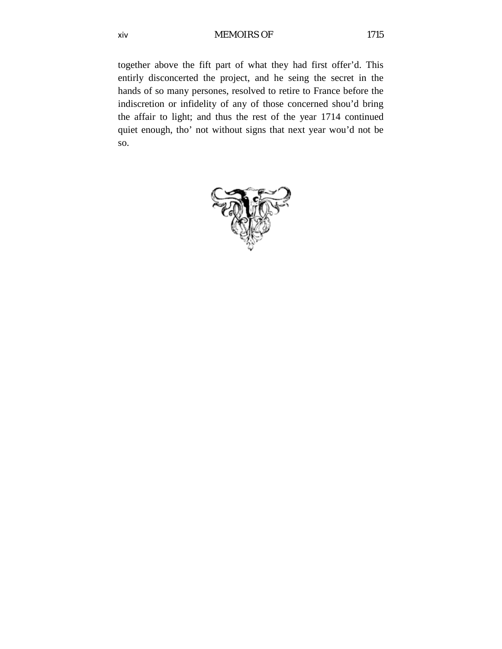together above the fift part of what they had first offer'd. This entirly disconcerted the project, and he seing the secret in the hands of so many persones, resolved to retire to France before the indiscretion or infidelity of any of those concerned shou'd bring the affair to light; and thus the rest of the year 1714 continued quiet enough, tho' not without signs that next year wou'd not be so.

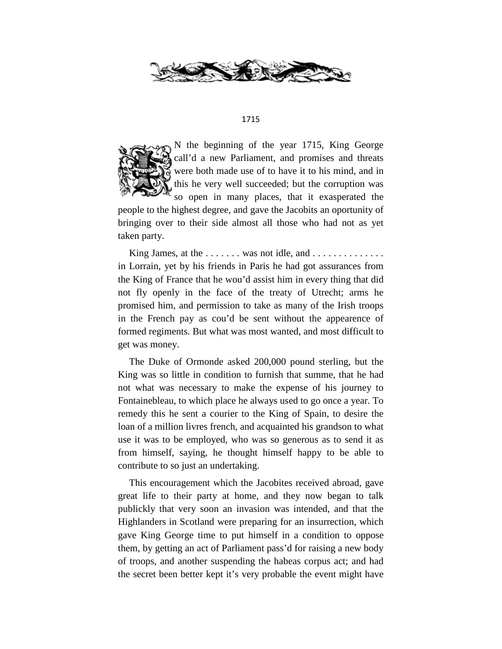

### 1715



N the beginning of the year 1715, King George call'd a new Parliament, and promises and threats were both made use of to have it to his mind, and in this he very well succeeded; but the corruption was so open in many places, that it exasperated the

people to the highest degree, and gave the Jacobits an oportunity of bringing over to their side almost all those who had not as yet taken party.

King James, at the  $\dots \dots$  was not idle, and  $\dots \dots \dots \dots$ in Lorrain, yet by his friends in Paris he had got assurances from the King of France that he wou'd assist him in every thing that did not fly openly in the face of the treaty of Utrecht; arms he promised him, and permission to take as many of the Irish troops in the French pay as cou'd be sent without the appearence of formed regiments. But what was most wanted, and most difficult to get was money.

The Duke of Ormonde asked 200,000 pound sterling, but the King was so little in condition to furnish that summe, that he had not what was necessary to make the expense of his journey to Fontainebleau, to which place he always used to go once a year. To remedy this he sent a courier to the King of Spain, to desire the loan of a million livres french, and acquainted his grandson to what use it was to be employed, who was so generous as to send it as from himself, saying, he thought himself happy to be able to contribute to so just an undertaking.

This encouragement which the Jacobites received abroad, gave great life to their party at home, and they now began to talk publickly that very soon an invasion was intended, and that the Highlanders in Scotland were preparing for an insurrection, which gave King George time to put himself in a condition to oppose them, by getting an act of Parliament pass'd for raising a new body of troops, and another suspending the habeas corpus act; and had the secret been better kept it's very probable the event might have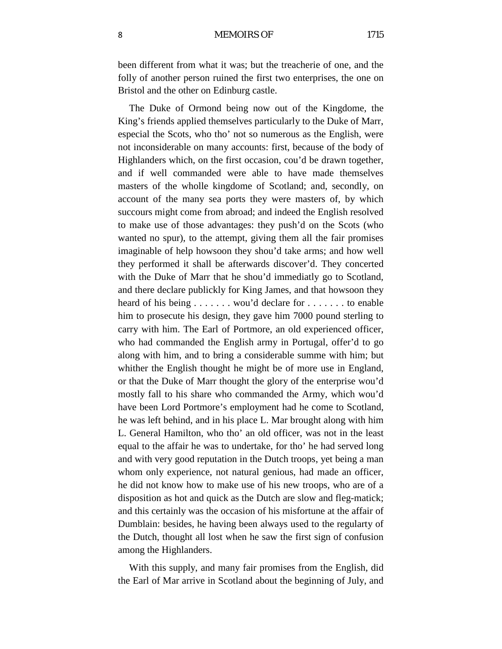been different from what it was; but the treacherie of one, and the folly of another person ruined the first two enterprises, the one on Bristol and the other on Edinburg castle.

The Duke of Ormond being now out of the Kingdome, the King's friends applied themselves particularly to the Duke of Marr, especial the Scots, who tho' not so numerous as the English, were not inconsiderable on many accounts: first, because of the body of Highlanders which, on the first occasion, cou'd be drawn together, and if well commanded were able to have made themselves masters of the wholle kingdome of Scotland; and, secondly, on account of the many sea ports they were masters of, by which succours might come from abroad; and indeed the English resolved to make use of those advantages: they push'd on the Scots (who wanted no spur), to the attempt, giving them all the fair promises imaginable of help howsoon they shou'd take arms; and how well they performed it shall be afterwards discover'd. They concerted with the Duke of Marr that he shou'd immediatly go to Scotland, and there declare publickly for King James, and that howsoon they heard of his being . . . . . . . wou'd declare for . . . . . . . to enable him to prosecute his design, they gave him 7000 pound sterling to carry with him. The Earl of Portmore, an old experienced officer, who had commanded the English army in Portugal, offer'd to go along with him, and to bring a considerable summe with him; but whither the English thought he might be of more use in England, or that the Duke of Marr thought the glory of the enterprise wou'd mostly fall to his share who commanded the Army, which wou'd have been Lord Portmore's employment had he come to Scotland, he was left behind, and in his place L. Mar brought along with him L. General Hamilton, who tho' an old officer, was not in the least equal to the affair he was to undertake, for tho' he had served long and with very good reputation in the Dutch troops, yet being a man whom only experience, not natural genious, had made an officer, he did not know how to make use of his new troops, who are of a disposition as hot and quick as the Dutch are slow and fleg-matick; and this certainly was the occasion of his misfortune at the affair of Dumblain: besides, he having been always used to the regularty of the Dutch, thought all lost when he saw the first sign of confusion among the Highlanders.

With this supply, and many fair promises from the English, did the Earl of Mar arrive in Scotland about the beginning of July, and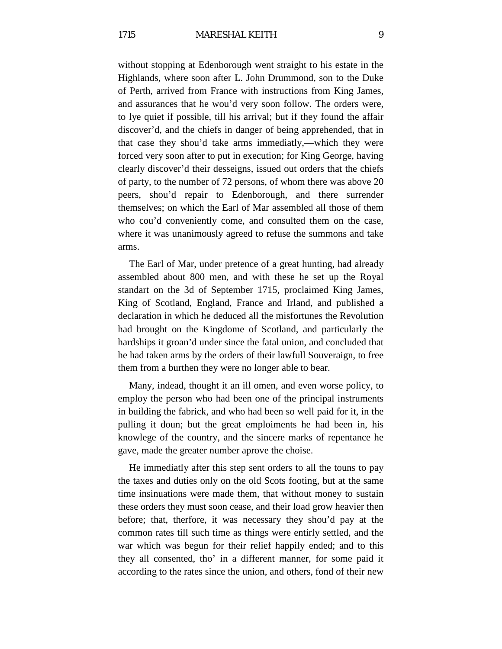without stopping at Edenborough went straight to his estate in the Highlands, where soon after L. John Drummond, son to the Duke of Perth, arrived from France with instructions from King James, and assurances that he wou'd very soon follow. The orders were, to lye quiet if possible, till his arrival; but if they found the affair discover'd, and the chiefs in danger of being apprehended, that in that case they shou'd take arms immediatly,—which they were forced very soon after to put in execution; for King George, having clearly discover'd their desseigns, issued out orders that the chiefs of party, to the number of 72 persons, of whom there was above 20 peers, shou'd repair to Edenborough, and there surrender themselves; on which the Earl of Mar assembled all those of them who cou'd conveniently come, and consulted them on the case, where it was unanimously agreed to refuse the summons and take arms.

The Earl of Mar, under pretence of a great hunting, had already assembled about 800 men, and with these he set up the Royal standart on the 3d of September 1715, proclaimed King James, King of Scotland, England, France and Irland, and published a declaration in which he deduced all the misfortunes the Revolution had brought on the Kingdome of Scotland, and particularly the hardships it groan'd under since the fatal union, and concluded that he had taken arms by the orders of their lawfull Souveraign, to free them from a burthen they were no longer able to bear.

Many, indead, thought it an ill omen, and even worse policy, to employ the person who had been one of the principal instruments in building the fabrick, and who had been so well paid for it, in the pulling it doun; but the great emploiments he had been in, his knowlege of the country, and the sincere marks of repentance he gave, made the greater number aprove the choise.

He immediatly after this step sent orders to all the touns to pay the taxes and duties only on the old Scots footing, but at the same time insinuations were made them, that without money to sustain these orders they must soon cease, and their load grow heavier then before; that, therfore, it was necessary they shou'd pay at the common rates till such time as things were entirly settled, and the war which was begun for their relief happily ended; and to this they all consented, tho' in a different manner, for some paid it according to the rates since the union, and others, fond of their new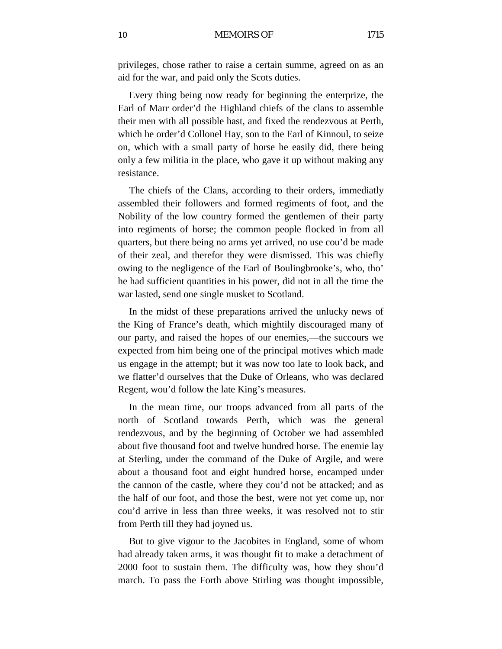Every thing being now ready for beginning the enterprize, the Earl of Marr order'd the Highland chiefs of the clans to assemble their men with all possible hast, and fixed the rendezvous at Perth, which he order'd Collonel Hay, son to the Earl of Kinnoul, to seize on, which with a small party of horse he easily did, there being only a few militia in the place, who gave it up without making any resistance.

The chiefs of the Clans, according to their orders, immediatly assembled their followers and formed regiments of foot, and the Nobility of the low country formed the gentlemen of their party into regiments of horse; the common people flocked in from all quarters, but there being no arms yet arrived, no use cou'd be made of their zeal, and therefor they were dismissed. This was chiefly owing to the negligence of the Earl of Boulingbrooke's, who, tho' he had sufficient quantities in his power, did not in all the time the war lasted, send one single musket to Scotland.

In the midst of these preparations arrived the unlucky news of the King of France's death, which mightily discouraged many of our party, and raised the hopes of our enemies,—the succours we expected from him being one of the principal motives which made us engage in the attempt; but it was now too late to look back, and we flatter'd ourselves that the Duke of Orleans, who was declared Regent, wou'd follow the late King's measures.

In the mean time, our troops advanced from all parts of the north of Scotland towards Perth, which was the general rendezvous, and by the beginning of October we had assembled about five thousand foot and twelve hundred horse. The enemie lay at Sterling, under the command of the Duke of Argile, and were about a thousand foot and eight hundred horse, encamped under the cannon of the castle, where they cou'd not be attacked; and as the half of our foot, and those the best, were not yet come up, nor cou'd arrive in less than three weeks, it was resolved not to stir from Perth till they had joyned us.

But to give vigour to the Jacobites in England, some of whom had already taken arms, it was thought fit to make a detachment of 2000 foot to sustain them. The difficulty was, how they shou'd march. To pass the Forth above Stirling was thought impossible,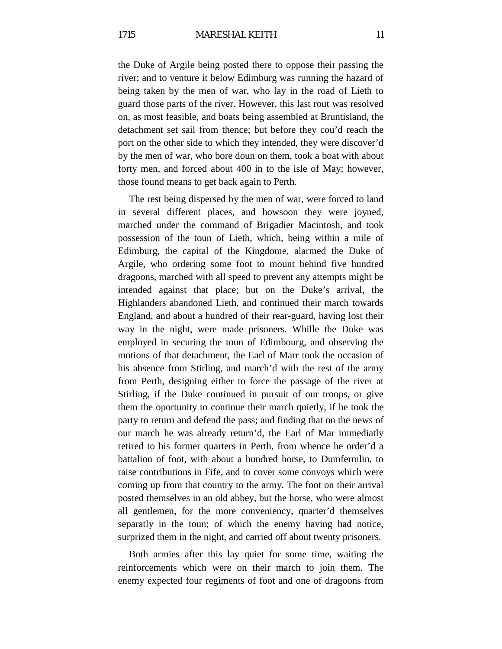1715 MARESHAL KEITH 11

the Duke of Argile being posted there to oppose their passing the river; and to venture it below Edimburg was running the hazard of being taken by the men of war, who lay in the road of Lieth to guard those parts of the river. However, this last rout was resolved on, as most feasible, and boats being assembled at Bruntisland, the detachment set sail from thence; but before they cou'd reach the port on the other side to which they intended, they were discover'd by the men of war, who bore doun on them, took a boat with about forty men, and forced about 400 in to the isle of May; however, those found means to get back again to Perth.

The rest being dispersed by the men of war, were forced to land in several different places, and howsoon they were joyned, marched under the command of Brigadier Macintosh, and took possession of the toun of Lieth, which, being within a mile of Edimburg, the capital of the Kingdome, alarmed the Duke of Argile, who ordering some foot to mount behind five hundred dragoons, marched with all speed to prevent any attempts might be intended against that place; but on the Duke's arrival, the Highlanders abandoned Lieth, and continued their march towards England, and about a hundred of their rear-guard, having lost their way in the night, were made prisoners. Whille the Duke was employed in securing the toun of Edimbourg, and observing the motions of that detachment, the Earl of Marr took the occasion of his absence from Stirling, and march'd with the rest of the army from Perth, designing either to force the passage of the river at Stirling, if the Duke continued in pursuit of our troops, or give them the oportunity to continue their march quietly, if he took the party to return and defend the pass; and finding that on the news of our march he was already return'd, the Earl of Mar immediatly retired to his former quarters in Perth, from whence he order'd a battalion of foot, with about a hundred horse, to Dumfermlin, to raise contributions in Fife, and to cover some convoys which were coming up from that country to the army. The foot on their arrival posted themselves in an old abbey, but the horse, who were almost all gentlemen, for the more conveniency, quarter'd themselves separatly in the toun; of which the enemy having had notice, surprized them in the night, and carried off about twenty prisoners.

Both armies after this lay quiet for some time, waiting the reinforcements which were on their march to join them. The enemy expected four regiments of foot and one of dragoons from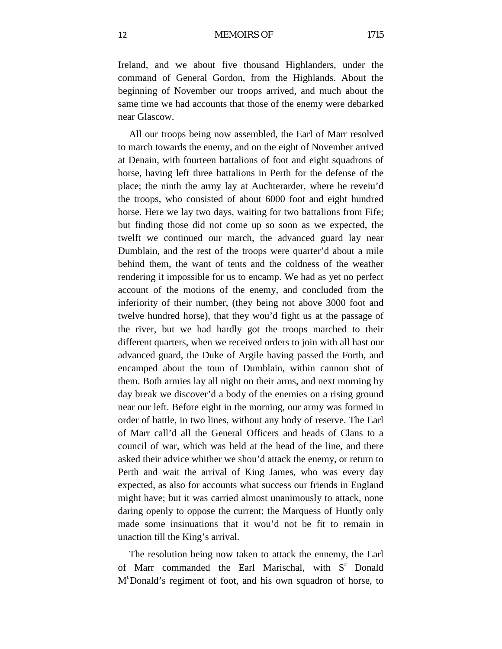Ireland, and we about five thousand Highlanders, under the command of General Gordon, from the Highlands. About the beginning of November our troops arrived, and much about the same time we had accounts that those of the enemy were debarked near Glascow.

All our troops being now assembled, the Earl of Marr resolved to march towards the enemy, and on the eight of November arrived at Denain, with fourteen battalions of foot and eight squadrons of horse, having left three battalions in Perth for the defense of the place; the ninth the army lay at Auchterarder, where he reveiu'd the troops, who consisted of about 6000 foot and eight hundred horse. Here we lay two days, waiting for two battalions from Fife; but finding those did not come up so soon as we expected, the twelft we continued our march, the advanced guard lay near Dumblain, and the rest of the troops were quarter'd about a mile behind them, the want of tents and the coldness of the weather rendering it impossible for us to encamp. We had as yet no perfect account of the motions of the enemy, and concluded from the inferiority of their number, (they being not above 3000 foot and twelve hundred horse), that they wou'd fight us at the passage of the river, but we had hardly got the troops marched to their different quarters, when we received orders to join with all hast our advanced guard, the Duke of Argile having passed the Forth, and encamped about the toun of Dumblain, within cannon shot of them. Both armies lay all night on their arms, and next morning by day break we discover'd a body of the enemies on a rising ground near our left. Before eight in the morning, our army was formed in order of battle, in two lines, without any body of reserve. The Earl of Marr call'd all the General Officers and heads of Clans to a council of war, which was held at the head of the line, and there asked their advice whither we shou'd attack the enemy, or return to Perth and wait the arrival of King James, who was every day expected, as also for accounts what success our friends in England might have; but it was carried almost unanimously to attack, none daring openly to oppose the current; the Marquess of Huntly only made some insinuations that it wou'd not be fit to remain in unaction till the King's arrival.

The resolution being now taken to attack the ennemy, the Earl of Marr commanded the Earl Marischal, with S<sup>r</sup> Donald Mc Donald's regiment of foot, and his own squadron of horse, to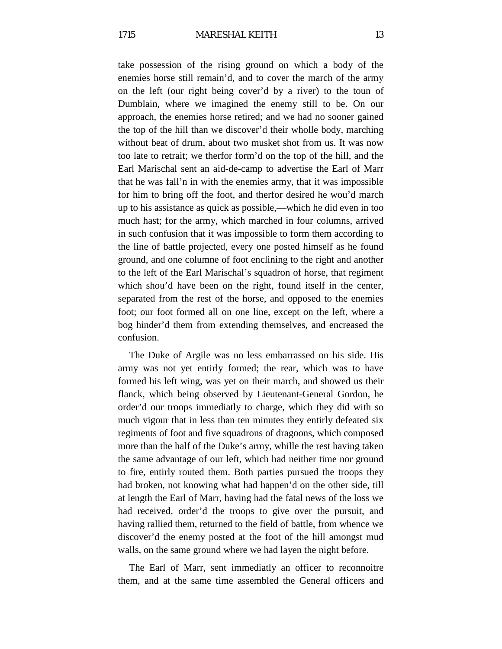take possession of the rising ground on which a body of the enemies horse still remain'd, and to cover the march of the army on the left (our right being cover'd by a river) to the toun of Dumblain, where we imagined the enemy still to be. On our approach, the enemies horse retired; and we had no sooner gained the top of the hill than we discover'd their wholle body, marching without beat of drum, about two musket shot from us. It was now too late to retrait; we therfor form'd on the top of the hill, and the Earl Marischal sent an aid-de-camp to advertise the Earl of Marr that he was fall'n in with the enemies army, that it was impossible for him to bring off the foot, and therfor desired he wou'd march up to his assistance as quick as possible,—which he did even in too much hast; for the army, which marched in four columns, arrived in such confusion that it was impossible to form them according to the line of battle projected, every one posted himself as he found ground, and one columne of foot enclining to the right and another to the left of the Earl Marischal's squadron of horse, that regiment which shou'd have been on the right, found itself in the center, separated from the rest of the horse, and opposed to the enemies foot; our foot formed all on one line, except on the left, where a bog hinder'd them from extending themselves, and encreased the confusion.

The Duke of Argile was no less embarrassed on his side. His army was not yet entirly formed; the rear, which was to have formed his left wing, was yet on their march, and showed us their flanck, which being observed by Lieutenant-General Gordon, he order'd our troops immediatly to charge, which they did with so much vigour that in less than ten minutes they entirly defeated six regiments of foot and five squadrons of dragoons, which composed more than the half of the Duke's army, whille the rest having taken the same advantage of our left, which had neither time nor ground to fire, entirly routed them. Both parties pursued the troops they had broken, not knowing what had happen'd on the other side, till at length the Earl of Marr, having had the fatal news of the loss we had received, order'd the troops to give over the pursuit, and having rallied them, returned to the field of battle, from whence we discover'd the enemy posted at the foot of the hill amongst mud walls, on the same ground where we had layen the night before.

The Earl of Marr, sent immediatly an officer to reconnoitre them, and at the same time assembled the General officers and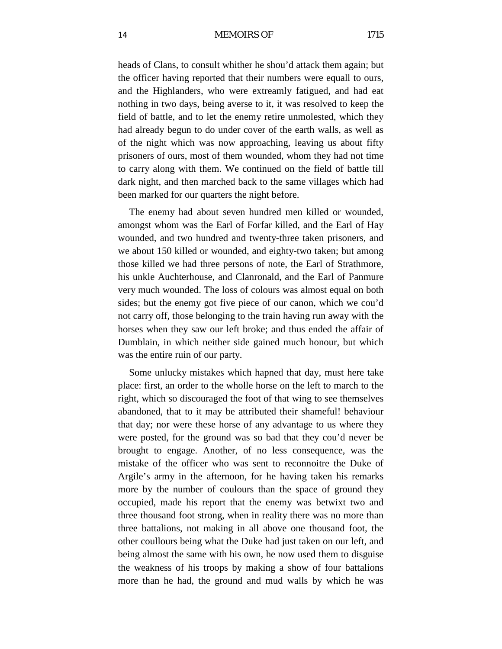heads of Clans, to consult whither he shou'd attack them again; but the officer having reported that their numbers were equall to ours, and the Highlanders, who were extreamly fatigued, and had eat nothing in two days, being averse to it, it was resolved to keep the field of battle, and to let the enemy retire unmolested, which they had already begun to do under cover of the earth walls, as well as of the night which was now approaching, leaving us about fifty prisoners of ours, most of them wounded, whom they had not time to carry along with them. We continued on the field of battle till dark night, and then marched back to the same villages which had been marked for our quarters the night before.

The enemy had about seven hundred men killed or wounded, amongst whom was the Earl of Forfar killed, and the Earl of Hay wounded, and two hundred and twenty-three taken prisoners, and we about 150 killed or wounded, and eighty-two taken; but among those killed we had three persons of note, the Earl of Strathmore, his unkle Auchterhouse, and Clanronald, and the Earl of Panmure very much wounded. The loss of colours was almost equal on both sides; but the enemy got five piece of our canon, which we cou'd not carry off, those belonging to the train having run away with the horses when they saw our left broke; and thus ended the affair of Dumblain, in which neither side gained much honour, but which was the entire ruin of our party.

Some unlucky mistakes which hapned that day, must here take place: first, an order to the wholle horse on the left to march to the right, which so discouraged the foot of that wing to see themselves abandoned, that to it may be attributed their shameful! behaviour that day; nor were these horse of any advantage to us where they were posted, for the ground was so bad that they cou'd never be brought to engage. Another, of no less consequence, was the mistake of the officer who was sent to reconnoitre the Duke of Argile's army in the afternoon, for he having taken his remarks more by the number of coulours than the space of ground they occupied, made his report that the enemy was betwixt two and three thousand foot strong, when in reality there was no more than three battalions, not making in all above one thousand foot, the other coullours being what the Duke had just taken on our left, and being almost the same with his own, he now used them to disguise the weakness of his troops by making a show of four battalions more than he had, the ground and mud walls by which he was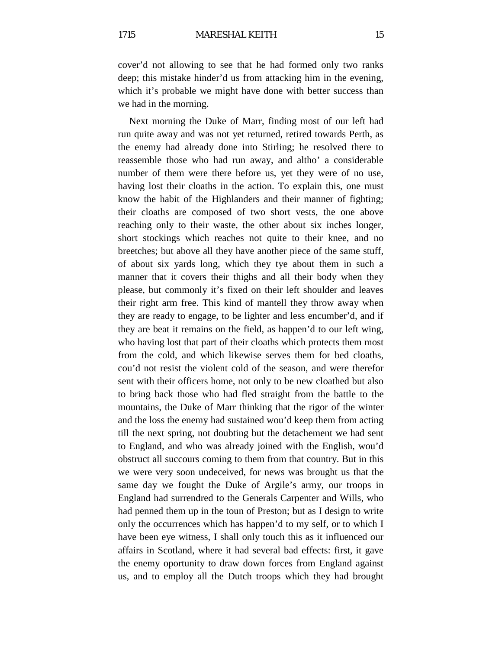cover'd not allowing to see that he had formed only two ranks deep; this mistake hinder'd us from attacking him in the evening, which it's probable we might have done with better success than we had in the morning.

Next morning the Duke of Marr, finding most of our left had run quite away and was not yet returned, retired towards Perth, as the enemy had already done into Stirling; he resolved there to reassemble those who had run away, and altho' a considerable number of them were there before us, yet they were of no use, having lost their cloaths in the action. To explain this, one must know the habit of the Highlanders and their manner of fighting; their cloaths are composed of two short vests, the one above reaching only to their waste, the other about six inches longer, short stockings which reaches not quite to their knee, and no breetches; but above all they have another piece of the same stuff, of about six yards long, which they tye about them in such a manner that it covers their thighs and all their body when they please, but commonly it's fixed on their left shoulder and leaves their right arm free. This kind of mantell they throw away when they are ready to engage, to be lighter and less encumber'd, and if they are beat it remains on the field, as happen'd to our left wing, who having lost that part of their cloaths which protects them most from the cold, and which likewise serves them for bed cloaths, cou'd not resist the violent cold of the season, and were therefor sent with their officers home, not only to be new cloathed but also to bring back those who had fled straight from the battle to the mountains, the Duke of Marr thinking that the rigor of the winter and the loss the enemy had sustained wou'd keep them from acting till the next spring, not doubting but the detachement we had sent to England, and who was already joined with the English, wou'd obstruct all succours coming to them from that country. But in this we were very soon undeceived, for news was brought us that the same day we fought the Duke of Argile's army, our troops in England had surrendred to the Generals Carpenter and Wills, who had penned them up in the toun of Preston; but as I design to write only the occurrences which has happen'd to my self, or to which I have been eye witness, I shall only touch this as it influenced our affairs in Scotland, where it had several bad effects: first, it gave the enemy oportunity to draw down forces from England against us, and to employ all the Dutch troops which they had brought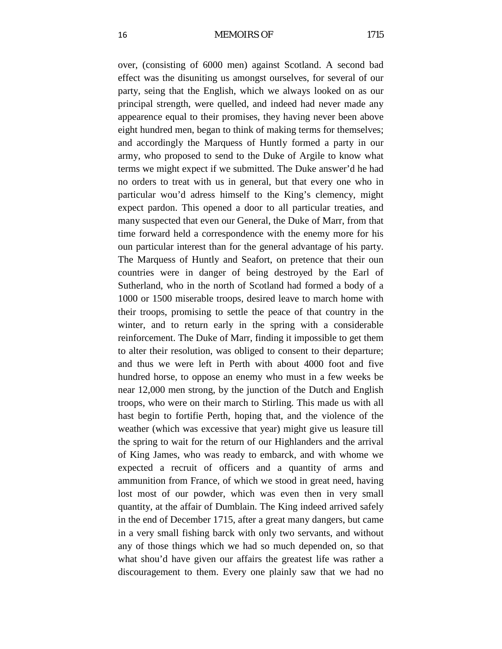over, (consisting of 6000 men) against Scotland. A second bad effect was the disuniting us amongst ourselves, for several of our party, seing that the English, which we always looked on as our principal strength, were quelled, and indeed had never made any appearence equal to their promises, they having never been above eight hundred men, began to think of making terms for themselves; and accordingly the Marquess of Huntly formed a party in our army, who proposed to send to the Duke of Argile to know what terms we might expect if we submitted. The Duke answer'd he had no orders to treat with us in general, but that every one who in particular wou'd adress himself to the King's clemency, might expect pardon. This opened a door to all particular treaties, and many suspected that even our General, the Duke of Marr, from that time forward held a correspondence with the enemy more for his oun particular interest than for the general advantage of his party. The Marquess of Huntly and Seafort, on pretence that their oun countries were in danger of being destroyed by the Earl of Sutherland, who in the north of Scotland had formed a body of a 1000 or 1500 miserable troops, desired leave to march home with their troops, promising to settle the peace of that country in the winter, and to return early in the spring with a considerable reinforcement. The Duke of Marr, finding it impossible to get them to alter their resolution, was obliged to consent to their departure; and thus we were left in Perth with about 4000 foot and five hundred horse, to oppose an enemy who must in a few weeks be near 12,000 men strong, by the junction of the Dutch and English troops, who were on their march to Stirling. This made us with all hast begin to fortifie Perth, hoping that, and the violence of the weather (which was excessive that year) might give us leasure till the spring to wait for the return of our Highlanders and the arrival of King James, who was ready to embarck, and with whome we expected a recruit of officers and a quantity of arms and ammunition from France, of which we stood in great need, having lost most of our powder, which was even then in very small quantity, at the affair of Dumblain. The King indeed arrived safely in the end of December 1715, after a great many dangers, but came in a very small fishing barck with only two servants, and without any of those things which we had so much depended on, so that what shou'd have given our affairs the greatest life was rather a discouragement to them. Every one plainly saw that we had no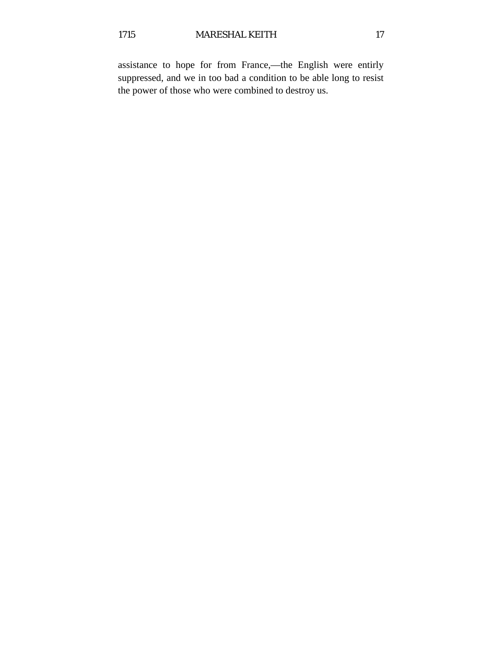assistance to hope for from France,—the English were entirly suppressed, and we in too bad a condition to be able long to resist the power of those who were combined to destroy us.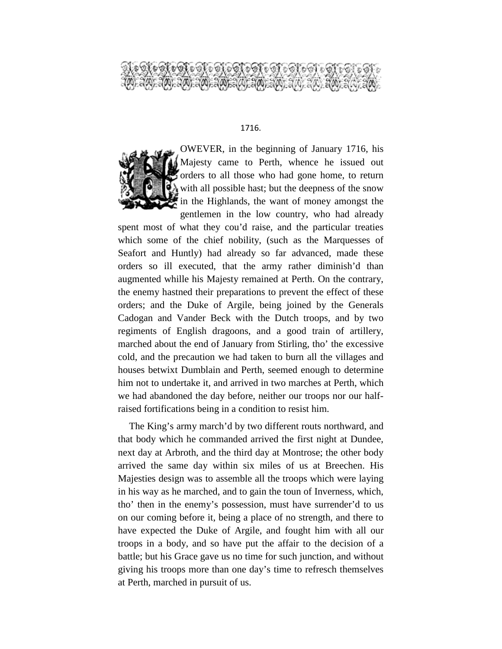

### 1716.



OWEVER, in the beginning of January 1716, his Majesty came to Perth, whence he issued out orders to all those who had gone home, to return with all possible hast; but the deepness of the snow in the Highlands, the want of money amongst the gentlemen in the low country, who had already

spent most of what they cou'd raise, and the particular treaties which some of the chief nobility, (such as the Marquesses of Seafort and Huntly) had already so far advanced, made these orders so ill executed, that the army rather diminish'd than augmented whille his Majesty remained at Perth. On the contrary, the enemy hastned their preparations to prevent the effect of these orders; and the Duke of Argile, being joined by the Generals Cadogan and Vander Beck with the Dutch troops, and by two regiments of English dragoons, and a good train of artillery, marched about the end of January from Stirling, tho' the excessive cold, and the precaution we had taken to burn all the villages and houses betwixt Dumblain and Perth, seemed enough to determine him not to undertake it, and arrived in two marches at Perth, which we had abandoned the day before, neither our troops nor our halfraised fortifications being in a condition to resist him.

The King's army march'd by two different routs northward, and that body which he commanded arrived the first night at Dundee, next day at Arbroth, and the third day at Montrose; the other body arrived the same day within six miles of us at Breechen. His Majesties design was to assemble all the troops which were laying in his way as he marched, and to gain the toun of Inverness, which, tho' then in the enemy's possession, must have surrender'd to us on our coming before it, being a place of no strength, and there to have expected the Duke of Argile, and fought him with all our troops in a body, and so have put the affair to the decision of a battle; but his Grace gave us no time for such junction, and without giving his troops more than one day's time to refresch themselves at Perth, marched in pursuit of us.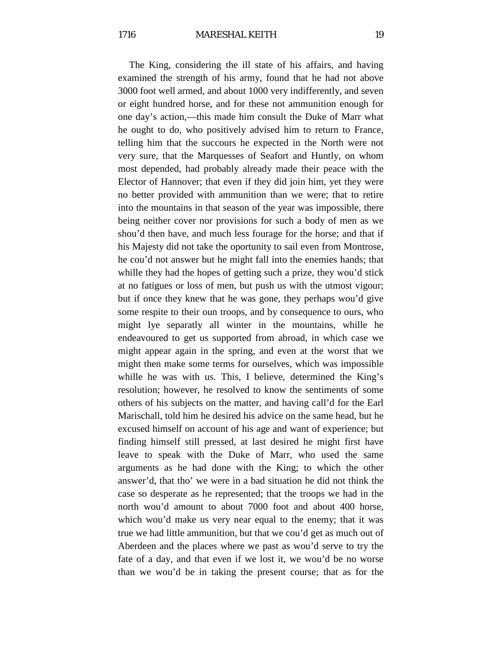The King, considering the ill state of his affairs, and having examined the strength of his army, found that he had not above 3000 foot well armed, and about 1000 very indifferently, and seven or eight hundred horse, and for these not ammunition enough for one day's action,—this made him consult the Duke of Marr what he ought to do, who positively advised him to return to France, telling him that the succours he expected in the North were not very sure, that the Marquesses of Seafort and Huntly, on whom most depended, had probably already made their peace with the Elector of Hannover; that even if they did join him, yet they were no better provided with ammunition than we were; that to retire into the mountains in that season of the year was impossible, there being neither cover nor provisions for such a body of men as we shou'd then have, and much less fourage for the horse; and that if his Majesty did not take the oportunity to sail even from Montrose, he cou'd not answer but he might fall into the enemies hands; that whille they had the hopes of getting such a prize, they wou'd stick at no fatigues or loss of men, but push us with the utmost vigour; but if once they knew that he was gone, they perhaps wou'd give some respite to their oun troops, and by consequence to ours, who might lye separatly all winter in the mountains, whille he endeavoured to get us supported from abroad, in which case we might appear again in the spring, and even at the worst that we might then make some terms for ourselves, which was impossible whille he was with us. This, I believe, determined the King's resolution; however, he resolved to know the sentiments of some others of his subjects on the matter, and having call'd for the Earl Marischall, told him he desired his advice on the same head, but he excused himself on account of his age and want of experience; but finding himself still pressed, at last desired he might first have leave to speak with the Duke of Marr, who used the same arguments as he had done with the King; to which the other answer'd, that tho' we were in a bad situation he did not think the case so desperate as he represented; that the troops we had in the north wou'd amount to about 7000 foot and about 400 horse, which wou'd make us very near equal to the enemy; that it was true we had little ammunition, but that we cou'd get as much out of Aberdeen and the places where we past as wou'd serve to try the fate of a day, and that even if we lost it, we wou'd be no worse than we wou'd be in taking the present course; that as for the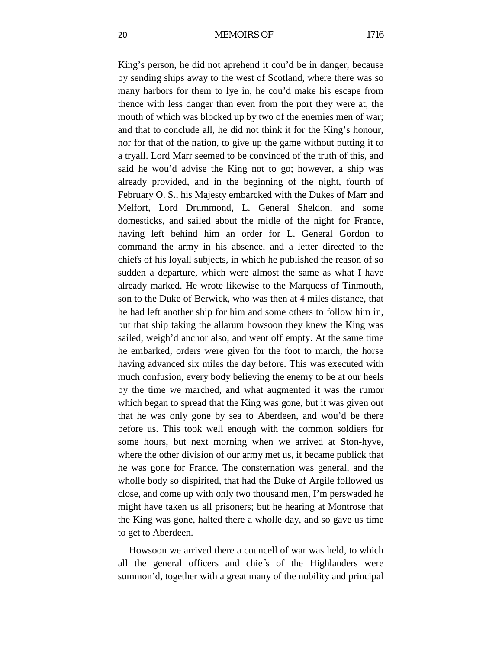King's person, he did not aprehend it cou'd be in danger, because by sending ships away to the west of Scotland, where there was so many harbors for them to lye in, he cou'd make his escape from thence with less danger than even from the port they were at, the mouth of which was blocked up by two of the enemies men of war; and that to conclude all, he did not think it for the King's honour, nor for that of the nation, to give up the game without putting it to a tryall. Lord Marr seemed to be convinced of the truth of this, and said he wou'd advise the King not to go; however, a ship was already provided, and in the beginning of the night, fourth of February O. S., his Majesty embarcked with the Dukes of Marr and Melfort, Lord Drummond, L. General Sheldon, and some domesticks, and sailed about the midle of the night for France, having left behind him an order for L. General Gordon to command the army in his absence, and a letter directed to the chiefs of his loyall subjects, in which he published the reason of so sudden a departure, which were almost the same as what I have already marked. He wrote likewise to the Marquess of Tinmouth, son to the Duke of Berwick, who was then at 4 miles distance, that he had left another ship for him and some others to follow him in, but that ship taking the allarum howsoon they knew the King was sailed, weigh'd anchor also, and went off empty. At the same time he embarked, orders were given for the foot to march, the horse having advanced six miles the day before. This was executed with much confusion, every body believing the enemy to be at our heels by the time we marched, and what augmented it was the rumor which began to spread that the King was gone, but it was given out that he was only gone by sea to Aberdeen, and wou'd be there before us. This took well enough with the common soldiers for some hours, but next morning when we arrived at Ston-hyve, where the other division of our army met us, it became publick that he was gone for France. The consternation was general, and the wholle body so dispirited, that had the Duke of Argile followed us close, and come up with only two thousand men, I'm perswaded he might have taken us all prisoners; but he hearing at Montrose that the King was gone, halted there a wholle day, and so gave us time to get to Aberdeen.

Howsoon we arrived there a councell of war was held, to which all the general officers and chiefs of the Highlanders were summon'd, together with a great many of the nobility and principal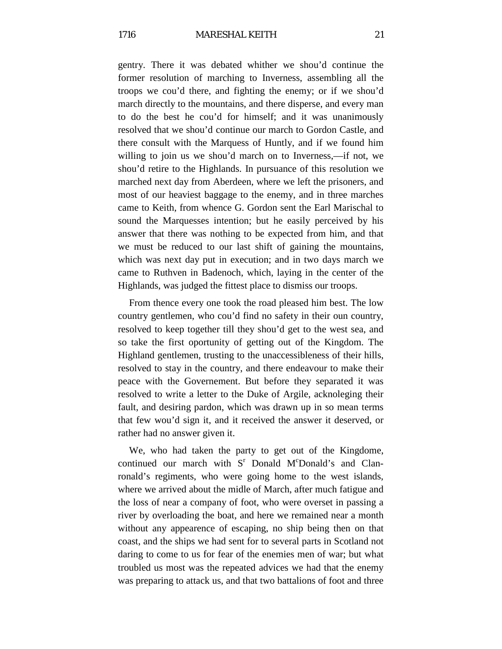gentry. There it was debated whither we shou'd continue the former resolution of marching to Inverness, assembling all the troops we cou'd there, and fighting the enemy; or if we shou'd march directly to the mountains, and there disperse, and every man to do the best he cou'd for himself; and it was unanimously resolved that we shou'd continue our march to Gordon Castle, and there consult with the Marquess of Huntly, and if we found him willing to join us we shou'd march on to Inverness,—if not, we shou'd retire to the Highlands. In pursuance of this resolution we marched next day from Aberdeen, where we left the prisoners, and most of our heaviest baggage to the enemy, and in three marches came to Keith, from whence G. Gordon sent the Earl Marischal to sound the Marquesses intention; but he easily perceived by his answer that there was nothing to be expected from him, and that we must be reduced to our last shift of gaining the mountains, which was next day put in execution; and in two days march we came to Ruthven in Badenoch, which, laying in the center of the Highlands, was judged the fittest place to dismiss our troops.

From thence every one took the road pleased him best. The low country gentlemen, who cou'd find no safety in their oun country, resolved to keep together till they shou'd get to the west sea, and so take the first oportunity of getting out of the Kingdom. The Highland gentlemen, trusting to the unaccessibleness of their hills, resolved to stay in the country, and there endeavour to make their peace with the Governement. But before they separated it was resolved to write a letter to the Duke of Argile, acknoleging their fault, and desiring pardon, which was drawn up in so mean terms that few wou'd sign it, and it received the answer it deserved, or rather had no answer given it.

We, who had taken the party to get out of the Kingdome, continued our march with  $S<sup>r</sup>$  Donald M°Donald's and Clanronald's regiments, who were going home to the west islands, where we arrived about the midle of March, after much fatigue and the loss of near a company of foot, who were overset in passing a river by overloading the boat, and here we remained near a month without any appearence of escaping, no ship being then on that coast, and the ships we had sent for to several parts in Scotland not daring to come to us for fear of the enemies men of war; but what troubled us most was the repeated advices we had that the enemy was preparing to attack us, and that two battalions of foot and three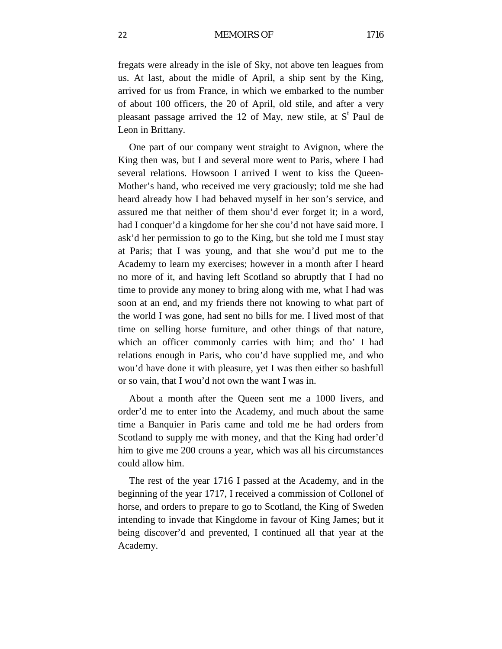fregats were already in the isle of Sky, not above ten leagues from us. At last, about the midle of April, a ship sent by the King, arrived for us from France, in which we embarked to the number of about 100 officers, the 20 of April, old stile, and after a very pleasant passage arrived the 12 of May, new stile, at  $S<sup>t</sup>$  Paul de Leon in Brittany.

One part of our company went straight to Avignon, where the King then was, but I and several more went to Paris, where I had several relations. Howsoon I arrived I went to kiss the Queen-Mother's hand, who received me very graciously; told me she had heard already how I had behaved myself in her son's service, and assured me that neither of them shou'd ever forget it; in a word, had I conquer'd a kingdome for her she cou'd not have said more. I ask'd her permission to go to the King, but she told me I must stay at Paris; that I was young, and that she wou'd put me to the Academy to learn my exercises; however in a month after I heard no more of it, and having left Scotland so abruptly that I had no time to provide any money to bring along with me, what I had was soon at an end, and my friends there not knowing to what part of the world I was gone, had sent no bills for me. I lived most of that time on selling horse furniture, and other things of that nature, which an officer commonly carries with him; and tho' I had relations enough in Paris, who cou'd have supplied me, and who wou'd have done it with pleasure, yet I was then either so bashfull or so vain, that I wou'd not own the want I was in.

About a month after the Queen sent me a 1000 livers, and order'd me to enter into the Academy, and much about the same time a Banquier in Paris came and told me he had orders from Scotland to supply me with money, and that the King had order'd him to give me 200 crouns a year, which was all his circumstances could allow him.

The rest of the year 1716 I passed at the Academy, and in the beginning of the year 1717, I received a commission of Collonel of horse, and orders to prepare to go to Scotland, the King of Sweden intending to invade that Kingdome in favour of King James; but it being discover'd and prevented, I continued all that year at the Academy.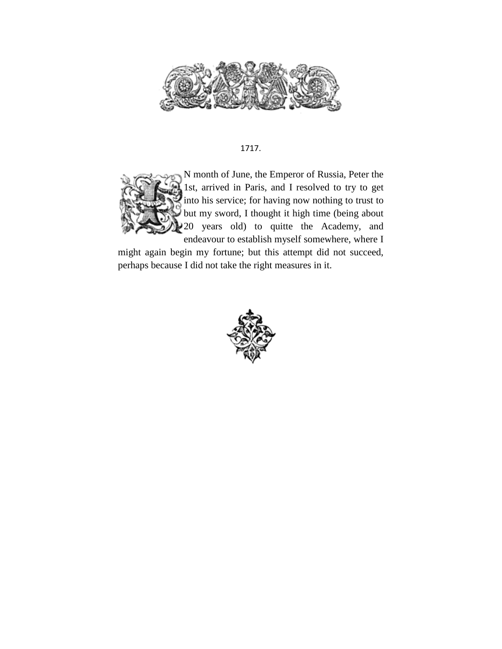

### 1717.



might again begin my fortune; but this attempt did not succeed, perhaps because I did not take the right measures in it.

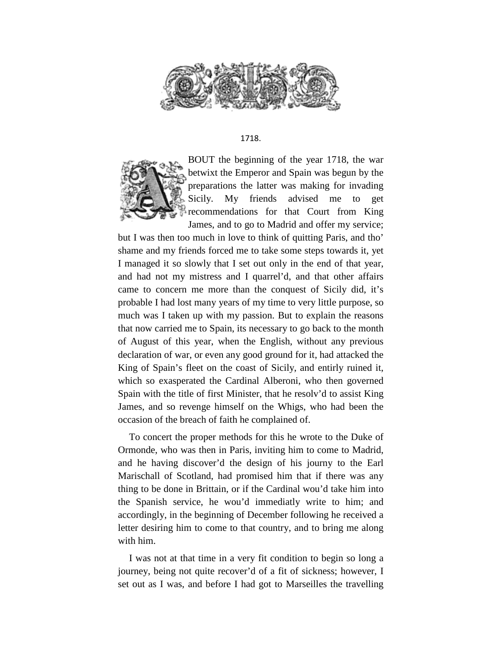

1718.



BOUT the beginning of the year 1718, the war betwixt the Emperor and Spain was begun by the preparations the latter was making for invading Sicily. My friends advised me to get recommendations for that Court from King James, and to go to Madrid and offer my service;

but I was then too much in love to think of quitting Paris, and tho' shame and my friends forced me to take some steps towards it, yet I managed it so slowly that I set out only in the end of that year, and had not my mistress and I quarrel'd, and that other affairs came to concern me more than the conquest of Sicily did, it's probable I had lost many years of my time to very little purpose, so much was I taken up with my passion. But to explain the reasons that now carried me to Spain, its necessary to go back to the month of August of this year, when the English, without any previous declaration of war, or even any good ground for it, had attacked the King of Spain's fleet on the coast of Sicily, and entirly ruined it, which so exasperated the Cardinal Alberoni, who then governed Spain with the title of first Minister, that he resolv'd to assist King James, and so revenge himself on the Whigs, who had been the occasion of the breach of faith he complained of.

To concert the proper methods for this he wrote to the Duke of Ormonde, who was then in Paris, inviting him to come to Madrid, and he having discover'd the design of his journy to the Earl Marischall of Scotland, had promised him that if there was any thing to be done in Brittain, or if the Cardinal wou'd take him into the Spanish service, he wou'd immediatly write to him; and accordingly, in the beginning of December following he received a letter desiring him to come to that country, and to bring me along with him.

I was not at that time in a very fit condition to begin so long a journey, being not quite recover'd of a fit of sickness; however, I set out as I was, and before I had got to Marseilles the travelling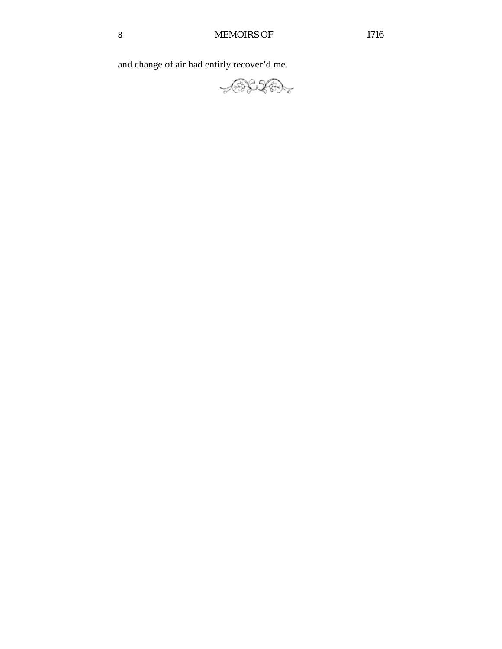and change of air had entirly recover'd me.

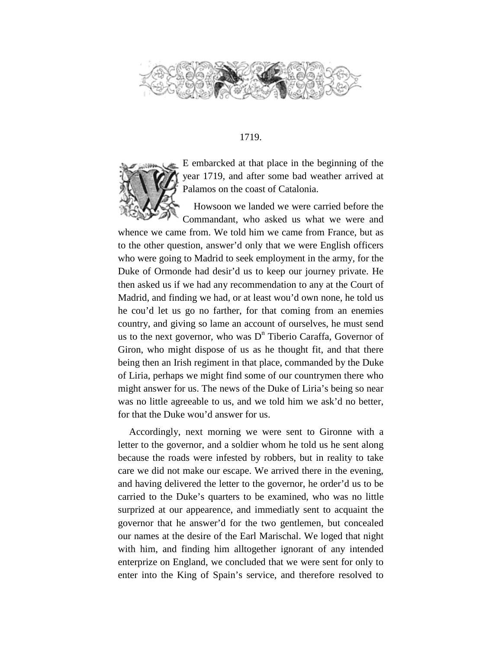

1719.



E embarcked at that place in the beginning of the year 1719, and after some bad weather arrived at Palamos on the coast of Catalonia.

Howsoon we landed we were carried before the Commandant, who asked us what we were and

whence we came from. We told him we came from France, but as to the other question, answer'd only that we were English officers who were going to Madrid to seek employment in the army, for the Duke of Ormonde had desir'd us to keep our journey private. He then asked us if we had any recommendation to any at the Court of Madrid, and finding we had, or at least wou'd own none, he told us he cou'd let us go no farther, for that coming from an enemies country, and giving so lame an account of ourselves, he must send us to the next governor, who was  $D<sup>n</sup>$  Tiberio Caraffa, Governor of Giron, who might dispose of us as he thought fit, and that there being then an Irish regiment in that place, commanded by the Duke of Liria, perhaps we might find some of our countrymen there who might answer for us. The news of the Duke of Liria's being so near was no little agreeable to us, and we told him we ask'd no better, for that the Duke wou'd answer for us.

Accordingly, next morning we were sent to Gironne with a letter to the governor, and a soldier whom he told us he sent along because the roads were infested by robbers, but in reality to take care we did not make our escape. We arrived there in the evening, and having delivered the letter to the governor, he order'd us to be carried to the Duke's quarters to be examined, who was no little surprized at our appearence, and immediatly sent to acquaint the governor that he answer'd for the two gentlemen, but concealed our names at the desire of the Earl Marischal. We loged that night with him, and finding him alltogether ignorant of any intended enterprize on England, we concluded that we were sent for only to enter into the King of Spain's service, and therefore resolved to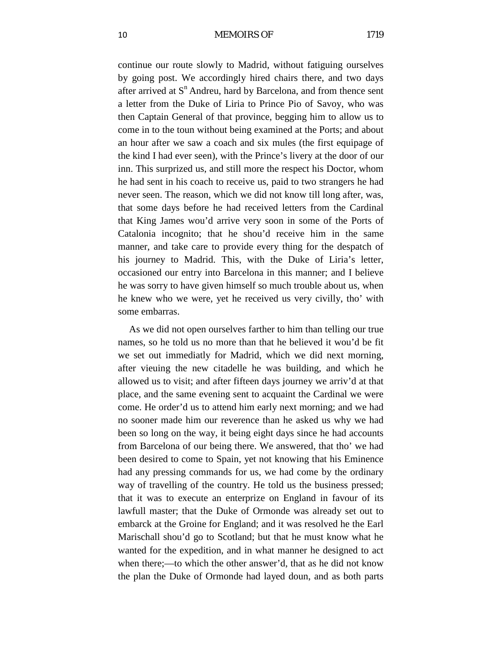continue our route slowly to Madrid, without fatiguing ourselves by going post. We accordingly hired chairs there, and two days after arrived at  $S<sup>n</sup>$  Andreu, hard by Barcelona, and from thence sent a letter from the Duke of Liria to Prince Pio of Savoy, who was then Captain General of that province, begging him to allow us to come in to the toun without being examined at the Ports; and about an hour after we saw a coach and six mules (the first equipage of the kind I had ever seen), with the Prince's livery at the door of our inn. This surprized us, and still more the respect his Doctor, whom he had sent in his coach to receive us, paid to two strangers he had never seen. The reason, which we did not know till long after, was, that some days before he had received letters from the Cardinal that King James wou'd arrive very soon in some of the Ports of Catalonia incognito; that he shou'd receive him in the same manner, and take care to provide every thing for the despatch of his journey to Madrid. This, with the Duke of Liria's letter, occasioned our entry into Barcelona in this manner; and I believe he was sorry to have given himself so much trouble about us, when he knew who we were, yet he received us very civilly, tho' with some embarras.

As we did not open ourselves farther to him than telling our true names, so he told us no more than that he believed it wou'd be fit we set out immediatly for Madrid, which we did next morning, after vieuing the new citadelle he was building, and which he allowed us to visit; and after fifteen days journey we arriv'd at that place, and the same evening sent to acquaint the Cardinal we were come. He order'd us to attend him early next morning; and we had no sooner made him our reverence than he asked us why we had been so long on the way, it being eight days since he had accounts from Barcelona of our being there. We answered, that tho' we had been desired to come to Spain, yet not knowing that his Eminence had any pressing commands for us, we had come by the ordinary way of travelling of the country. He told us the business pressed; that it was to execute an enterprize on England in favour of its lawfull master; that the Duke of Ormonde was already set out to embarck at the Groine for England; and it was resolved he the Earl Marischall shou'd go to Scotland; but that he must know what he wanted for the expedition, and in what manner he designed to act when there;—to which the other answer'd, that as he did not know the plan the Duke of Ormonde had layed doun, and as both parts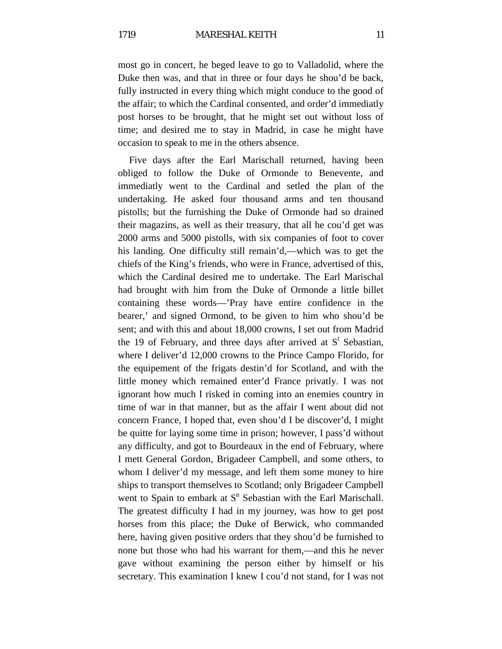most go in concert, he beged leave to go to Valladolid, where the Duke then was, and that in three or four days he shou'd be back, fully instructed in every thing which might conduce to the good of the affair; to which the Cardinal consented, and order'd immediatly post horses to be brought, that he might set out without loss of time; and desired me to stay in Madrid, in case he might have occasion to speak to me in the others absence.

Five days after the Earl Marischall returned, having been obliged to follow the Duke of Ormonde to Benevente, and immediatly went to the Cardinal and setled the plan of the undertaking. He asked four thousand arms and ten thousand pistolls; but the furnishing the Duke of Ormonde had so drained their magazins, as well as their treasury, that all he cou'd get was 2000 arms and 5000 pistolls, with six companies of foot to cover his landing. One difficulty still remain'd,—which was to get the chiefs of the King's friends, who were in France, advertised of this, which the Cardinal desired me to undertake. The Earl Marischal had brought with him from the Duke of Ormonde a little billet containing these words—'Pray have entire confidence in the bearer,' and signed Ormond, to be given to him who shou'd be sent; and with this and about 18,000 crowns, I set out from Madrid the 19 of February, and three days after arrived at  $S<sup>t</sup>$  Sebastian, where I deliver'd 12,000 crowns to the Prince Campo Florido, for the equipement of the frigats destin'd for Scotland, and with the little money which remained enter'd France privatly. I was not ignorant how much I risked in coming into an enemies country in time of war in that manner, but as the affair I went about did not concern France, I hoped that, even shou'd I be discover'd, I might be quitte for laying some time in prison; however, I pass'd without any difficulty, and got to Bourdeaux in the end of February, where I mett General Gordon, Brigadeer Campbell, and some others, to whom I deliver'd my message, and left them some money to hire ships to transport themselves to Scotland; only Brigadeer Campbell went to Spain to embark at  $S<sup>n</sup>$  Sebastian with the Earl Marischall. The greatest difficulty I had in my journey, was how to get post horses from this place; the Duke of Berwick, who commanded here, having given positive orders that they shou'd be furnished to none but those who had his warrant for them,—and this he never gave without examining the person either by himself or his secretary. This examination I knew I cou'd not stand, for I was not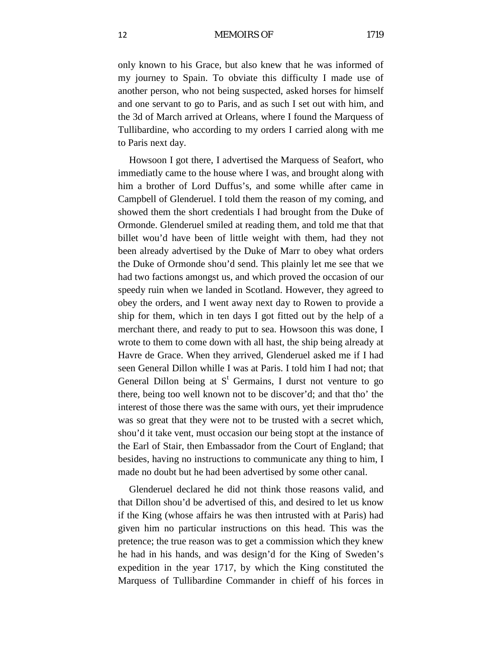Tullibardine, who according to my orders I carried along with me

Howsoon I got there, I advertised the Marquess of Seafort, who immediatly came to the house where I was, and brought along with him a brother of Lord Duffus's, and some whille after came in Campbell of Glenderuel. I told them the reason of my coming, and showed them the short credentials I had brought from the Duke of Ormonde. Glenderuel smiled at reading them, and told me that that billet wou'd have been of little weight with them, had they not been already advertised by the Duke of Marr to obey what orders the Duke of Ormonde shou'd send. This plainly let me see that we had two factions amongst us, and which proved the occasion of our speedy ruin when we landed in Scotland. However, they agreed to obey the orders, and I went away next day to Rowen to provide a ship for them, which in ten days I got fitted out by the help of a merchant there, and ready to put to sea. Howsoon this was done, I wrote to them to come down with all hast, the ship being already at Havre de Grace. When they arrived, Glenderuel asked me if I had seen General Dillon whille I was at Paris. I told him I had not; that General Dillon being at  $S^t$  Germains, I durst not venture to go there, being too well known not to be discover'd; and that tho' the interest of those there was the same with ours, yet their imprudence was so great that they were not to be trusted with a secret which, shou'd it take vent, must occasion our being stopt at the instance of the Earl of Stair, then Embassador from the Court of England; that besides, having no instructions to communicate any thing to him, I made no doubt but he had been advertised by some other canal.

Glenderuel declared he did not think those reasons valid, and that Dillon shou'd be advertised of this, and desired to let us know if the King (whose affairs he was then intrusted with at Paris) had given him no particular instructions on this head. This was the pretence; the true reason was to get a commission which they knew he had in his hands, and was design'd for the King of Sweden's expedition in the year 1717, by which the King constituted the Marquess of Tullibardine Commander in chieff of his forces in

to Paris next day.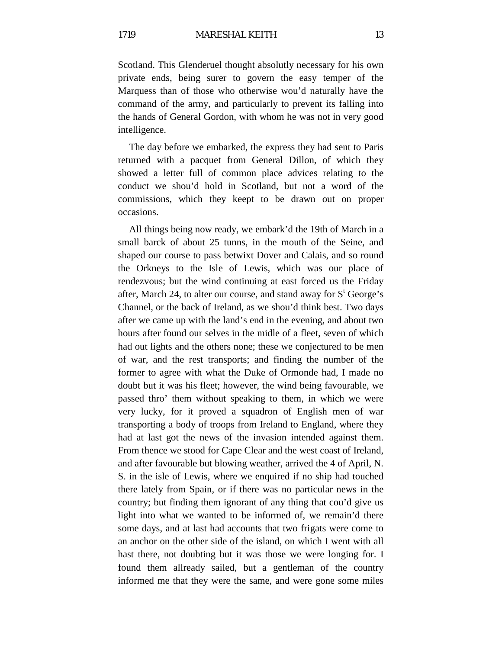Scotland. This Glenderuel thought absolutly necessary for his own private ends, being surer to govern the easy temper of the Marquess than of those who otherwise wou'd naturally have the command of the army, and particularly to prevent its falling into the hands of General Gordon, with whom he was not in very good intelligence.

The day before we embarked, the express they had sent to Paris returned with a pacquet from General Dillon, of which they showed a letter full of common place advices relating to the conduct we shou'd hold in Scotland, but not a word of the commissions, which they keept to be drawn out on proper occasions.

All things being now ready, we embark'd the 19th of March in a small barck of about 25 tunns, in the mouth of the Seine, and shaped our course to pass betwixt Dover and Calais, and so round the Orkneys to the Isle of Lewis, which was our place of rendezvous; but the wind continuing at east forced us the Friday after, March 24, to alter our course, and stand away for  $S^t$  George's Channel, or the back of Ireland, as we shou'd think best. Two days after we came up with the land's end in the evening, and about two hours after found our selves in the midle of a fleet, seven of which had out lights and the others none; these we conjectured to be men of war, and the rest transports; and finding the number of the former to agree with what the Duke of Ormonde had, I made no doubt but it was his fleet; however, the wind being favourable, we passed thro' them without speaking to them, in which we were very lucky, for it proved a squadron of English men of war transporting a body of troops from Ireland to England, where they had at last got the news of the invasion intended against them. From thence we stood for Cape Clear and the west coast of Ireland, and after favourable but blowing weather, arrived the 4 of April, N. S. in the isle of Lewis, where we enquired if no ship had touched there lately from Spain, or if there was no particular news in the country; but finding them ignorant of any thing that cou'd give us light into what we wanted to be informed of, we remain'd there some days, and at last had accounts that two frigats were come to an anchor on the other side of the island, on which I went with all hast there, not doubting but it was those we were longing for. I found them allready sailed, but a gentleman of the country informed me that they were the same, and were gone some miles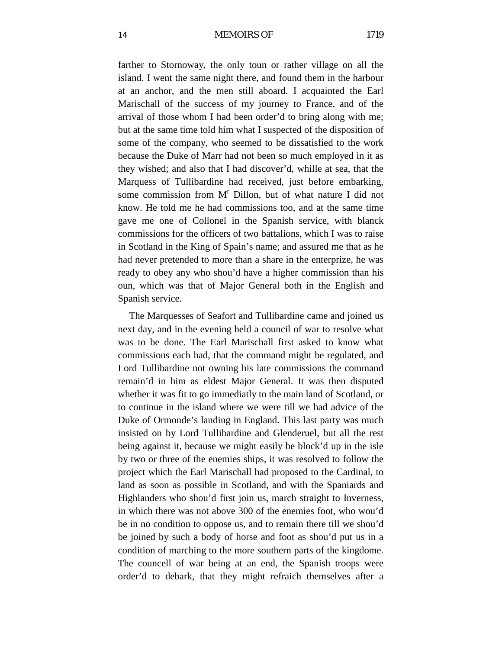farther to Stornoway, the only toun or rather village on all the island. I went the same night there, and found them in the harbour at an anchor, and the men still aboard. I acquainted the Earl Marischall of the success of my journey to France, and of the arrival of those whom I had been order'd to bring along with me; but at the same time told him what I suspected of the disposition of some of the company, who seemed to be dissatisfied to the work because the Duke of Marr had not been so much employed in it as they wished; and also that I had discover'd, whille at sea, that the Marquess of Tullibardine had received, just before embarking, some commission from  $M<sup>r</sup>$  Dillon, but of what nature I did not know. He told me he had commissions too, and at the same time gave me one of Collonel in the Spanish service, with blanck commissions for the officers of two battalions, which I was to raise in Scotland in the King of Spain's name; and assured me that as he had never pretended to more than a share in the enterprize, he was ready to obey any who shou'd have a higher commission than his oun, which was that of Major General both in the English and Spanish service.

The Marquesses of Seafort and Tullibardine came and joined us next day, and in the evening held a council of war to resolve what was to be done. The Earl Marischall first asked to know what commissions each had, that the command might be regulated, and Lord Tullibardine not owning his late commissions the command remain'd in him as eldest Major General. It was then disputed whether it was fit to go immediatly to the main land of Scotland, or to continue in the island where we were till we had advice of the Duke of Ormonde's landing in England. This last party was much insisted on by Lord Tullibardine and Glenderuel, but all the rest being against it, because we might easily be block'd up in the isle by two or three of the enemies ships, it was resolved to follow the project which the Earl Marischall had proposed to the Cardinal, to land as soon as possible in Scotland, and with the Spaniards and Highlanders who shou'd first join us, march straight to Inverness, in which there was not above 300 of the enemies foot, who wou'd be in no condition to oppose us, and to remain there till we shou'd be joined by such a body of horse and foot as shou'd put us in a condition of marching to the more southern parts of the kingdome. The councell of war being at an end, the Spanish troops were order'd to debark, that they might refraich themselves after a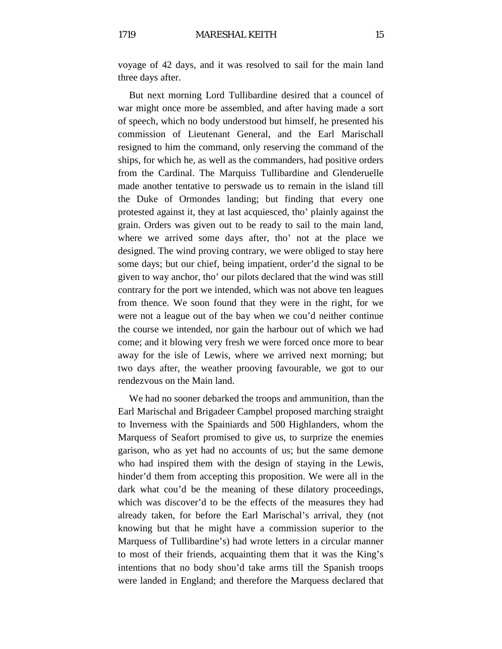voyage of 42 days, and it was resolved to sail for the main land three days after.

But next morning Lord Tullibardine desired that a councel of war might once more be assembled, and after having made a sort of speech, which no body understood but himself, he presented his commission of Lieutenant General, and the Earl Marischall resigned to him the command, only reserving the command of the ships, for which he, as well as the commanders, had positive orders from the Cardinal. The Marquiss Tullibardine and Glenderuelle made another tentative to perswade us to remain in the island till the Duke of Ormondes landing; but finding that every one protested against it, they at last acquiesced, tho' plainly against the grain. Orders was given out to be ready to sail to the main land, where we arrived some days after, tho' not at the place we designed. The wind proving contrary, we were obliged to stay here some days; but our chief, being impatient, order'd the signal to be given to way anchor, tho' our pilots declared that the wind was still contrary for the port we intended, which was not above ten leagues from thence. We soon found that they were in the right, for we were not a league out of the bay when we cou'd neither continue the course we intended, nor gain the harbour out of which we had come; and it blowing very fresh we were forced once more to bear away for the isle of Lewis, where we arrived next morning; but two days after, the weather prooving favourable, we got to our rendezvous on the Main land.

We had no sooner debarked the troops and ammunition, than the Earl Marischal and Brigadeer Campbel proposed marching straight to Inverness with the Spainiards and 500 Highlanders, whom the Marquess of Seafort promised to give us, to surprize the enemies garison, who as yet had no accounts of us; but the same demone who had inspired them with the design of staying in the Lewis, hinder'd them from accepting this proposition. We were all in the dark what cou'd be the meaning of these dilatory proceedings, which was discover'd to be the effects of the measures they had already taken, for before the Earl Marischal's arrival, they (not knowing but that he might have a commission superior to the Marquess of Tullibardine's) had wrote letters in a circular manner to most of their friends, acquainting them that it was the King's intentions that no body shou'd take arms till the Spanish troops were landed in England; and therefore the Marquess declared that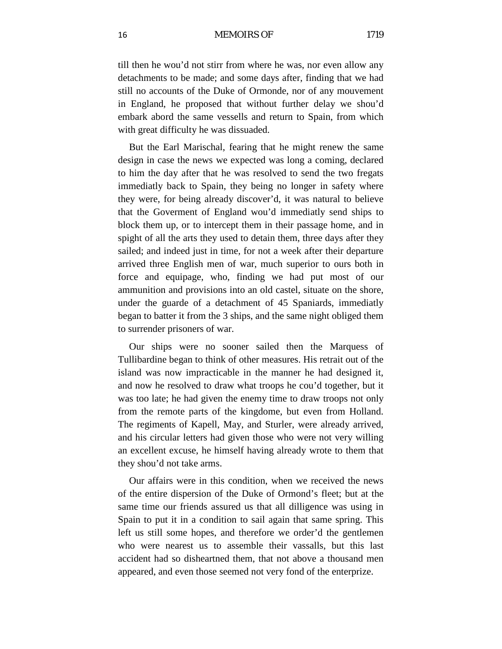till then he wou'd not stirr from where he was, nor even allow any detachments to be made; and some days after, finding that we had still no accounts of the Duke of Ormonde, nor of any mouvement in England, he proposed that without further delay we shou'd embark abord the same vessells and return to Spain, from which with great difficulty he was dissuaded.

But the Earl Marischal, fearing that he might renew the same design in case the news we expected was long a coming, declared to him the day after that he was resolved to send the two fregats immediatly back to Spain, they being no longer in safety where they were, for being already discover'd, it was natural to believe that the Goverment of England wou'd immediatly send ships to block them up, or to intercept them in their passage home, and in spight of all the arts they used to detain them, three days after they sailed; and indeed just in time, for not a week after their departure arrived three English men of war, much superior to ours both in force and equipage, who, finding we had put most of our ammunition and provisions into an old castel, situate on the shore, under the guarde of a detachment of 45 Spaniards, immediatly began to batter it from the 3 ships, and the same night obliged them to surrender prisoners of war.

Our ships were no sooner sailed then the Marquess of Tullibardine began to think of other measures. His retrait out of the island was now impracticable in the manner he had designed it, and now he resolved to draw what troops he cou'd together, but it was too late; he had given the enemy time to draw troops not only from the remote parts of the kingdome, but even from Holland. The regiments of Kapell, May, and Sturler, were already arrived, and his circular letters had given those who were not very willing an excellent excuse, he himself having already wrote to them that they shou'd not take arms.

Our affairs were in this condition, when we received the news of the entire dispersion of the Duke of Ormond's fleet; but at the same time our friends assured us that all dilligence was using in Spain to put it in a condition to sail again that same spring. This left us still some hopes, and therefore we order'd the gentlemen who were nearest us to assemble their vassalls, but this last accident had so disheartned them, that not above a thousand men appeared, and even those seemed not very fond of the enterprize.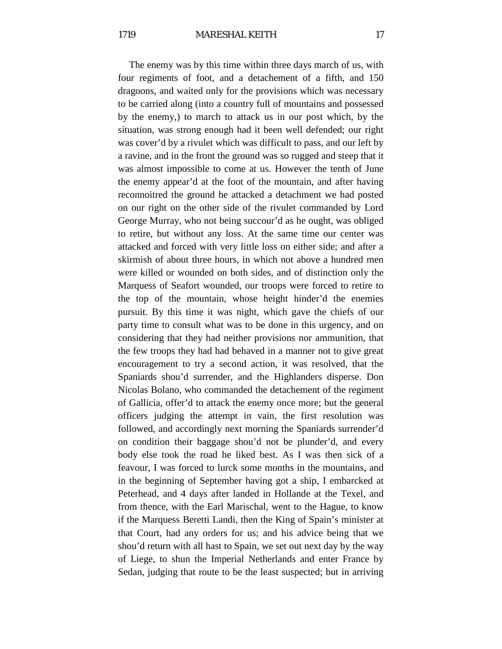The enemy was by this time within three days march of us, with four regiments of foot, and a detachement of a fifth, and 150 dragoons, and waited only for the provisions which was necessary to be carried along (into a country full of mountains and possessed by the enemy,) to march to attack us in our post which, by the situation, was strong enough had it been well defended; our right was cover'd by a rivulet which was difficult to pass, and our left by a ravine, and in the front the ground was so rugged and steep that it was almost impossible to come at us. However the tenth of June the enemy appear'd at the foot of the mountain, and after having reconnoitred the ground he attacked a detachment we had posted on our right on the other side of the rivulet commanded by Lord George Murray, who not being succour'd as he ought, was obliged to retire, but without any loss. At the same time our center was attacked and forced with very little loss on either side; and after a skirmish of about three hours, in which not above a hundred men were killed or wounded on both sides, and of distinction only the Marquess of Seafort wounded, our troops were forced to retire to the top of the mountain, whose height hinder'd the enemies pursuit. By this time it was night, which gave the chiefs of our party time to consult what was to be done in this urgency, and on considering that they had neither provisions nor ammunition, that the few troops they had had behaved in a manner not to give great encouragement to try a second action, it was resolved, that the Spaniards shou'd surrender, and the Highlanders disperse. Don Nicolas Bolano, who commanded the detachement of the regiment of Gallicia, offer'd to attack the enemy once more; but the general officers judging the attempt in vain, the first resolution was followed, and accordingly next morning the Spaniards surrender'd on condition their baggage shou'd not be plunder'd, and every body else took the road he liked best. As I was then sick of a feavour, I was forced to lurck some months in the mountains, and in the beginning of September having got a ship, I embarcked at Peterhead, and 4 days after landed in Hollande at the Texel, and from thence, with the Earl Marischal, went to the Hague, to know if the Marquess Beretti Landi, then the King of Spain's minister at that Court, had any orders for us; and his advice being that we shou'd return with all hast to Spain, we set out next day by the way of Liege, to shun the Imperial Netherlands and enter France by

Sedan, judging that route to be the least suspected; but in arriving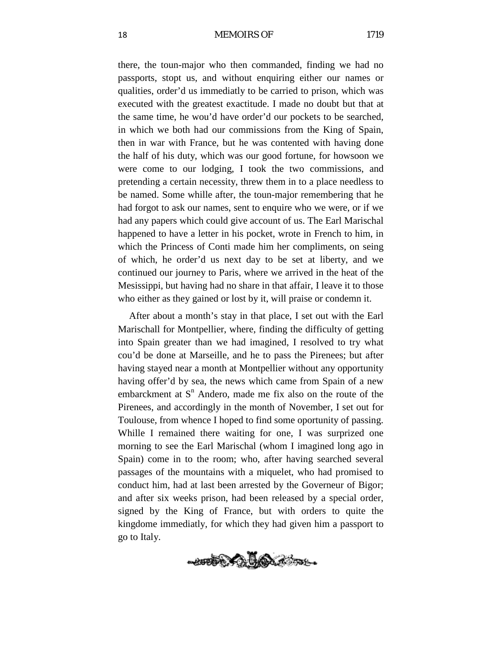there, the toun-major who then commanded, finding we had no passports, stopt us, and without enquiring either our names or qualities, order'd us immediatly to be carried to prison, which was executed with the greatest exactitude. I made no doubt but that at the same time, he wou'd have order'd our pockets to be searched, in which we both had our commissions from the King of Spain, then in war with France, but he was contented with having done the half of his duty, which was our good fortune, for howsoon we were come to our lodging, I took the two commissions, and pretending a certain necessity, threw them in to a place needless to be named. Some whille after, the toun-major remembering that he had forgot to ask our names, sent to enquire who we were, or if we had any papers which could give account of us. The Earl Marischal happened to have a letter in his pocket, wrote in French to him, in which the Princess of Conti made him her compliments, on seing of which, he order'd us next day to be set at liberty, and we continued our journey to Paris, where we arrived in the heat of the Mesissippi, but having had no share in that affair, I leave it to those who either as they gained or lost by it, will praise or condemn it.

After about a month's stay in that place, I set out with the Earl Marischall for Montpellier, where, finding the difficulty of getting into Spain greater than we had imagined, I resolved to try what cou'd be done at Marseille, and he to pass the Pirenees; but after having stayed near a month at Montpellier without any opportunity having offer'd by sea, the news which came from Spain of a new embarckment at  $S<sup>n</sup>$  Andero, made me fix also on the route of the Pirenees, and accordingly in the month of November, I set out for Toulouse, from whence I hoped to find some oportunity of passing. Whille I remained there waiting for one, I was surprized one morning to see the Earl Marischal (whom I imagined long ago in Spain) come in to the room; who, after having searched several passages of the mountains with a miquelet, who had promised to conduct him, had at last been arrested by the Governeur of Bigor; and after six weeks prison, had been released by a special order, signed by the King of France, but with orders to quite the kingdome immediatly, for which they had given him a passport to go to Italy.

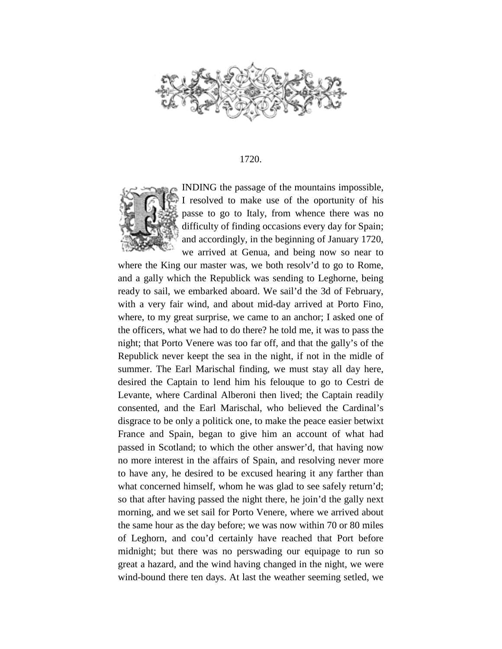



INDING the passage of the mountains impossible, I resolved to make use of the oportunity of his passe to go to Italy, from whence there was no difficulty of finding occasions every day for Spain; and accordingly, in the beginning of January 1720, we arrived at Genua, and being now so near to

where the King our master was, we both resolv'd to go to Rome, and a gally which the Republick was sending to Leghorne, being ready to sail, we embarked aboard. We sail'd the 3d of February, with a very fair wind, and about mid-day arrived at Porto Fino, where, to my great surprise, we came to an anchor; I asked one of the officers, what we had to do there? he told me, it was to pass the night; that Porto Venere was too far off, and that the gally's of the Republick never keept the sea in the night, if not in the midle of summer. The Earl Marischal finding, we must stay all day here, desired the Captain to lend him his felouque to go to Cestri de Levante, where Cardinal Alberoni then lived; the Captain readily consented, and the Earl Marischal, who believed the Cardinal's disgrace to be only a politick one, to make the peace easier betwixt France and Spain, began to give him an account of what had passed in Scotland; to which the other answer'd, that having now no more interest in the affairs of Spain, and resolving never more to have any, he desired to be excused hearing it any farther than what concerned himself, whom he was glad to see safely return'd; so that after having passed the night there, he join'd the gally next morning, and we set sail for Porto Venere, where we arrived about the same hour as the day before; we was now within 70 or 80 miles of Leghorn, and cou'd certainly have reached that Port before midnight; but there was no perswading our equipage to run so great a hazard, and the wind having changed in the night, we were wind-bound there ten days. At last the weather seeming setled, we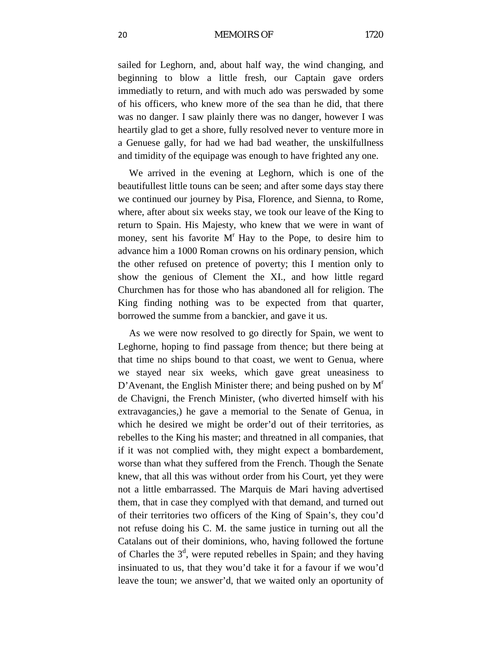sailed for Leghorn, and, about half way, the wind changing, and beginning to blow a little fresh, our Captain gave orders immediatly to return, and with much ado was perswaded by some of his officers, who knew more of the sea than he did, that there was no danger. I saw plainly there was no danger, however I was heartily glad to get a shore, fully resolved never to venture more in a Genuese gally, for had we had bad weather, the unskilfullness and timidity of the equipage was enough to have frighted any one.

We arrived in the evening at Leghorn, which is one of the beautifullest little touns can be seen; and after some days stay there we continued our journey by Pisa, Florence, and Sienna, to Rome, where, after about six weeks stay, we took our leave of the King to return to Spain. His Majesty, who knew that we were in want of money, sent his favorite  $M<sup>r</sup>$  Hay to the Pope, to desire him to advance him a 1000 Roman crowns on his ordinary pension, which the other refused on pretence of poverty; this I mention only to show the genious of Clement the XI., and how little regard Churchmen has for those who has abandoned all for religion. The King finding nothing was to be expected from that quarter, borrowed the summe from a banckier, and gave it us.

As we were now resolved to go directly for Spain, we went to Leghorne, hoping to find passage from thence; but there being at that time no ships bound to that coast, we went to Genua, where we stayed near six weeks, which gave great uneasiness to D'Avenant, the English Minister there; and being pushed on by  $M<sup>r</sup>$ de Chavigni, the French Minister, (who diverted himself with his extravagancies,) he gave a memorial to the Senate of Genua, in which he desired we might be order'd out of their territories, as rebelles to the King his master; and threatned in all companies, that if it was not complied with, they might expect a bombardement, worse than what they suffered from the French. Though the Senate knew, that all this was without order from his Court, yet they were not a little embarrassed. The Marquis de Mari having advertised them, that in case they complyed with that demand, and turned out of their territories two officers of the King of Spain's, they cou'd not refuse doing his C. M. the same justice in turning out all the Catalans out of their dominions, who, having followed the fortune of Charles the  $3<sup>d</sup>$ , were reputed rebelles in Spain; and they having insinuated to us, that they wou'd take it for a favour if we wou'd leave the toun; we answer'd, that we waited only an oportunity of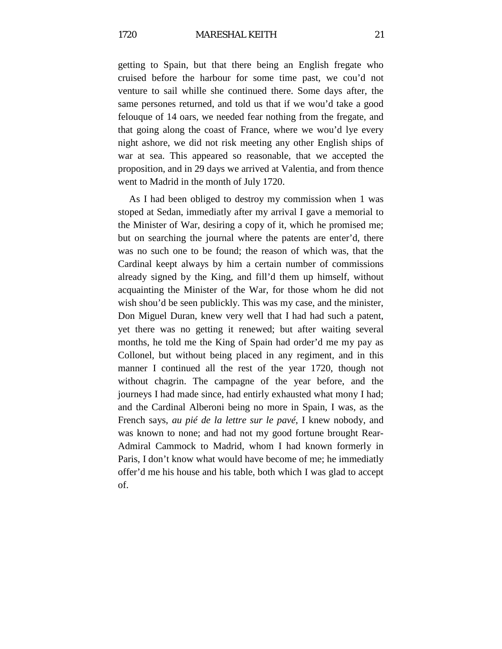getting to Spain, but that there being an English fregate who cruised before the harbour for some time past, we cou'd not venture to sail whille she continued there. Some days after, the same persones returned, and told us that if we wou'd take a good felouque of 14 oars, we needed fear nothing from the fregate, and that going along the coast of France, where we wou'd lye every night ashore, we did not risk meeting any other English ships of war at sea. This appeared so reasonable, that we accepted the proposition, and in 29 days we arrived at Valentia, and from thence went to Madrid in the month of July 1720.

As I had been obliged to destroy my commission when 1 was stoped at Sedan, immediatly after my arrival I gave a memorial to the Minister of War, desiring a copy of it, which he promised me; but on searching the journal where the patents are enter'd, there was no such one to be found; the reason of which was, that the Cardinal keept always by him a certain number of commissions already signed by the King, and fill'd them up himself, without acquainting the Minister of the War, for those whom he did not wish shou'd be seen publickly. This was my case, and the minister, Don Miguel Duran, knew very well that I had had such a patent, yet there was no getting it renewed; but after waiting several months, he told me the King of Spain had order'd me my pay as Collonel, but without being placed in any regiment, and in this manner I continued all the rest of the year 1720, though not without chagrin. The campagne of the year before, and the journeys I had made since, had entirly exhausted what mony I had; and the Cardinal Alberoni being no more in Spain, I was, as the French says, *au pié de la lettre sur le pavé*, I knew nobody, and was known to none; and had not my good fortune brought Rear-Admiral Cammock to Madrid, whom I had known formerly in Paris, I don't know what would have become of me; he immediatly offer'd me his house and his table, both which I was glad to accept of.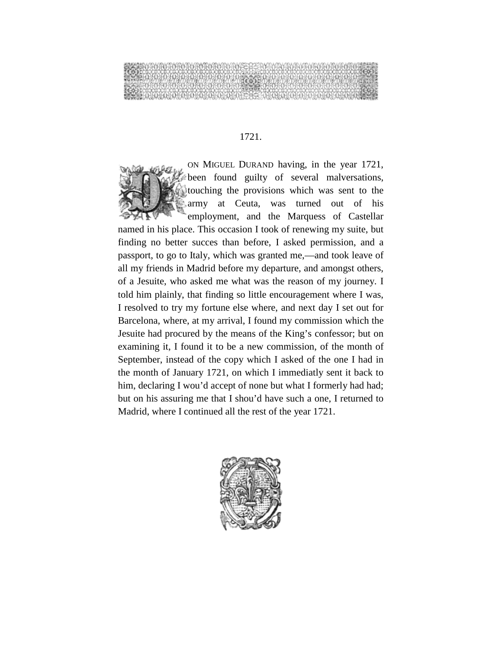



ON MIGUEL DURAND having, in the year 1721, been found guilty of several malversations, touching the provisions which was sent to the army at Ceuta, was turned out of his employment, and the Marquess of Castellar named in his place. This occasion I took of renewing my suite, but finding no better succes than before, I asked permission, and a passport, to go to Italy, which was granted me,—and took leave of all my friends in Madrid before my departure, and amongst others, of a Jesuite, who asked me what was the reason of my journey. I told him plainly, that finding so little encouragement where I was, I resolved to try my fortune else where, and next day I set out for Barcelona, where, at my arrival, I found my commission which the Jesuite had procured by the means of the King's confessor; but on examining it, I found it to be a new commission, of the month of September, instead of the copy which I asked of the one I had in the month of January 1721, on which I immediatly sent it back to him, declaring I wou'd accept of none but what I formerly had had; but on his assuring me that I shou'd have such a one, I returned to Madrid, where I continued all the rest of the year 1721.

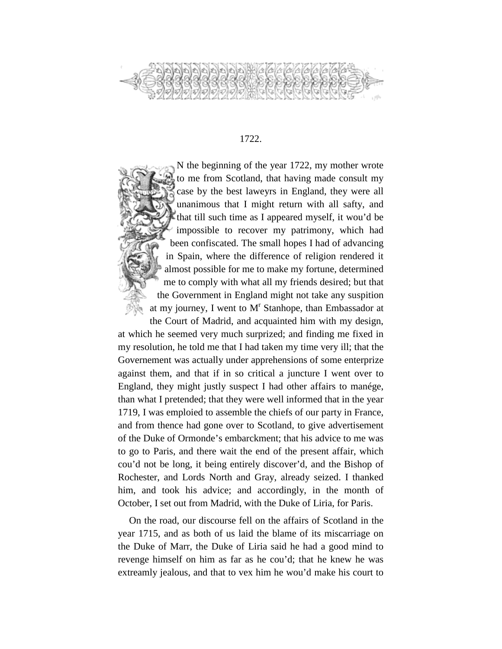

N the beginning of the year 1722, my mother wrote to me from Scotland, that having made consult my case by the best laweyrs in England, they were all unanimous that I might return with all safty, and that till such time as I appeared myself, it wou'd be impossible to recover my patrimony, which had been confiscated. The small hopes I had of advancing in Spain, where the difference of religion rendered it almost possible for me to make my fortune, determined me to comply with what all my friends desired; but that the Government in England might not take any suspition at my journey, I went to  $M<sup>r</sup>$  Stanhope, than Embassador at

the Court of Madrid, and acquainted him with my design, at which he seemed very much surprized; and finding me fixed in my resolution, he told me that I had taken my time very ill; that the Governement was actually under apprehensions of some enterprize against them, and that if in so critical a juncture I went over to England, they might justly suspect I had other affairs to manége, than what I pretended; that they were well informed that in the year 1719, I was emploied to assemble the chiefs of our party in France, and from thence had gone over to Scotland, to give advertisement of the Duke of Ormonde's embarckment; that his advice to me was to go to Paris, and there wait the end of the present affair, which cou'd not be long, it being entirely discover'd, and the Bishop of Rochester, and Lords North and Gray, already seized. I thanked him, and took his advice; and accordingly, in the month of October, I set out from Madrid, with the Duke of Liria, for Paris.

On the road, our discourse fell on the affairs of Scotland in the year 1715, and as both of us laid the blame of its miscarriage on the Duke of Marr, the Duke of Liria said he had a good mind to revenge himself on him as far as he cou'd; that he knew he was extreamly jealous, and that to vex him he wou'd make his court to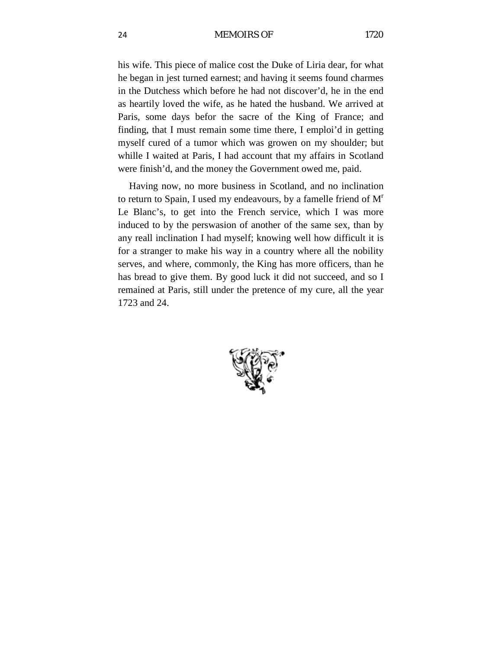#### 24 MEMOIRS OF 24 1720

his wife. This piece of malice cost the Duke of Liria dear, for what he began in jest turned earnest; and having it seems found charmes in the Dutchess which before he had not discover'd, he in the end as heartily loved the wife, as he hated the husband. We arrived at Paris, some days befor the sacre of the King of France; and finding, that I must remain some time there, I emploi'd in getting myself cured of a tumor which was growen on my shoulder; but whille I waited at Paris, I had account that my affairs in Scotland were finish'd, and the money the Government owed me, paid.

Having now, no more business in Scotland, and no inclination to return to Spain, I used my endeavours, by a famelle friend of M<sup>r</sup> Le Blanc's, to get into the French service, which I was more induced to by the perswasion of another of the same sex, than by any reall inclination I had myself; knowing well how difficult it is for a stranger to make his way in a country where all the nobility serves, and where, commonly, the King has more officers, than he has bread to give them. By good luck it did not succeed, and so I remained at Paris, still under the pretence of my cure, all the year 1723 and 24.

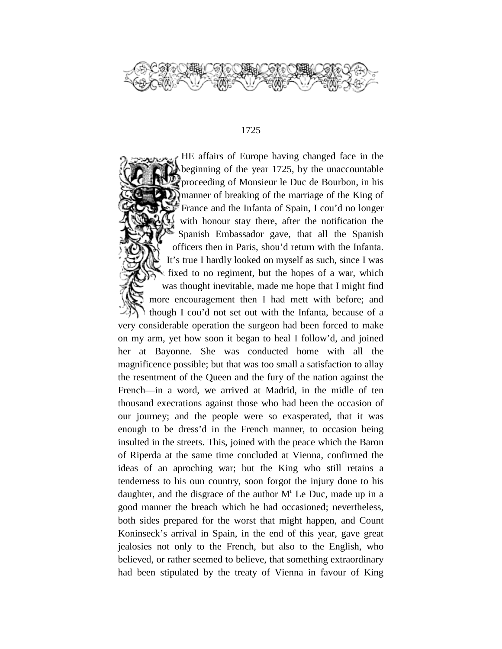

#### 1725

HE affairs of Europe having changed face in the beginning of the year 1725, by the unaccountable proceeding of Monsieur le Duc de Bourbon, in his manner of breaking of the marriage of the King of France and the Infanta of Spain, I cou'd no longer with honour stay there, after the notification the Spanish Embassador gave, that all the Spanish officers then in Paris, shou'd return with the Infanta. It's true I hardly looked on myself as such, since I was fixed to no regiment, but the hopes of a war, which was thought inevitable, made me hope that I might find more encouragement then I had mett with before; and though I cou'd not set out with the Infanta, because of a very considerable operation the surgeon had been forced to make on my arm, yet how soon it began to heal I follow'd, and joined her at Bayonne. She was conducted home with all the magnificence possible; but that was too small a satisfaction to allay the resentment of the Queen and the fury of the nation against the French—in a word, we arrived at Madrid, in the midle of ten thousand execrations against those who had been the occasion of our journey; and the people were so exasperated, that it was enough to be dress'd in the French manner, to occasion being insulted in the streets. This, joined with the peace which the Baron of Riperda at the same time concluded at Vienna, confirmed the ideas of an aproching war; but the King who still retains a tenderness to his oun country, soon forgot the injury done to his daughter, and the disgrace of the author  $M<sup>r</sup>$  Le Duc, made up in a good manner the breach which he had occasioned; nevertheless, both sides prepared for the worst that might happen, and Count Koninseck's arrival in Spain, in the end of this year, gave great jealosies not only to the French, but also to the English, who believed, or rather seemed to believe, that something extraordinary had been stipulated by the treaty of Vienna in favour of King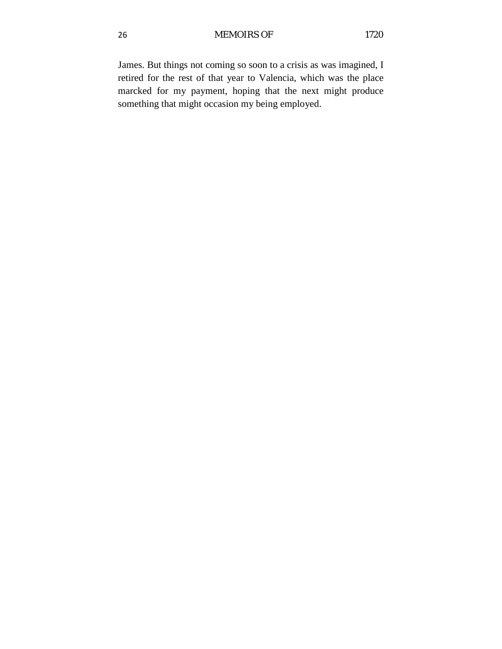James. But things not coming so soon to a crisis as was imagined, I retired for the rest of that year to Valencia, which was the place marcked for my payment, hoping that the next might produce something that might occasion my being employed.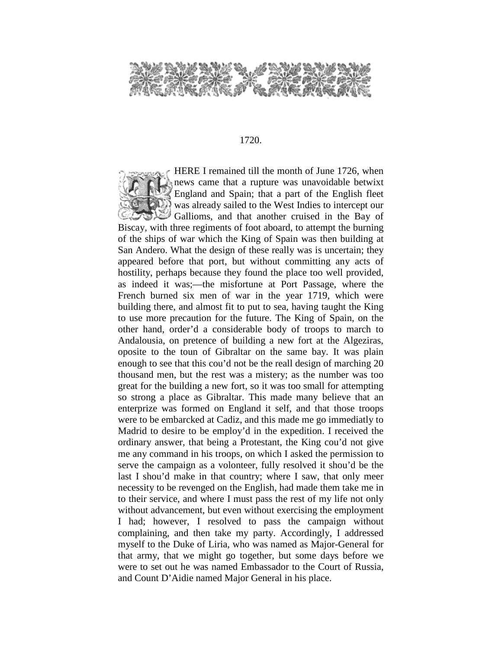

HERE I remained till the month of June 1726, when news came that a rupture was unavoidable betwixt England and Spain; that a part of the English fleet was already sailed to the West Indies to intercept our Gallioms, and that another cruised in the Bay of Biscay, with three regiments of foot aboard, to attempt the burning of the ships of war which the King of Spain was then building at San Andero. What the design of these really was is uncertain; they appeared before that port, but without committing any acts of hostility, perhaps because they found the place too well provided, as indeed it was;—the misfortune at Port Passage, where the French burned six men of war in the year 1719, which were building there, and almost fit to put to sea, having taught the King to use more precaution for the future. The King of Spain, on the other hand, order'd a considerable body of troops to march to Andalousia, on pretence of building a new fort at the Algeziras, oposite to the toun of Gibraltar on the same bay. It was plain enough to see that this cou'd not be the reall design of marching 20 thousand men, but the rest was a mistery; as the number was too great for the building a new fort, so it was too small for attempting so strong a place as Gibraltar. This made many believe that an enterprize was formed on England it self, and that those troops were to be embarcked at Cadiz, and this made me go immediatly to Madrid to desire to be employ'd in the expedition. I received the ordinary answer, that being a Protestant, the King cou'd not give me any command in his troops, on which I asked the permission to serve the campaign as a volonteer, fully resolved it shou'd be the last I shou'd make in that country; where I saw, that only meer necessity to be revenged on the English, had made them take me in to their service, and where I must pass the rest of my life not only without advancement, but even without exercising the employment I had; however, I resolved to pass the campaign without complaining, and then take my party. Accordingly, I addressed myself to the Duke of Liria, who was named as Major-General for that army, that we might go together, but some days before we were to set out he was named Embassador to the Court of Russia, and Count D'Aidie named Major General in his place.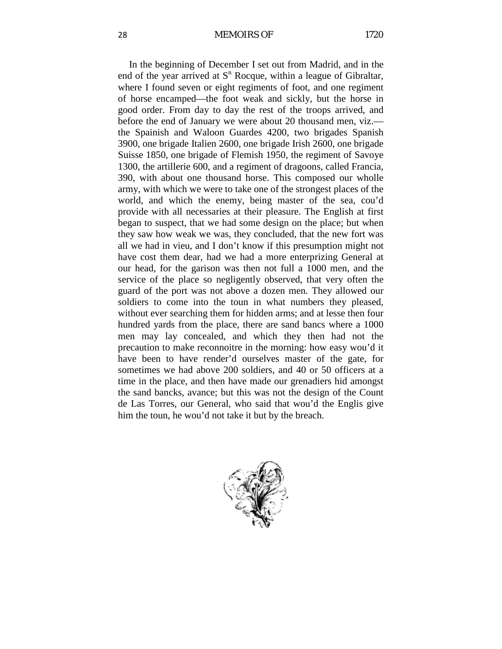In the beginning of December I set out from Madrid, and in the end of the year arrived at  $S<sup>n</sup>$  Rocque, within a league of Gibraltar, where I found seven or eight regiments of foot, and one regiment of horse encamped—the foot weak and sickly, but the horse in good order. From day to day the rest of the troops arrived, and before the end of January we were about 20 thousand men, viz. the Spainish and Waloon Guardes 4200, two brigades Spanish 3900, one brigade Italien 2600, one brigade Irish 2600, one brigade Suisse 1850, one brigade of Flemish 1950, the regiment of Savoye 1300, the artillerie 600, and a regiment of dragoons, called Francia, 390, with about one thousand horse. This composed our wholle army, with which we were to take one of the strongest places of the world, and which the enemy, being master of the sea, cou'd provide with all necessaries at their pleasure. The English at first began to suspect, that we had some design on the place; but when they saw how weak we was, they concluded, that the new fort was all we had in vieu, and I don't know if this presumption might not have cost them dear, had we had a more enterprizing General at our head, for the garison was then not full a 1000 men, and the service of the place so negligently observed, that very often the guard of the port was not above a dozen men. They allowed our soldiers to come into the toun in what numbers they pleased, without ever searching them for hidden arms; and at lesse then four hundred yards from the place, there are sand bancs where a 1000 men may lay concealed, and which they then had not the precaution to make reconnoitre in the morning: how easy wou'd it have been to have render'd ourselves master of the gate, for sometimes we had above 200 soldiers, and 40 or 50 officers at a time in the place, and then have made our grenadiers hid amongst the sand bancks, avance; but this was not the design of the Count de Las Torres, our General, who said that wou'd the Englis give him the toun, he wou'd not take it but by the breach.

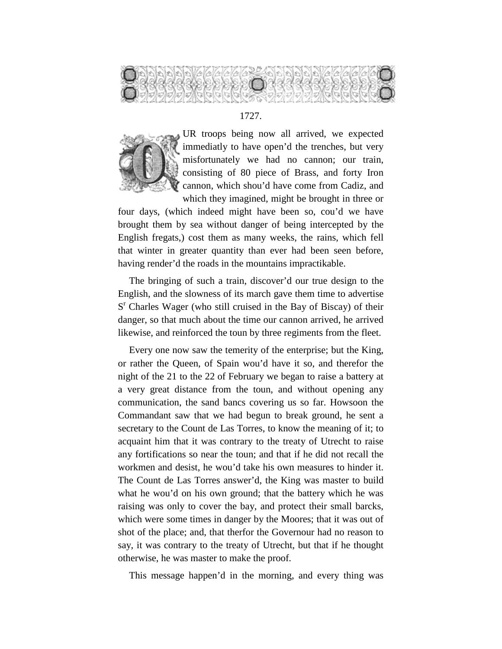



UR troops being now all arrived, we expected immediatly to have open'd the trenches, but very misfortunately we had no cannon; our train, consisting of 80 piece of Brass, and forty Iron cannon, which shou'd have come from Cadiz, and which they imagined, might be brought in three or

four days, (which indeed might have been so, cou'd we have brought them by sea without danger of being intercepted by the English fregats,) cost them as many weeks, the rains, which fell that winter in greater quantity than ever had been seen before, having render'd the roads in the mountains impractikable.

The bringing of such a train, discover'd our true design to the English, and the slowness of its march gave them time to advertise  $S<sup>r</sup>$  Charles Wager (who still cruised in the Bay of Biscay) of their danger, so that much about the time our cannon arrived, he arrived likewise, and reinforced the toun by three regiments from the fleet.

Every one now saw the temerity of the enterprise; but the King, or rather the Queen, of Spain wou'd have it so, and therefor the night of the 21 to the 22 of February we began to raise a battery at a very great distance from the toun, and without opening any communication, the sand bancs covering us so far. Howsoon the Commandant saw that we had begun to break ground, he sent a secretary to the Count de Las Torres, to know the meaning of it; to acquaint him that it was contrary to the treaty of Utrecht to raise any fortifications so near the toun; and that if he did not recall the workmen and desist, he wou'd take his own measures to hinder it. The Count de Las Torres answer'd, the King was master to build what he wou'd on his own ground; that the battery which he was raising was only to cover the bay, and protect their small barcks, which were some times in danger by the Moores; that it was out of shot of the place; and, that therfor the Governour had no reason to say, it was contrary to the treaty of Utrecht, but that if he thought otherwise, he was master to make the proof.

This message happen'd in the morning, and every thing was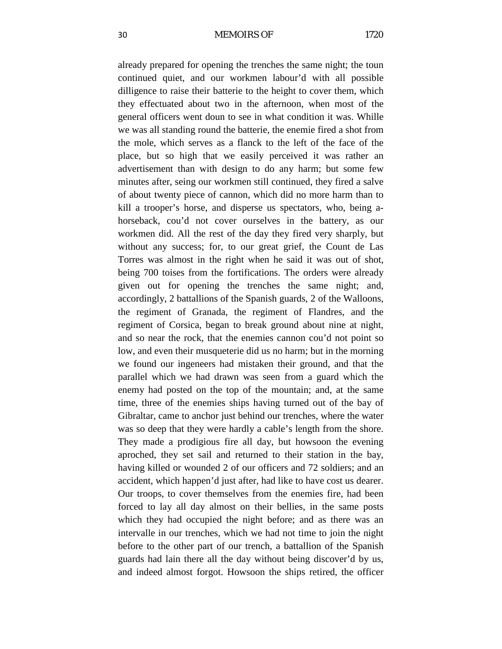already prepared for opening the trenches the same night; the toun continued quiet, and our workmen labour'd with all possible dilligence to raise their batterie to the height to cover them, which they effectuated about two in the afternoon, when most of the general officers went doun to see in what condition it was. Whille we was all standing round the batterie, the enemie fired a shot from the mole, which serves as a flanck to the left of the face of the place, but so high that we easily perceived it was rather an advertisement than with design to do any harm; but some few minutes after, seing our workmen still continued, they fired a salve of about twenty piece of cannon, which did no more harm than to kill a trooper's horse, and disperse us spectators, who, being ahorseback, cou'd not cover ourselves in the battery, as our workmen did. All the rest of the day they fired very sharply, but without any success; for, to our great grief, the Count de Las Torres was almost in the right when he said it was out of shot, being 700 toises from the fortifications. The orders were already given out for opening the trenches the same night; and, accordingly, 2 battallions of the Spanish guards, 2 of the Walloons, the regiment of Granada, the regiment of Flandres, and the regiment of Corsica, began to break ground about nine at night, and so near the rock, that the enemies cannon cou'd not point so low, and even their musqueterie did us no harm; but in the morning we found our ingeneers had mistaken their ground, and that the parallel which we had drawn was seen from a guard which the enemy had posted on the top of the mountain; and, at the same time, three of the enemies ships having turned out of the bay of Gibraltar, came to anchor just behind our trenches, where the water was so deep that they were hardly a cable's length from the shore. They made a prodigious fire all day, but howsoon the evening aproched, they set sail and returned to their station in the bay, having killed or wounded 2 of our officers and 72 soldiers; and an accident, which happen'd just after, had like to have cost us dearer. Our troops, to cover themselves from the enemies fire, had been forced to lay all day almost on their bellies, in the same posts which they had occupied the night before; and as there was an intervalle in our trenches, which we had not time to join the night before to the other part of our trench, a battallion of the Spanish guards had lain there all the day without being discover'd by us, and indeed almost forgot. Howsoon the ships retired, the officer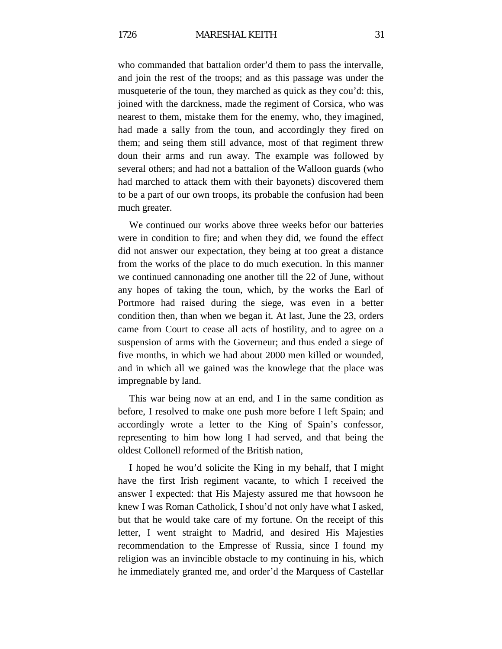who commanded that battalion order'd them to pass the intervalle, and join the rest of the troops; and as this passage was under the musqueterie of the toun, they marched as quick as they cou'd: this, joined with the darckness, made the regiment of Corsica, who was nearest to them, mistake them for the enemy, who, they imagined, had made a sally from the toun, and accordingly they fired on them; and seing them still advance, most of that regiment threw doun their arms and run away. The example was followed by several others; and had not a battalion of the Walloon guards (who had marched to attack them with their bayonets) discovered them to be a part of our own troops, its probable the confusion had been much greater.

We continued our works above three weeks befor our batteries were in condition to fire; and when they did, we found the effect did not answer our expectation, they being at too great a distance from the works of the place to do much execution. In this manner we continued cannonading one another till the 22 of June, without any hopes of taking the toun, which, by the works the Earl of Portmore had raised during the siege, was even in a better condition then, than when we began it. At last, June the 23, orders came from Court to cease all acts of hostility, and to agree on a suspension of arms with the Governeur; and thus ended a siege of five months, in which we had about 2000 men killed or wounded, and in which all we gained was the knowlege that the place was impregnable by land.

This war being now at an end, and I in the same condition as before, I resolved to make one push more before I left Spain; and accordingly wrote a letter to the King of Spain's confessor, representing to him how long I had served, and that being the oldest Collonell reformed of the British nation,

I hoped he wou'd solicite the King in my behalf, that I might have the first Irish regiment vacante, to which I received the answer I expected: that His Majesty assured me that howsoon he knew I was Roman Catholick, I shou'd not only have what I asked, but that he would take care of my fortune. On the receipt of this letter, I went straight to Madrid, and desired His Majesties recommendation to the Empresse of Russia, since I found my religion was an invincible obstacle to my continuing in his, which he immediately granted me, and order'd the Marquess of Castellar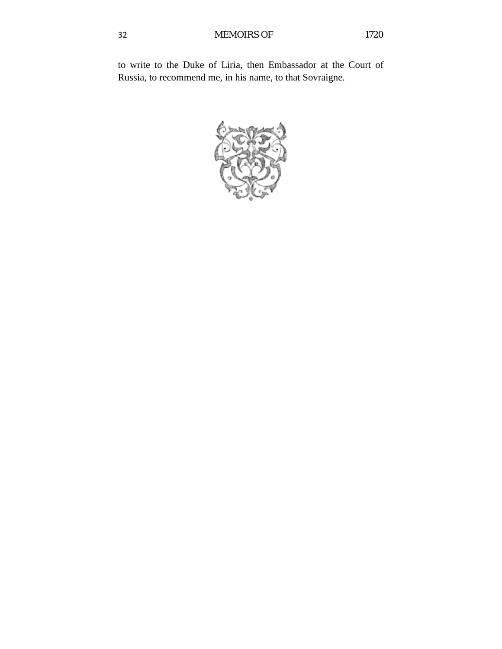to write to the Duke of Liria, then Embassador at the Court of Russia, to recommend me, in his name, to that Sovraigne.

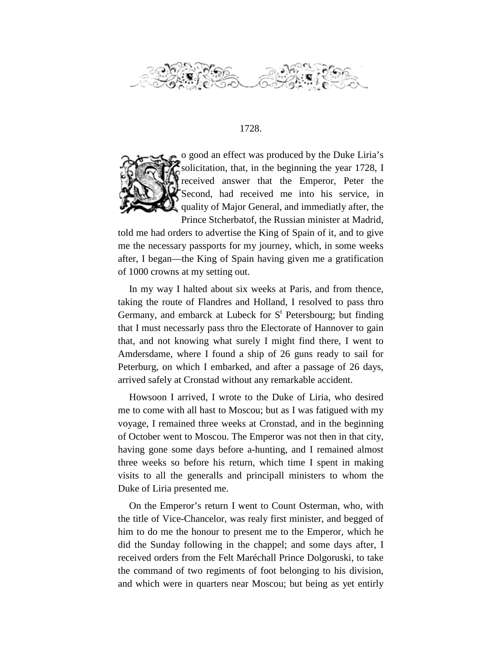



o good an effect was produced by the Duke Liria's solicitation, that, in the beginning the year 1728, I received answer that the Emperor, Peter the Second, had received me into his service, in quality of Major General, and immediatly after, the Prince Stcherbatof, the Russian minister at Madrid,

told me had orders to advertise the King of Spain of it, and to give me the necessary passports for my journey, which, in some weeks after, I began—the King of Spain having given me a gratification of 1000 crowns at my setting out.

In my way I halted about six weeks at Paris, and from thence, taking the route of Flandres and Holland, I resolved to pass thro Germany, and embarck at Lubeck for  $S<sup>t</sup>$  Petersbourg; but finding that I must necessarly pass thro the Electorate of Hannover to gain that, and not knowing what surely I might find there, I went to Amdersdame, where I found a ship of 26 guns ready to sail for Peterburg, on which I embarked, and after a passage of 26 days, arrived safely at Cronstad without any remarkable accident.

Howsoon I arrived, I wrote to the Duke of Liria, who desired me to come with all hast to Moscou; but as I was fatigued with my voyage, I remained three weeks at Cronstad, and in the beginning of October went to Moscou. The Emperor was not then in that city, having gone some days before a-hunting, and I remained almost three weeks so before his return, which time I spent in making visits to all the generalls and principall ministers to whom the Duke of Liria presented me.

On the Emperor's return I went to Count Osterman, who, with the title of Vice-Chancelor, was realy first minister, and begged of him to do me the honour to present me to the Emperor, which he did the Sunday following in the chappel; and some days after, I received orders from the Felt Maréchall Prince Dolgoruski, to take the command of two regiments of foot belonging to his division, and which were in quarters near Moscou; but being as yet entirly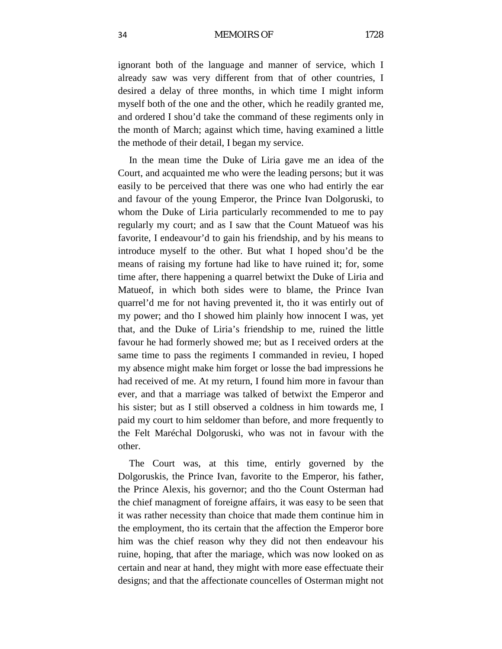ignorant both of the language and manner of service, which I already saw was very different from that of other countries, I desired a delay of three months, in which time I might inform myself both of the one and the other, which he readily granted me, and ordered I shou'd take the command of these regiments only in the month of March; against which time, having examined a little the methode of their detail, I began my service.

In the mean time the Duke of Liria gave me an idea of the Court, and acquainted me who were the leading persons; but it was easily to be perceived that there was one who had entirly the ear and favour of the young Emperor, the Prince Ivan Dolgoruski, to whom the Duke of Liria particularly recommended to me to pay regularly my court; and as I saw that the Count Matueof was his favorite, I endeavour'd to gain his friendship, and by his means to introduce myself to the other. But what I hoped shou'd be the means of raising my fortune had like to have ruined it; for, some time after, there happening a quarrel betwixt the Duke of Liria and Matueof, in which both sides were to blame, the Prince Ivan quarrel'd me for not having prevented it, tho it was entirly out of my power; and tho I showed him plainly how innocent I was, yet that, and the Duke of Liria's friendship to me, ruined the little favour he had formerly showed me; but as I received orders at the same time to pass the regiments I commanded in revieu, I hoped my absence might make him forget or losse the bad impressions he had received of me. At my return, I found him more in favour than ever, and that a marriage was talked of betwixt the Emperor and his sister; but as I still observed a coldness in him towards me, I paid my court to him seldomer than before, and more frequently to the Felt Maréchal Dolgoruski, who was not in favour with the other.

The Court was, at this time, entirly governed by the Dolgoruskis, the Prince Ivan, favorite to the Emperor, his father, the Prince Alexis, his governor; and tho the Count Osterman had the chief managment of foreigne affairs, it was easy to be seen that it was rather necessity than choice that made them continue him in the employment, tho its certain that the affection the Emperor bore him was the chief reason why they did not then endeavour his ruine, hoping, that after the mariage, which was now looked on as certain and near at hand, they might with more ease effectuate their designs; and that the affectionate councelles of Osterman might not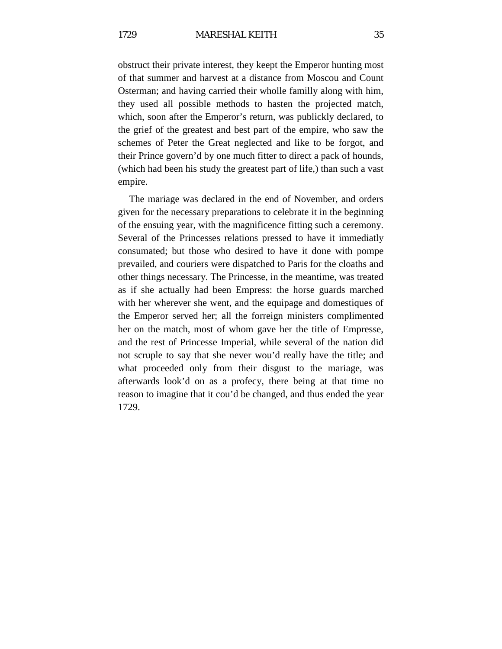obstruct their private interest, they keept the Emperor hunting most of that summer and harvest at a distance from Moscou and Count Osterman; and having carried their wholle familly along with him, they used all possible methods to hasten the projected match, which, soon after the Emperor's return, was publickly declared, to the grief of the greatest and best part of the empire, who saw the schemes of Peter the Great neglected and like to be forgot, and their Prince govern'd by one much fitter to direct a pack of hounds, (which had been his study the greatest part of life,) than such a vast empire.

The mariage was declared in the end of November, and orders given for the necessary preparations to celebrate it in the beginning of the ensuing year, with the magnificence fitting such a ceremony. Several of the Princesses relations pressed to have it immediatly consumated; but those who desired to have it done with pompe prevailed, and couriers were dispatched to Paris for the cloaths and other things necessary. The Princesse, in the meantime, was treated as if she actually had been Empress: the horse guards marched with her wherever she went, and the equipage and domestiques of the Emperor served her; all the forreign ministers complimented her on the match, most of whom gave her the title of Empresse, and the rest of Princesse Imperial, while several of the nation did not scruple to say that she never wou'd really have the title; and what proceeded only from their disgust to the mariage, was afterwards look'd on as a profecy, there being at that time no reason to imagine that it cou'd be changed, and thus ended the year 1729.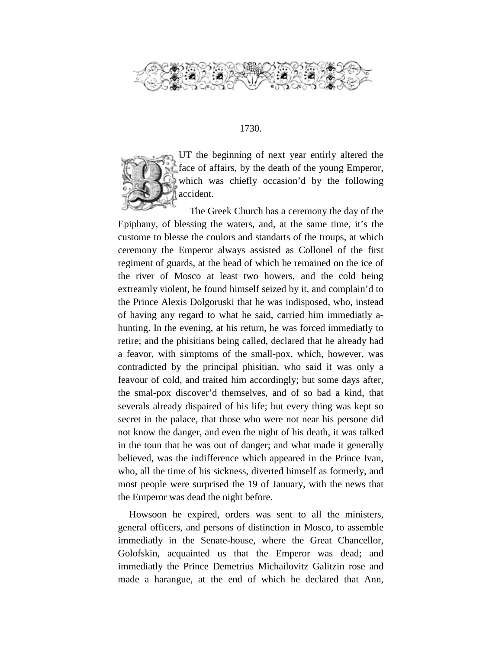



UT the beginning of next year entirly altered the face of affairs, by the death of the young Emperor, which was chiefly occasion'd by the following accident.

The Greek Church has a ceremony the day of the Epiphany, of blessing the waters, and, at the same time, it's the custome to blesse the coulors and standarts of the troups, at which ceremony the Emperor always assisted as Collonel of the first regiment of guards, at the head of which he remained on the ice of the river of Mosco at least two howers, and the cold being extreamly violent, he found himself seized by it, and complain'd to the Prince Alexis Dolgoruski that he was indisposed, who, instead of having any regard to what he said, carried him immediatly ahunting. In the evening, at his return, he was forced immediatly to retire; and the phisitians being called, declared that he already had a feavor, with simptoms of the small-pox, which, however, was contradicted by the principal phisitian, who said it was only a feavour of cold, and traited him accordingly; but some days after, the smal-pox discover'd themselves, and of so bad a kind, that severals already dispaired of his life; but every thing was kept so secret in the palace, that those who were not near his persone did not know the danger, and even the night of his death, it was talked in the toun that he was out of danger; and what made it generally believed, was the indifference which appeared in the Prince Ivan, who, all the time of his sickness, diverted himself as formerly, and most people were surprised the 19 of January, with the news that the Emperor was dead the night before.

Howsoon he expired, orders was sent to all the ministers, general officers, and persons of distinction in Mosco, to assemble immediatly in the Senate-house, where the Great Chancellor, Golofskin, acquainted us that the Emperor was dead; and immediatly the Prince Demetrius Michailovitz Galitzin rose and made a harangue, at the end of which he declared that Ann,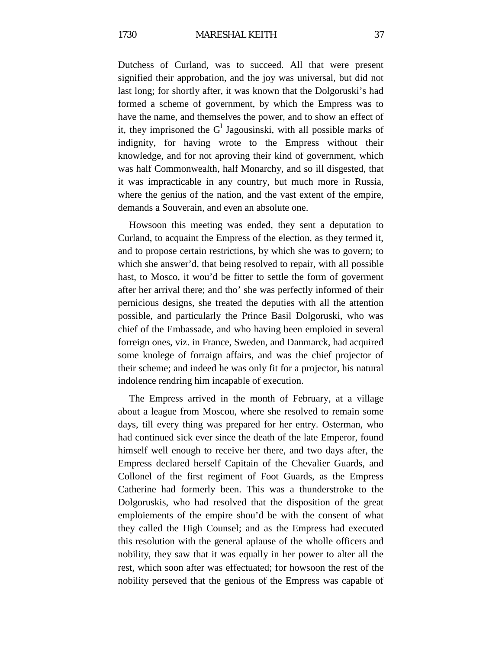Dutchess of Curland, was to succeed. All that were present signified their approbation, and the joy was universal, but did not last long; for shortly after, it was known that the Dolgoruski's had formed a scheme of government, by which the Empress was to have the name, and themselves the power, and to show an effect of it, they imprisoned the  $G<sup>1</sup>$  Jagousinski, with all possible marks of indignity, for having wrote to the Empress without their knowledge, and for not aproving their kind of government, which was half Commonwealth, half Monarchy, and so ill disgested, that it was impracticable in any country, but much more in Russia, where the genius of the nation, and the vast extent of the empire, demands a Souverain, and even an absolute one.

Howsoon this meeting was ended, they sent a deputation to Curland, to acquaint the Empress of the election, as they termed it, and to propose certain restrictions, by which she was to govern; to which she answer'd, that being resolved to repair, with all possible hast, to Mosco, it wou'd be fitter to settle the form of goverment after her arrival there; and tho' she was perfectly informed of their pernicious designs, she treated the deputies with all the attention possible, and particularly the Prince Basil Dolgoruski, who was chief of the Embassade, and who having been emploied in several forreign ones, viz. in France, Sweden, and Danmarck, had acquired some knolege of forraign affairs, and was the chief projector of their scheme; and indeed he was only fit for a projector, his natural indolence rendring him incapable of execution.

The Empress arrived in the month of February, at a village about a league from Moscou, where she resolved to remain some days, till every thing was prepared for her entry. Osterman, who had continued sick ever since the death of the late Emperor, found himself well enough to receive her there, and two days after, the Empress declared herself Capitain of the Chevalier Guards, and Collonel of the first regiment of Foot Guards, as the Empress Catherine had formerly been. This was a thunderstroke to the Dolgoruskis, who had resolved that the disposition of the great emploiements of the empire shou'd be with the consent of what they called the High Counsel; and as the Empress had executed this resolution with the general aplause of the wholle officers and nobility, they saw that it was equally in her power to alter all the rest, which soon after was effectuated; for howsoon the rest of the nobility perseved that the genious of the Empress was capable of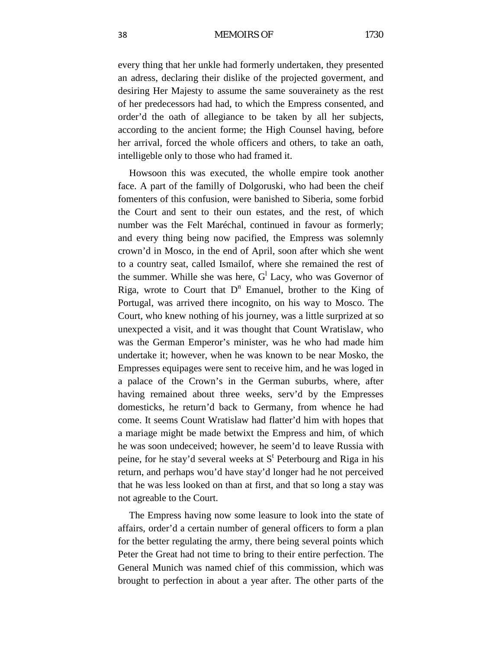every thing that her unkle had formerly undertaken, they presented an adress, declaring their dislike of the projected goverment, and desiring Her Majesty to assume the same souverainety as the rest of her predecessors had had, to which the Empress consented, and order'd the oath of allegiance to be taken by all her subjects, according to the ancient forme; the High Counsel having, before her arrival, forced the whole officers and others, to take an oath, intelligeble only to those who had framed it.

Howsoon this was executed, the wholle empire took another face. A part of the familly of Dolgoruski, who had been the cheif fomenters of this confusion, were banished to Siberia, some forbid the Court and sent to their oun estates, and the rest, of which number was the Felt Maréchal, continued in favour as formerly; and every thing being now pacified, the Empress was solemnly crown'd in Mosco, in the end of April, soon after which she went to a country seat, called Ismailof, where she remained the rest of the summer. Whille she was here,  $G<sup>1</sup>$  Lacy, who was Governor of Riga, wrote to Court that  $D^n$  Emanuel, brother to the King of Portugal, was arrived there incognito, on his way to Mosco. The Court, who knew nothing of his journey, was a little surprized at so unexpected a visit, and it was thought that Count Wratislaw, who was the German Emperor's minister, was he who had made him undertake it; however, when he was known to be near Mosko, the Empresses equipages were sent to receive him, and he was loged in a palace of the Crown's in the German suburbs, where, after having remained about three weeks, serv'd by the Empresses domesticks, he return'd back to Germany, from whence he had come. It seems Count Wratislaw had flatter'd him with hopes that a mariage might be made betwixt the Empress and him, of which he was soon undeceived; however, he seem'd to leave Russia with peine, for he stay'd several weeks at  $S<sup>t</sup>$  Peterbourg and Riga in his return, and perhaps wou'd have stay'd longer had he not perceived that he was less looked on than at first, and that so long a stay was not agreable to the Court.

The Empress having now some leasure to look into the state of affairs, order'd a certain number of general officers to form a plan for the better regulating the army, there being several points which Peter the Great had not time to bring to their entire perfection. The General Munich was named chief of this commission, which was brought to perfection in about a year after. The other parts of the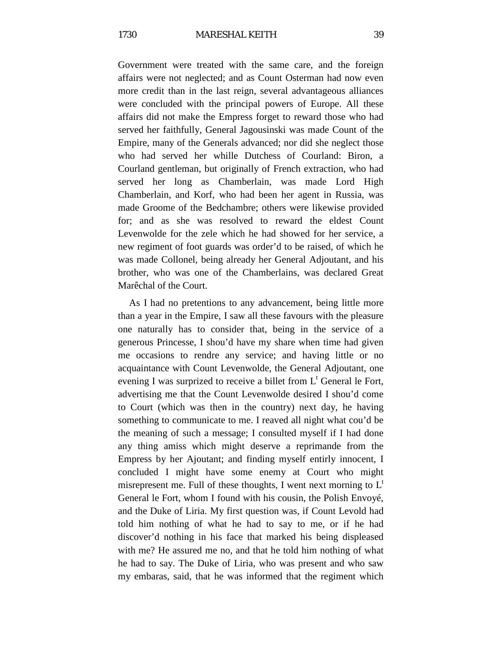Government were treated with the same care, and the foreign affairs were not neglected; and as Count Osterman had now even more credit than in the last reign, several advantageous alliances were concluded with the principal powers of Europe. All these affairs did not make the Empress forget to reward those who had served her faithfully, General Jagousinski was made Count of the Empire, many of the Generals advanced; nor did she neglect those who had served her whille Dutchess of Courland: Biron, a Courland gentleman, but originally of French extraction, who had served her long as Chamberlain, was made Lord High Chamberlain, and Korf, who had been her agent in Russia, was made Groome of the Bedchambre; others were likewise provided for; and as she was resolved to reward the eldest Count Levenwolde for the zele which he had showed for her service, a new regiment of foot guards was order'd to be raised, of which he was made Collonel, being already her General Adjoutant, and his brother, who was one of the Chamberlains, was declared Great Marêchal of the Court.

As I had no pretentions to any advancement, being little more than a year in the Empire, I saw all these favours with the pleasure one naturally has to consider that, being in the service of a generous Princesse, I shou'd have my share when time had given me occasions to rendre any service; and having little or no acquaintance with Count Levenwolde, the General Adjoutant, one evening I was surprized to receive a billet from  $L^{\tau}$  General le Fort, advertising me that the Count Levenwolde desired I shou'd come to Court (which was then in the country) next day, he having something to communicate to me. I reaved all night what cou'd be the meaning of such a message; I consulted myself if I had done any thing amiss which might deserve a reprimande from the Empress by her Ajoutant; and finding myself entirly innocent, I concluded I might have some enemy at Court who might misrepresent me. Full of these thoughts, I went next morning to  $L^{\tau}$ General le Fort, whom I found with his cousin, the Polish Envoyé, and the Duke of Liria. My first question was, if Count Levold had told him nothing of what he had to say to me, or if he had discover'd nothing in his face that marked his being displeased with me? He assured me no, and that he told him nothing of what he had to say. The Duke of Liria, who was present and who saw my embaras, said, that he was informed that the regiment which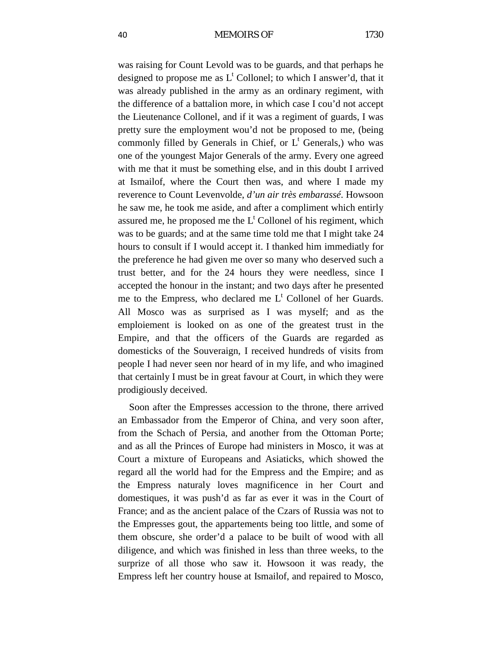was raising for Count Levold was to be guards, and that perhaps he designed to propose me as  $L^t$  Collonel; to which I answer'd, that it was already published in the army as an ordinary regiment, with the difference of a battalion more, in which case I cou'd not accept the Lieutenance Collonel, and if it was a regiment of guards, I was pretty sure the employment wou'd not be proposed to me, (being commonly filled by Generals in Chief, or  $L^t$  Generals,) who was one of the youngest Major Generals of the army. Every one agreed with me that it must be something else, and in this doubt I arrived at Ismailof, where the Court then was, and where I made my reverence to Count Levenvolde, *d'un air très embarassé*. Howsoon he saw me, he took me aside, and after a compliment which entirly assured me, he proposed me the  $L<sup>t</sup>$  Collonel of his regiment, which was to be guards; and at the same time told me that I might take 24 hours to consult if I would accept it. I thanked him immediatly for the preference he had given me over so many who deserved such a trust better, and for the 24 hours they were needless, since I accepted the honour in the instant; and two days after he presented me to the Empress, who declared me  $L^{\tau}$  Collonel of her Guards. All Mosco was as surprised as I was myself; and as the emploiement is looked on as one of the greatest trust in the Empire, and that the officers of the Guards are regarded as domesticks of the Souveraign, I received hundreds of visits from people I had never seen nor heard of in my life, and who imagined that certainly I must be in great favour at Court, in which they were prodigiously deceived.

Soon after the Empresses accession to the throne, there arrived an Embassador from the Emperor of China, and very soon after, from the Schach of Persia, and another from the Ottoman Porte; and as all the Princes of Europe had ministers in Mosco, it was at Court a mixture of Europeans and Asiaticks, which showed the regard all the world had for the Empress and the Empire; and as the Empress naturaly loves magnificence in her Court and domestiques, it was push'd as far as ever it was in the Court of France; and as the ancient palace of the Czars of Russia was not to the Empresses gout, the appartements being too little, and some of them obscure, she order'd a palace to be built of wood with all diligence, and which was finished in less than three weeks, to the surprize of all those who saw it. Howsoon it was ready, the Empress left her country house at Ismailof, and repaired to Mosco,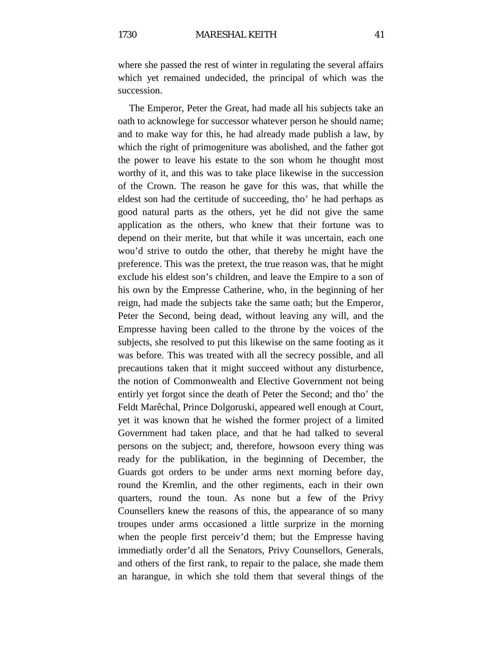where she passed the rest of winter in regulating the several affairs which yet remained undecided, the principal of which was the succession.

The Emperor, Peter the Great, had made all his subjects take an oath to acknowlege for successor whatever person he should name; and to make way for this, he had already made publish a law, by which the right of primogeniture was abolished, and the father got the power to leave his estate to the son whom he thought most worthy of it, and this was to take place likewise in the succession of the Crown. The reason he gave for this was, that whille the eldest son had the certitude of succeeding, tho' he had perhaps as good natural parts as the others, yet he did not give the same application as the others, who knew that their fortune was to depend on their merite, but that while it was uncertain, each one wou'd strive to outdo the other, that thereby he might have the preference. This was the pretext, the true reason was, that he might exclude his eldest son's children, and leave the Empire to a son of his own by the Empresse Catherine, who, in the beginning of her reign, had made the subjects take the same oath; but the Emperor, Peter the Second, being dead, without leaving any will, and the Empresse having been called to the throne by the voices of the subjects, she resolved to put this likewise on the same footing as it was before. This was treated with all the secrecy possible, and all precautions taken that it might succeed without any disturbence, the notion of Commonwealth and Elective Government not being entirly yet forgot since the death of Peter the Second; and tho' the Feldt Marêchal, Prince Dolgoruski, appeared well enough at Court, yet it was known that he wished the former project of a limited Government had taken place, and that he had talked to several persons on the subject; and, therefore, howsoon every thing was ready for the publikation, in the beginning of December, the Guards got orders to be under arms next morning before day, round the Kremlin, and the other regiments, each in their own quarters, round the toun. As none but a few of the Privy Counsellers knew the reasons of this, the appearance of so many troupes under arms occasioned a little surprize in the morning when the people first perceiv'd them; but the Empresse having immediatly order'd all the Senators, Privy Counsellors, Generals, and others of the first rank, to repair to the palace, she made them an harangue, in which she told them that several things of the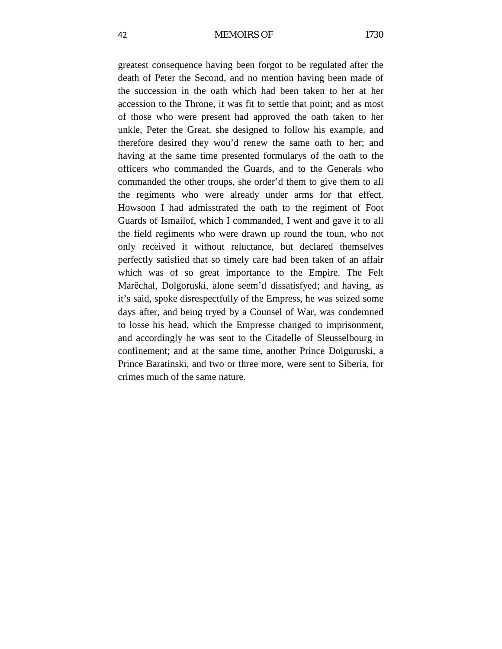greatest consequence having been forgot to be regulated after the death of Peter the Second, and no mention having been made of the succession in the oath which had been taken to her at her accession to the Throne, it was fit to settle that point; and as most of those who were present had approved the oath taken to her unkle, Peter the Great, she designed to follow his example, and therefore desired they wou'd renew the same oath to her; and having at the same time presented formularys of the oath to the officers who commanded the Guards, and to the Generals who commanded the other troups, she order'd them to give them to all the regiments who were already under arms for that effect. Howsoon I had admisstrated the oath to the regiment of Foot Guards of Ismailof, which I commanded, I went and gave it to all the field regiments who were drawn up round the toun, who not only received it without reluctance, but declared themselves perfectly satisfied that so timely care had been taken of an affair which was of so great importance to the Empire. The Felt Marêchal, Dolgoruski, alone seem'd dissatisfyed; and having, as it's said, spoke disrespectfully of the Empress, he was seized some days after, and being tryed by a Counsel of War, was condemned to losse his head, which the Empresse changed to imprisonment, and accordingly he was sent to the Citadelle of Sleusselbourg in confinement; and at the same time, another Prince Dolguruski, a Prince Baratinski, and two or three more, were sent to Siberia, for crimes much of the same nature.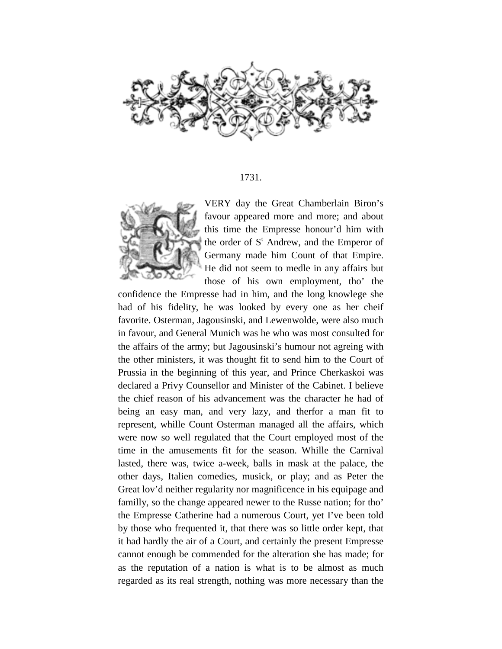



VERY day the Great Chamberlain Biron's favour appeared more and more; and about this time the Empresse honour'd him with the order of  $S<sup>t</sup>$  Andrew, and the Emperor of Germany made him Count of that Empire. He did not seem to medle in any affairs but those of his own employment, tho' the

confidence the Empresse had in him, and the long knowlege she had of his fidelity, he was looked by every one as her cheif favorite. Osterman, Jagousinski, and Lewenwolde, were also much in favour, and General Munich was he who was most consulted for the affairs of the army; but Jagousinski's humour not agreing with the other ministers, it was thought fit to send him to the Court of Prussia in the beginning of this year, and Prince Cherkaskoi was declared a Privy Counsellor and Minister of the Cabinet. I believe the chief reason of his advancement was the character he had of being an easy man, and very lazy, and therfor a man fit to represent, whille Count Osterman managed all the affairs, which were now so well regulated that the Court employed most of the time in the amusements fit for the season. Whille the Carnival lasted, there was, twice a-week, balls in mask at the palace, the other days, Italien comedies, musick, or play; and as Peter the Great lov'd neither regularity nor magnificence in his equipage and familly, so the change appeared newer to the Russe nation; for tho' the Empresse Catherine had a numerous Court, yet I've been told by those who frequented it, that there was so little order kept, that it had hardly the air of a Court, and certainly the present Empresse cannot enough be commended for the alteration she has made; for as the reputation of a nation is what is to be almost as much regarded as its real strength, nothing was more necessary than the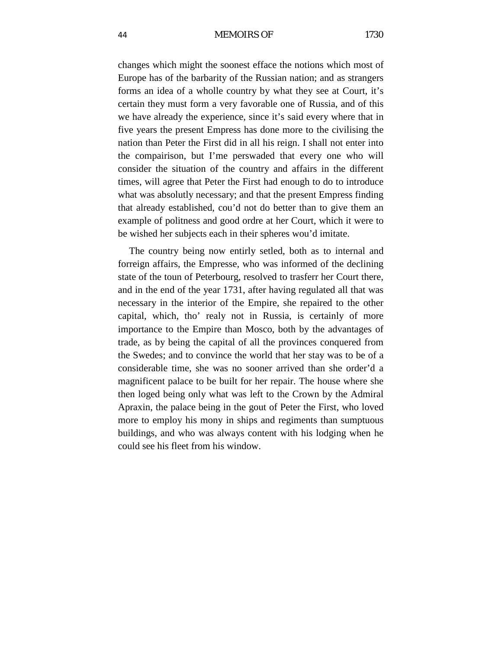changes which might the soonest efface the notions which most of Europe has of the barbarity of the Russian nation; and as strangers forms an idea of a wholle country by what they see at Court, it's certain they must form a very favorable one of Russia, and of this we have already the experience, since it's said every where that in five years the present Empress has done more to the civilising the nation than Peter the First did in all his reign. I shall not enter into the compairison, but I'me perswaded that every one who will consider the situation of the country and affairs in the different times, will agree that Peter the First had enough to do to introduce what was absolutly necessary; and that the present Empress finding that already established, cou'd not do better than to give them an example of politness and good ordre at her Court, which it were to be wished her subjects each in their spheres wou'd imitate.

The country being now entirly setled, both as to internal and forreign affairs, the Empresse, who was informed of the declining state of the toun of Peterbourg, resolved to trasferr her Court there, and in the end of the year 1731, after having regulated all that was necessary in the interior of the Empire, she repaired to the other capital, which, tho' realy not in Russia, is certainly of more importance to the Empire than Mosco, both by the advantages of trade, as by being the capital of all the provinces conquered from the Swedes; and to convince the world that her stay was to be of a considerable time, she was no sooner arrived than she order'd a magnificent palace to be built for her repair. The house where she then loged being only what was left to the Crown by the Admiral Apraxin, the palace being in the gout of Peter the First, who loved more to employ his mony in ships and regiments than sumptuous buildings, and who was always content with his lodging when he could see his fleet from his window.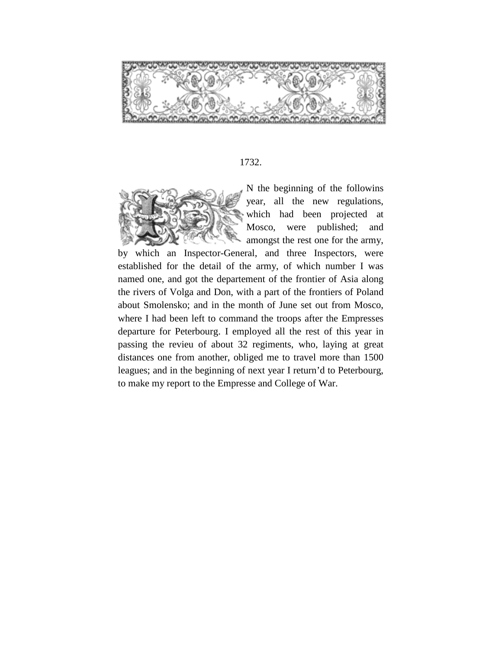



N the beginning of the followins year, all the new regulations, which had been projected at Mosco, were published; and amongst the rest one for the army,

by which an Inspector-General, and three Inspectors, were established for the detail of the army, of which number I was named one, and got the departement of the frontier of Asia along the rivers of Volga and Don, with a part of the frontiers of Poland about Smolensko; and in the month of June set out from Mosco, where I had been left to command the troops after the Empresses departure for Peterbourg. I employed all the rest of this year in passing the revieu of about 32 regiments, who, laying at great distances one from another, obliged me to travel more than 1500 leagues; and in the beginning of next year I return'd to Peterbourg, to make my report to the Empresse and College of War.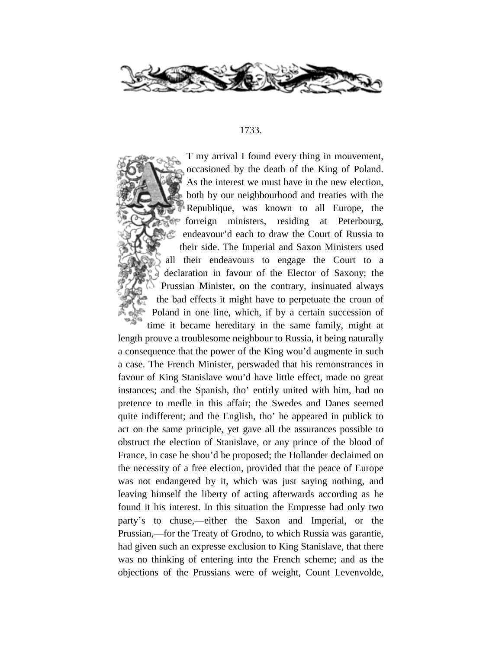

T my arrival I found every thing in mouvement, occasioned by the death of the King of Poland. As the interest we must have in the new election, both by our neighbourhood and treaties with the Republique, was known to all Europe, the forreign ministers, residing at Peterbourg, endeavour'd each to draw the Court of Russia to their side. The Imperial and Saxon Ministers used all their endeavours to engage the Court to a declaration in favour of the Elector of Saxony; the Prussian Minister, on the contrary, insinuated always the bad effects it might have to perpetuate the croun of Poland in one line, which, if by a certain succession of

time it became hereditary in the same family, might at length prouve a troublesome neighbour to Russia, it being naturally a consequence that the power of the King wou'd augmente in such a case. The French Minister, perswaded that his remonstrances in favour of King Stanislave wou'd have little effect, made no great instances; and the Spanish, tho' entirly united with him, had no pretence to medle in this affair; the Swedes and Danes seemed quite indifferent; and the English, tho' he appeared in publick to act on the same principle, yet gave all the assurances possible to obstruct the election of Stanislave, or any prince of the blood of France, in case he shou'd be proposed; the Hollander declaimed on the necessity of a free election, provided that the peace of Europe was not endangered by it, which was just saying nothing, and leaving himself the liberty of acting afterwards according as he found it his interest. In this situation the Empresse had only two party's to chuse,—either the Saxon and Imperial, or the Prussian,—for the Treaty of Grodno, to which Russia was garantie, had given such an expresse exclusion to King Stanislave, that there was no thinking of entering into the French scheme; and as the objections of the Prussians were of weight, Count Levenvolde,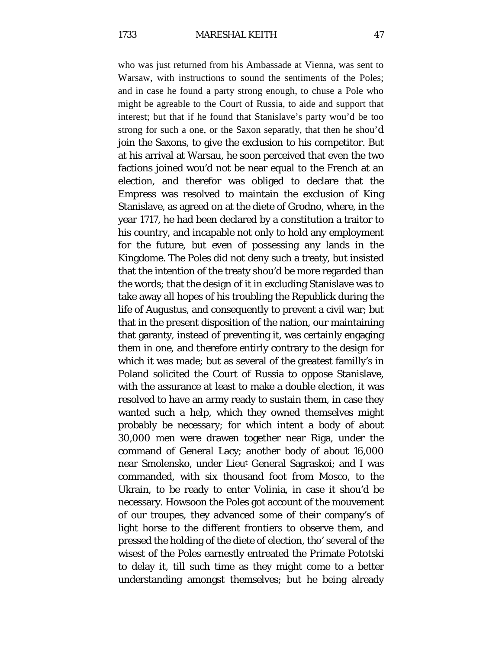who was just returned from his Ambassade at Vienna, was sent to Warsaw, with instructions to sound the sentiments of the Poles; and in case he found a party strong enough, to chuse a Pole who might be agreable to the Court of Russia, to aide and support that interest; but that if he found that Stanislave's party wou'd be too strong for such a one, or the Saxon separatly, that then he shou'd join the Saxons, to give the exclusion to his competitor. But at his arrival at Warsau, he soon perceived that even the two factions joined wou'd not be near equal to the French at an election, and therefor was obliged to declare that the Empress was resolved to maintain the exclusion of King Stanislave, as agreed on at the diete of Grodno, where, in the year 1717, he had been declared by a constitution a traitor to his country, and incapable not only to hold any employment for the future, but even of possessing any lands in the Kingdome. The Poles did not deny such a treaty, but insisted that the intention of the treaty shou'd be more regarded than the words; that the design of it in excluding Stanislave was to take away all hopes of his troubling the Republick during the life of Augustus, and consequently to prevent a civil war; but that in the present disposition of the nation, our maintaining that garanty, instead of preventing it, was certainly engaging them in one, and therefore entirly contrary to the design for which it was made; but as several of the greatest familly's in Poland solicited the Court of Russia to oppose Stanislave, with the assurance at least to make a double election, it was resolved to have an army ready to sustain them, in case they wanted such a help, which they owned themselves might probably be necessary; for which intent a body of about 30,000 men were drawen together near Riga, under the command of General Lacy; another body of about 16,000 near Smolensko, under Lieut General Sagraskoi; and I was commanded, with six thousand foot from Mosco, to the Ukrain, to be ready to enter Volinia, in case it shou'd be necessary. Howsoon the Poles got account of the mouvement of our troupes, they advanced some of their company's of light horse to the different frontiers to observe them, and pressed the holding of the diete of election, tho' several of the wisest of the Poles earnestly entreated the Primate Pototski to delay it, till such time as they might come to a better understanding amongst themselves; but he being already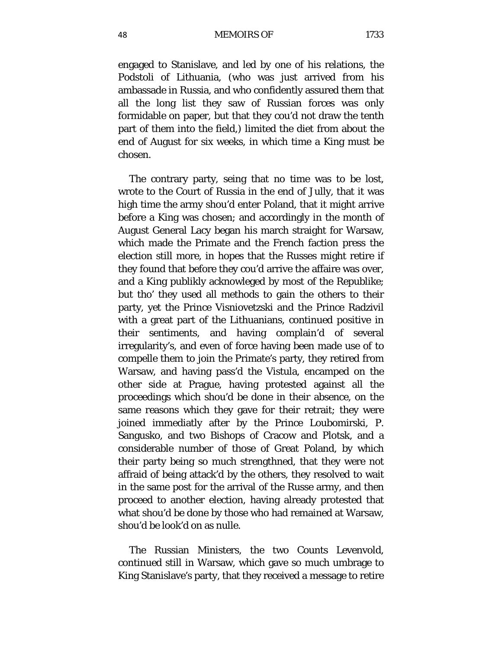48 MEMOIRS OF 1733

engaged to Stanislave, and led by one of his relations, the Podstoli of Lithuania, (who was just arrived from his ambassade in Russia, and who confidently assured them that all the long list they saw of Russian forces was only formidable on paper, but that they cou'd not draw the tenth part of them into the field,) limited the diet from about the end of August for six weeks, in which time a King must be chosen.

The contrary party, seing that no time was to be lost, wrote to the Court of Russia in the end of Jully, that it was high time the army shou'd enter Poland, that it might arrive before a King was chosen; and accordingly in the month of August General Lacy began his march straight for Warsaw, which made the Primate and the French faction press the election still more, in hopes that the Russes might retire if they found that before they cou'd arrive the affaire was over, and a King publikly acknowleged by most of the Republike; but tho' they used all methods to gain the others to their party, yet the Prince Visniovetzski and the Prince Radzivil with a great part of the Lithuanians, continued positive in their sentiments, and having complain'd of several irregularity's, and even of force having been made use of to compelle them to join the Primate's party, they retired from Warsaw, and having pass'd the Vistula, encamped on the other side at Prague, having protested against all the proceedings which shou'd be done in their absence, on the same reasons which they gave for their retrait; they were joined immediatly after by the Prince Loubomirski, P. Sangusko, and two Bishops of Cracow and Plotsk, and a considerable number of those of Great Poland, by which their party being so much strengthned, that they were not affraid of being attack'd by the others, they resolved to wait in the same post for the arrival of the Russe army, and then proceed to another election, having already protested that what shou'd be done by those who had remained at Warsaw, shou'd be look'd on as nulle.

The Russian Ministers, the two Counts Levenvold, continued still in Warsaw, which gave so much umbrage to King Stanislave's party, that they received a message to retire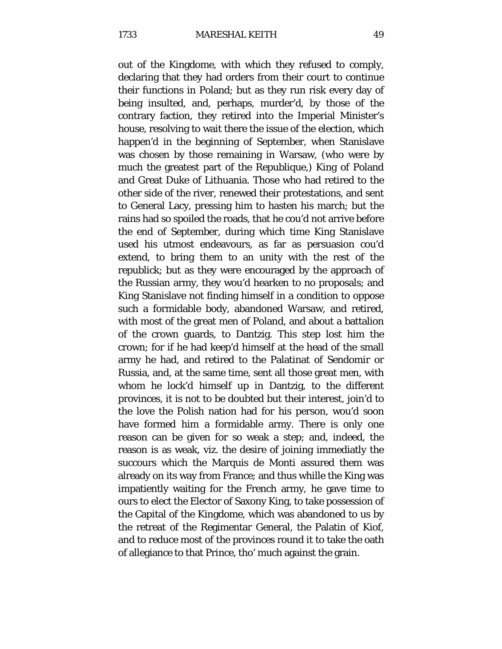out of the Kingdome, with which they refused to comply, declaring that they had orders from their court to continue their functions in Poland; but as they run risk every day of being insulted, and, perhaps, murder'd, by those of the contrary faction, they retired into the Imperial Minister's house, resolving to wait there the issue of the election, which happen'd in the beginning of September, when Stanislave was chosen by those remaining in Warsaw, (who were by much the greatest part of the Republique,) King of Poland and Great Duke of Lithuania. Those who had retired to the other side of the river, renewed their protestations, and sent to General Lacy, pressing him to hasten his march; but the rains had so spoiled the roads, that he cou'd not arrive before the end of September, during which time King Stanislave used his utmost endeavours, as far as persuasion cou'd extend, to bring them to an unity with the rest of the republick; but as they were encouraged by the approach of the Russian army, they wou'd hearken to no proposals; and King Stanislave not finding himself in a condition to oppose such a formidable body, abandoned Warsaw, and retired, with most of the great men of Poland, and about a battalion of the crown guards, to Dantzig. This step lost him the crown; for if he had keep'd himself at the head of the small army he had, and retired to the Palatinat of Sendomir or Russia, and, at the same time, sent all those great men, with whom he lock'd himself up in Dantzig, to the different provinces, it is not to be doubted but their interest, join'd to the love the Polish nation had for his person, wou'd soon have formed him a formidable army. There is only one reason can be given for so weak a step; and, indeed, the reason is as weak, viz. the desire of joining immediatly the succours which the Marquis de Monti assured them was already on its way from France; and thus whille the King was impatiently waiting for the French army, he gave time to ours to elect the Elector of Saxony King, to take possession of the Capital of the Kingdome, which was abandoned to us by the retreat of the Regimentar General, the Palatin of Kiof, and to reduce most of the provinces round it to take the oath of allegiance to that Prince, tho' much against the grain.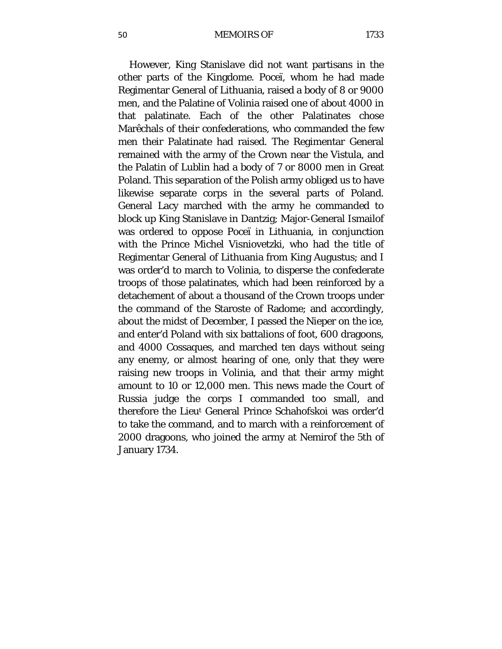However, King Stanislave did not want partisans in the other parts of the Kingdome. Poceï, whom he had made Regimentar General of Lithuania, raised a body of 8 or 9000 men, and the Palatine of Volinia raised one of about 4000 in that palatinate. Each of the other Palatinates chose Marêchals of their confederations, who commanded the few men their Palatinate had raised. The Regimentar General remained with the army of the Crown near the Vistula, and the Palatin of Lublin had a body of 7 or 8000 men in Great Poland. This separation of the Polish army obliged us to have likewise separate corps in the several parts of Poland. General Lacy marched with the army he commanded to block up King Stanislave in Dantzig; Major-General Ismailof was ordered to oppose Poceï in Lithuania, in conjunction with the Prince Michel Visniovetzki, who had the title of Regimentar General of Lithuania from King Augustus; and I was order'd to march to Volinia, to disperse the confederate troops of those palatinates, which had been reinforced by a detachement of about a thousand of the Crown troops under the command of the Staroste of Radome; and accordingly, about the midst of December, I passed the Nieper on the ice, and enter'd Poland with six battalions of foot, 600 dragoons, and 4000 Cossaques, and marched ten days without seing any enemy, or almost hearing of one, only that they were raising new troops in Volinia, and that their army might amount to 10 or 12,000 men. This news made the Court of Russia judge the corps I commanded too small, and therefore the Lieut General Prince Schahofskoi was order'd to take the command, and to march with a reinforcement of 2000 dragoons, who joined the army at Nemirof the 5th of January 1734.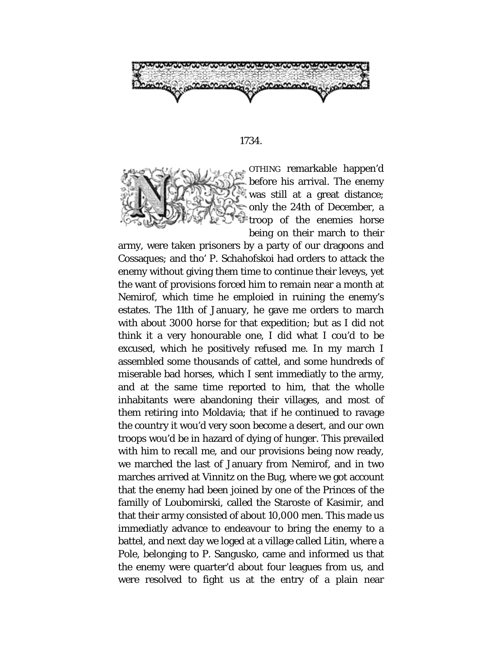



OTHING remarkable happen'd before his arrival. The enemy was still at a great distance; only the 24th of December, a troop of the enemies horse being on their march to their

army, were taken prisoners by a party of our dragoons and Cossaques; and tho' P. Schahofskoi had orders to attack the enemy without giving them time to continue their leveys, yet the want of provisions forced him to remain near a month at Nemirof, which time he emploied in ruining the enemy's estates. The 11th of January, he gave me orders to march with about 3000 horse for that expedition; but as I did not think it a very honourable one, I did what I cou'd to be excused, which he positively refused me. In my march I assembled some thousands of cattel, and some hundreds of miserable bad horses, which I sent immediatly to the army, and at the same time reported to him, that the wholle inhabitants were abandoning their villages, and most of them retiring into Moldavia; that if he continued to ravage the country it wou'd very soon become a desert, and our own troops wou'd be in hazard of dying of hunger. This prevailed with him to recall me, and our provisions being now ready, we marched the last of January from Nemirof, and in two marches arrived at Vinnitz on the Bug, where we got account that the enemy had been joined by one of the Princes of the familly of Loubomirski, called the Staroste of Kasimir, and that their army consisted of about 10,000 men. This made us immediatly advance to endeavour to bring the enemy to a battel, and next day we loged at a village called Litin, where a Pole, belonging to P. Sangusko, came and informed us that the enemy were quarter'd about four leagues from us, and were resolved to fight us at the entry of a plain near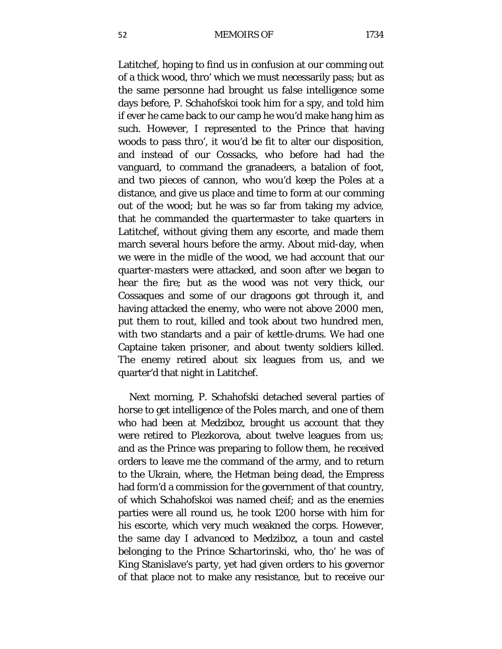Latitchef, hoping to find us in confusion at our comming out of a thick wood, thro' which we must necessarily pass; but as the same personne had brought us false intelligence some days before, P. Schahofskoi took him for a spy, and told him if ever he came back to our camp he wou'd make hang him as such. However, I represented to the Prince that having woods to pass thro', it wou'd be fit to alter our disposition, and instead of our Cossacks, who before had had the vanguard, to command the granadeers, a batalion of foot, and two pieces of cannon, who wou'd keep the Poles at a distance, and give us place and time to form at our comming out of the wood; but he was so far from taking my advice, that he commanded the quartermaster to take quarters in Latitchef, without giving them any escorte, and made them march several hours before the army. About mid-day, when we were in the midle of the wood, we had account that our quarter-masters were attacked, and soon after we began to hear the fire; but as the wood was not very thick, our Cossaques and some of our dragoons got through it, and having attacked the enemy, who were not above 2000 men, put them to rout, killed and took about two hundred men, with two standarts and a pair of kettle-drums. We had one Captaine taken prisoner, and about twenty soldiers killed. The enemy retired about six leagues from us, and we quarter'd that night in Latitchef.

Next morning, P. Schahofski detached several parties of horse to get intelligence of the Poles march, and one of them who had been at Medziboz, brought us account that they were retired to Plezkorova, about twelve leagues from us; and as the Prince was preparing to follow them, he received orders to leave me the command of the army, and to return to the Ukrain, where, the Hetman being dead, the Empress had form'd a commission for the government of that country, of which Schahofskoi was named cheif; and as the enemies parties were all round us, he took 1200 horse with him for his escorte, which very much weakned the corps. However, the same day I advanced to Medziboz, a toun and castel belonging to the Prince Schartorinski, who, tho' he was of King Stanislave's party, yet had given orders to his governor of that place not to make any resistance, but to receive our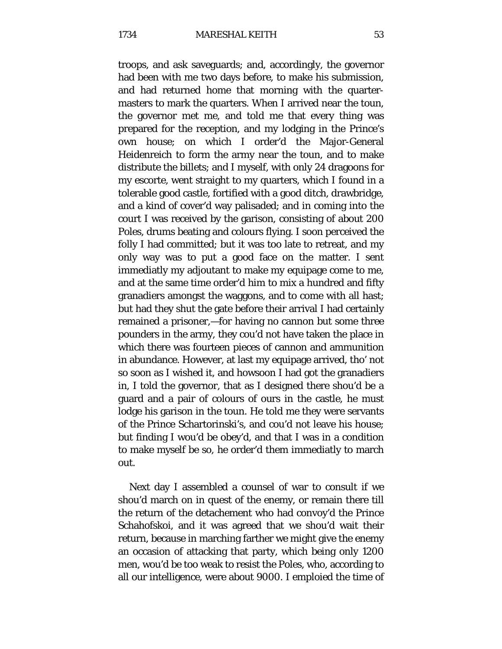troops, and ask saveguards; and, accordingly, the governor had been with me two days before, to make his submission, and had returned home that morning with the quartermasters to mark the quarters. When I arrived near the toun, the governor met me, and told me that every thing was prepared for the reception, and my lodging in the Prince's own house; on which I order'd the Major-General Heidenreich to form the army near the toun, and to make distribute the billets; and I myself, with only 24 dragoons for my escorte, went straight to my quarters, which I found in a tolerable good castle, fortified with a good ditch, drawbridge, and a kind of cover'd way palisaded; and in coming into the court I was received by the garison, consisting of about 200 Poles, drums beating and colours flying. I soon perceived the folly I had committed; but it was too late to retreat, and my only way was to put a good face on the matter. I sent immediatly my adjoutant to make my equipage come to me, and at the same time order'd him to mix a hundred and fifty granadiers amongst the waggons, and to come with all hast; but had they shut the gate before their arrival I had certainly remained a prisoner,—for having no cannon but some three pounders in the army, they cou'd not have taken the place in which there was fourteen pieces of cannon and ammunition in abundance. However, at last my equipage arrived, tho' not so soon as I wished it, and howsoon I had got the granadiers in, I told the governor, that as I designed there shou'd be a guard and a pair of colours of ours in the castle, he must lodge his garison in the toun. He told me they were servants of the Prince Schartorinski's, and cou'd not leave his house; but finding I wou'd be obey'd, and that I was in a condition to make myself be so, he order'd them immediatly to march out.

Next day I assembled a counsel of war to consult if we shou'd march on in quest of the enemy, or remain there till the return of the detachement who had convoy'd the Prince Schahofskoi, and it was agreed that we shou'd wait their return, because in marching farther we might give the enemy an occasion of attacking that party, which being only 1200 men, wou'd be too weak to resist the Poles, who, according to all our intelligence, were about 9000. I emploied the time of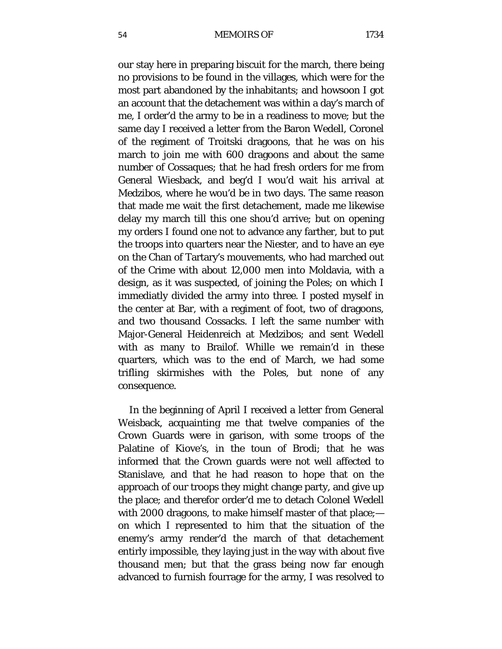## 54 MEMOIRS OF 1734

our stay here in preparing biscuit for the march, there being no provisions to be found in the villages, which were for the most part abandoned by the inhabitants; and howsoon I got an account that the detachement was within a day's march of me, I order'd the army to be in a readiness to move; but the same day I received a letter from the Baron Wedell, Coronel of the regiment of Troitski dragoons, that he was on his march to join me with 600 dragoons and about the same number of Cossaques; that he had fresh orders for me from General Wiesback, and beg'd I wou'd wait his arrival at Medzibos, where he wou'd be in two days. The same reason that made me wait the first detachement, made me likewise delay my march till this one shou'd arrive; but on opening my orders I found one not to advance any farther, but to put the troops into quarters near the Niester, and to have an eye on the Chan of Tartary's mouvements, who had marched out of the Crime with about 12,000 men into Moldavia, with a design, as it was suspected, of joining the Poles; on which I immediatly divided the army into three. I posted myself in the center at Bar, with a regiment of foot, two of dragoons, and two thousand Cossacks. I left the same number with Major-General Heidenreich at Medzibos; and sent Wedell with as many to Brailof. Whille we remain'd in these quarters, which was to the end of March, we had some trifling skirmishes with the Poles, but none of any consequence.

In the beginning of April I received a letter from General Weisback, acquainting me that twelve companies of the Crown Guards were in garison, with some troops of the Palatine of Kiove's, in the toun of Brodi; that he was informed that the Crown guards were not well affected to Stanislave, and that he had reason to hope that on the approach of our troops they might change party, and give up the place; and therefor order'd me to detach Colonel Wedell with 2000 dragoons, to make himself master of that place; on which I represented to him that the situation of the enemy's army render'd the march of that detachement entirly impossible, they laying just in the way with about five thousand men; but that the grass being now far enough advanced to furnish fourrage for the army, I was resolved to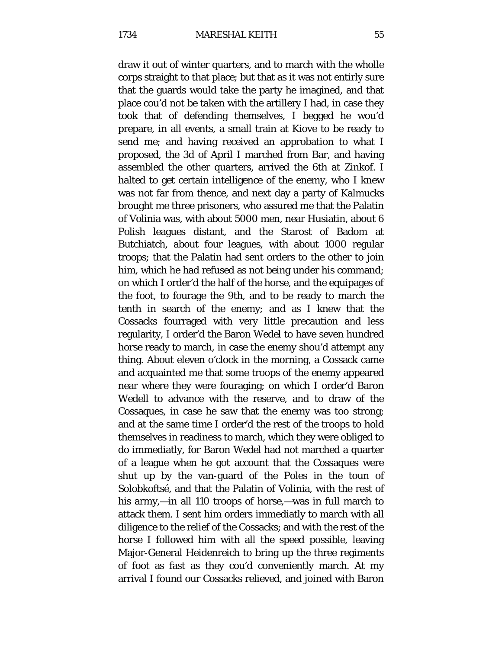draw it out of winter quarters, and to march with the wholle corps straight to that place; but that as it was not entirly sure that the guards would take the party he imagined, and that place cou'd not be taken with the artillery I had, in case they took that of defending themselves, I begged he wou'd prepare, in all events, a small train at Kiove to be ready to send me; and having received an approbation to what I proposed, the 3d of April I marched from Bar, and having assembled the other quarters, arrived the 6th at Zinkof. I halted to get certain intelligence of the enemy, who I knew was not far from thence, and next day a party of Kalmucks brought me three prisoners, who assured me that the Palatin of Volinia was, with about 5000 men, near Husiatin, about 6 Polish leagues distant, and the Starost of Badom at Butchiatch, about four leagues, with about 1000 regular troops; that the Palatin had sent orders to the other to join him, which he had refused as not being under his command; on which I order'd the half of the horse, and the equipages of the foot, to fourage the 9th, and to be ready to march the tenth in search of the enemy; and as I knew that the Cossacks fourraged with very little precaution and less regularity, I order'd the Baron Wedel to have seven hundred horse ready to march, in case the enemy shou'd attempt any thing. About eleven o'clock in the morning, a Cossack came and acquainted me that some troops of the enemy appeared near where they were fouraging; on which I order'd Baron Wedell to advance with the reserve, and to draw of the Cossaques, in case he saw that the enemy was too strong; and at the same time I order'd the rest of the troops to hold themselves in readiness to march, which they were obliged to do immediatly, for Baron Wedel had not marched a quarter of a league when he got account that the Cossaques were shut up by the van-guard of the Poles in the toun of Solobkoftsé, and that the Palatin of Volinia, with the rest of his army,—in all 110 troops of horse,—was in full march to attack them. I sent him orders immediatly to march with all diligence to the relief of the Cossacks; and with the rest of the horse I followed him with all the speed possible, leaving Major-General Heidenreich to bring up the three regiments of foot as fast as they cou'd conveniently march. At my arrival I found our Cossacks relieved, and joined with Baron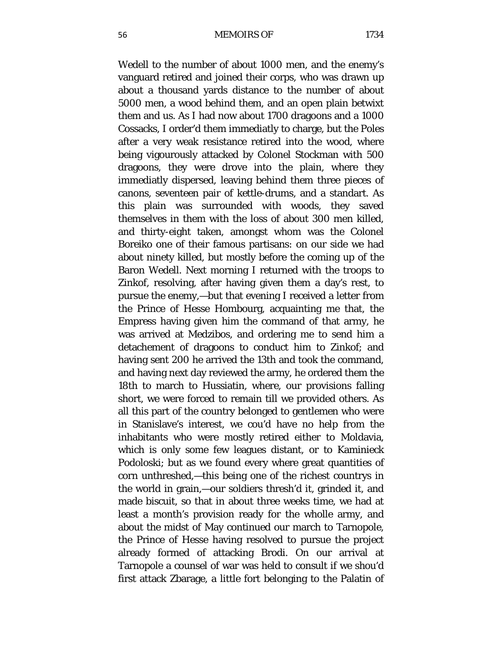Wedell to the number of about 1000 men, and the enemy's vanguard retired and joined their corps, who was drawn up about a thousand yards distance to the number of about 5000 men, a wood behind them, and an open plain betwixt them and us. As I had now about 1700 dragoons and a 1000 Cossacks, I order'd them immediatly to charge, but the Poles after a very weak resistance retired into the wood, where being vigourously attacked by Colonel Stockman with 500 dragoons, they were drove into the plain, where they immediatly dispersed, leaving behind them three pieces of canons, seventeen pair of kettle-drums, and a standart. As this plain was surrounded with woods, they saved themselves in them with the loss of about 300 men killed, and thirty-eight taken, amongst whom was the Colonel Boreiko one of their famous partisans: on our side we had about ninety killed, but mostly before the coming up of the Baron Wedell. Next morning I returned with the troops to Zinkof, resolving, after having given them a day's rest, to pursue the enemy,—but that evening I received a letter from the Prince of Hesse Hombourg, acquainting me that, the Empress having given him the command of that army, he was arrived at Medzibos, and ordering me to send him a detachement of dragoons to conduct him to Zinkof; and having sent 200 he arrived the 13th and took the command, and having next day reviewed the army, he ordered them the 18th to march to Hussiatin, where, our provisions falling short, we were forced to remain till we provided others. As all this part of the country belonged to gentlemen who were in Stanislave's interest, we cou'd have no help from the inhabitants who were mostly retired either to Moldavia, which is only some few leagues distant, or to Kaminieck Podoloski; but as we found every where great quantities of corn unthreshed,—this being one of the richest countrys in the world in grain,—our soldiers thresh'd it, grinded it, and made biscuit, so that in about three weeks time, we had at least a month's provision ready for the wholle army, and about the midst of May continued our march to Tarnopole, the Prince of Hesse having resolved to pursue the project already formed of attacking Brodi. On our arrival at Tarnopole a counsel of war was held to consult if we shou'd first attack Zbarage, a little fort belonging to the Palatin of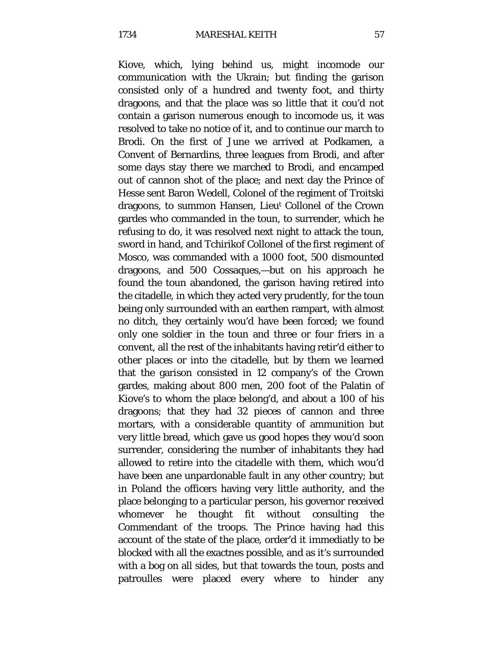Kiove, which, lying behind us, might incomode our communication with the Ukrain; but finding the garison consisted only of a hundred and twenty foot, and thirty dragoons, and that the place was so little that it cou'd not contain a garison numerous enough to incomode us, it was resolved to take no notice of it, and to continue our march to Brodi. On the first of June we arrived at Podkamen, a Convent of Bernardins, three leagues from Brodi, and after some days stay there we marched to Brodi, and encamped out of cannon shot of the place; and next day the Prince of Hesse sent Baron Wedell, Colonel of the regiment of Troitski dragoons, to summon Hansen, Lieut Collonel of the Crown gardes who commanded in the toun, to surrender, which he refusing to do, it was resolved next night to attack the toun, sword in hand, and Tchirikof Collonel of the first regiment of Mosco, was commanded with a 1000 foot, 500 dismounted dragoons, and 500 Cossaques,—but on his approach he found the toun abandoned, the garison having retired into the citadelle, in which they acted very prudently, for the toun being only surrounded with an earthen rampart, with almost no ditch, they certainly wou'd have been forced; we found only one soldier in the toun and three or four friers in a convent, all the rest of the inhabitants having retir'd either to other places or into the citadelle, but by them we learned that the garison consisted in 12 company's of the Crown gardes, making about 800 men, 200 foot of the Palatin of Kiove's to whom the place belong'd, and about a 100 of his dragoons; that they had 32 pieces of cannon and three mortars, with a considerable quantity of ammunition but very little bread, which gave us good hopes they wou'd soon surrender, considering the number of inhabitants they had allowed to retire into the citadelle with them, which wou'd have been ane unpardonable fault in any other country; but in Poland the officers having very little authority, and the place belonging to a particular person, his governor received whomever he thought fit without consulting the Commendant of the troops. The Prince having had this account of the state of the place, order'd it immediatly to be blocked with all the exactnes possible, and as it's surrounded with a bog on all sides, but that towards the toun, posts and patroulles were placed every where to hinder any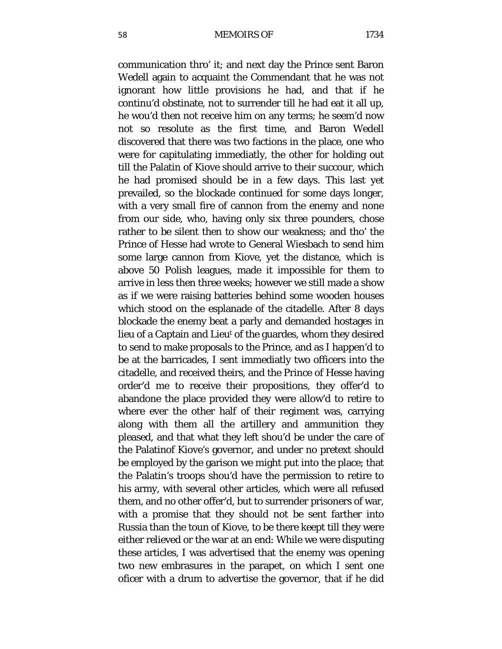58 MEMOIRS OF 1734

communication thro' it; and next day the Prince sent Baron Wedell again to acquaint the Commendant that he was not ignorant how little provisions he had, and that if he continu'd obstinate, not to surrender till he had eat it all up, he wou'd then not receive him on any terms; he seem'd now not so resolute as the first time, and Baron Wedell discovered that there was two factions in the place, one who were for capitulating immediatly, the other for holding out till the Palatin of Kiove should arrive to their succour, which he had promised should be in a few days. This last yet prevailed, so the blockade continued for some days longer, with a very small fire of cannon from the enemy and none from our side, who, having only six three pounders, chose rather to be silent then to show our weakness; and tho' the Prince of Hesse had wrote to General Wiesbach to send him some large cannon from Kiove, yet the distance, which is above 50 Polish leagues, made it impossible for them to arrive in less then three weeks; however we still made a show as if we were raising batteries behind some wooden houses which stood on the esplanade of the citadelle. After 8 days blockade the enemy beat a parly and demanded hostages in lieu of a Captain and Lieut of the guardes, whom they desired to send to make proposals to the Prince, and as I happen'd to be at the barricades, I sent immediatly two officers into the citadelle, and received theirs, and the Prince of Hesse having order'd me to receive their propositions, they offer'd to abandone the place provided they were allow'd to retire to where ever the other half of their regiment was, carrying along with them all the artillery and ammunition they pleased, and that what they left shou'd be under the care of the Palatinof Kiove's governor, and under no pretext should be employed by the garison we might put into the place; that the Palatin's troops shou'd have the permission to retire to his army, with several other articles, which were all refused them, and no other offer'd, but to surrender prisoners of war, with a promise that they should not be sent farther into Russia than the toun of Kiove, to be there keept till they were either relieved or the war at an end: While we were disputing these articles, I was advertised that the enemy was opening two new embrasures in the parapet, on which I sent one oficer with a drum to advertise the governor, that if he did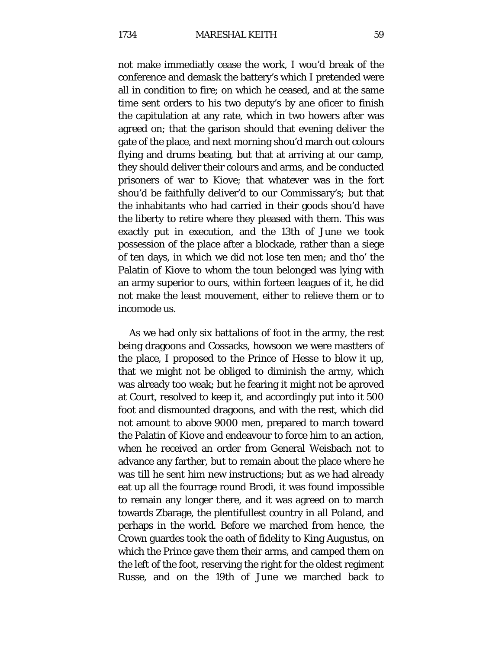not make immediatly cease the work, I wou'd break of the conference and demask the battery's which I pretended were all in condition to fire; on which he ceased, and at the same time sent orders to his two deputy's by ane oficer to finish the capitulation at any rate, which in two howers after was agreed on; that the garison should that evening deliver the gate of the place, and next morning shou'd march out colours flying and drums beating, but that at arriving at our camp, they should deliver their colours and arms, and be conducted prisoners of war to Kiove; that whatever was in the fort shou'd be faithfully deliver'd to our Commissary's; but that the inhabitants who had carried in their goods shou'd have the liberty to retire where they pleased with them. This was exactly put in execution, and the 13th of June we took possession of the place after a blockade, rather than a siege of ten days, in which we did not lose ten men; and tho' the Palatin of Kiove to whom the toun belonged was lying with an army superior to ours, within forteen leagues of it, he did not make the least mouvement, either to relieve them or to incomode us.

As we had only six battalions of foot in the army, the rest being dragoons and Cossacks, howsoon we were mastters of the place, I proposed to the Prince of Hesse to blow it up, that we might not be obliged to diminish the army, which was already too weak; but he fearing it might not be aproved at Court, resolved to keep it, and accordingly put into it 500 foot and dismounted dragoons, and with the rest, which did not amount to above 9000 men, prepared to march toward the Palatin of Kiove and endeavour to force him to an action, when he received an order from General Weisbach not to advance any farther, but to remain about the place where he was till he sent him new instructions; but as we had already eat up all the fourrage round Brodi, it was found impossible to remain any longer there, and it was agreed on to march towards Zbarage, the plentifullest country in all Poland, and perhaps in the world. Before we marched from hence, the Crown guardes took the oath of fidelity to King Augustus, on which the Prince gave them their arms, and camped them on the left of the foot, reserving the right for the oldest regiment Russe, and on the 19th of June we marched back to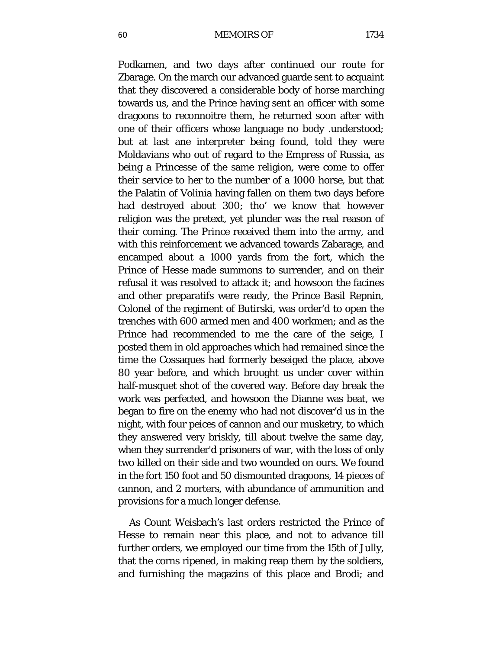Podkamen, and two days after continued our route for Zbarage. On the march our advanced guarde sent to acquaint that they discovered a considerable body of horse marching towards us, and the Prince having sent an officer with some dragoons to reconnoitre them, he returned soon after with one of their officers whose language no body .understood; but at last ane interpreter being found, told they were Moldavians who out of regard to the Empress of Russia, as being a Princesse of the same religion, were come to offer their service to her to the number of a 1000 horse, but that the Palatin of Volinia having fallen on them two days before had destroyed about 300; tho' we know that however religion was the pretext, yet plunder was the real reason of their coming. The Prince received them into the army, and with this reinforcement we advanced towards Zabarage, and encamped about a 1000 yards from the fort, which the Prince of Hesse made summons to surrender, and on their refusal it was resolved to attack it; and howsoon the facines and other preparatifs were ready, the Prince Basil Repnin, Colonel of the regiment of Butirski, was order'd to open the trenches with 600 armed men and 400 workmen; and as the Prince had recommended to me the care of the seige, I posted them in old approaches which had remained since the time the Cossaques had formerly beseiged the place, above 80 year before, and which brought us under cover within half-musquet shot of the covered way. Before day break the work was perfected, and howsoon the Dianne was beat, we began to fire on the enemy who had not discover'd us in the night, with four peices of cannon and our musketry, to which they answered very briskly, till about twelve the same day, when they surrender'd prisoners of war, with the loss of only two killed on their side and two wounded on ours. We found in the fort 150 foot and 50 dismounted dragoons, 14 pieces of cannon, and 2 morters, with abundance of ammunition and provisions for a much longer defense.

As Count Weisbach's last orders restricted the Prince of Hesse to remain near this place, and not to advance till further orders, we employed our time from the 15th of Jully, that the corns ripened, in making reap them by the soldiers, and furnishing the magazins of this place and Brodi; and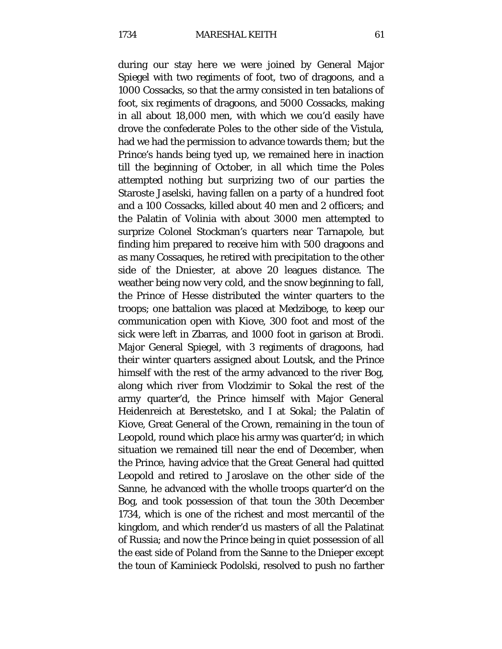during our stay here we were joined by General Major Spiegel with two regiments of foot, two of dragoons, and a 1000 Cossacks, so that the army consisted in ten batalions of foot, six regiments of dragoons, and 5000 Cossacks, making in all about 18,000 men, with which we cou'd easily have drove the confederate Poles to the other side of the Vistula, had we had the permission to advance towards them; but the Prince's hands being tyed up, we remained here in inaction till the beginning of October, in all which time the Poles attempted nothing but surprizing two of our parties the Staroste Jaselski, having fallen on a party of a hundred foot and a 100 Cossacks, killed about 40 men and 2 officers; and the Palatin of Volinia with about 3000 men attempted to surprize Colonel Stockman's quarters near Tarnapole, but finding him prepared to receive him with 500 dragoons and as many Cossaques, he retired with precipitation to the other side of the Dniester, at above 20 leagues distance. The weather being now very cold, and the snow beginning to fall, the Prince of Hesse distributed the winter quarters to the troops; one battalion was placed at Medziboge, to keep our communication open with Kiove, 300 foot and most of the sick were left in Zbarras, and 1000 foot in garison at Brodi. Major General Spiegel, with 3 regiments of dragoons, had their winter quarters assigned about Loutsk, and the Prince himself with the rest of the army advanced to the river Bog, along which river from Vlodzimir to Sokal the rest of the army quarter'd, the Prince himself with Major General Heidenreich at Berestetsko, and I at Sokal; the Palatin of Kiove, Great General of the Crown, remaining in the toun of Leopold, round which place his army was quarter'd; in which situation we remained till near the end of December, when the Prince, having advice that the Great General had quitted Leopold and retired to Jaroslave on the other side of the Sanne, he advanced with the wholle troops quarter'd on the Bog, and took possession of that toun the 30th December 1734, which is one of the richest and most mercantil of the kingdom, and which render'd us masters of all the Palatinat of Russia; and now the Prince being in quiet possession of all the east side of Poland from the Sanne to the Dnieper except the toun of Kaminieck Podolski, resolved to push no farther